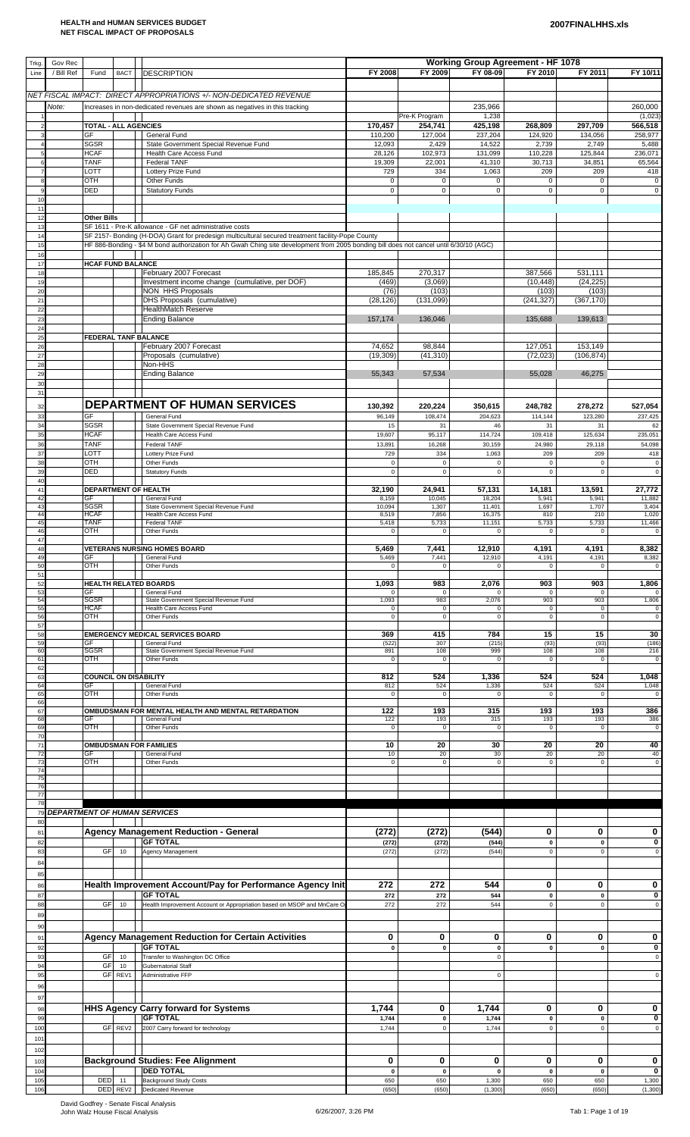| Trkg.<br>Line           | Gov Rec<br>/ Bill Ref | Fund                         | <b>BACT</b>    | <b>DESCRIPTION</b>                                                                                                                                | FY 2008                    | FY 2009                    | <b>Working Group Agreement - HF 1078</b><br>FY 08-09 | FY 2010                    | FY 2011                    | FY 10/11                 |
|-------------------------|-----------------------|------------------------------|----------------|---------------------------------------------------------------------------------------------------------------------------------------------------|----------------------------|----------------------------|------------------------------------------------------|----------------------------|----------------------------|--------------------------|
|                         |                       |                              |                |                                                                                                                                                   |                            |                            |                                                      |                            |                            |                          |
|                         | Note:                 |                              |                | NET FISCAL IMPACT: DIRECT APPROPRIATIONS +/- NON-DEDICATED REVENUE<br>Increases in non-dedicated revenues are shown as negatives in this tracking |                            |                            | 235,966                                              |                            |                            | 260,000                  |
|                         |                       | <b>TOTAL - ALL AGENCIES</b>  |                |                                                                                                                                                   | 170,457                    | Pre-K Program<br>254,741   | 1,238<br>425,198                                     | 268,809                    | 297,709                    | (1,023)<br>566,518       |
|                         |                       | GF<br>SGSR                   |                | General Fund<br>State Government Special Revenue Fund                                                                                             | 110,200<br>12,093          | 127,004<br>2,429           | 237,204<br>14,522                                    | 124,920<br>2,739           | 134,056<br>2,749           | 258,977<br>5,488         |
|                         |                       | <b>HCAF</b>                  |                | Health Care Access Fund                                                                                                                           | 28,126                     | 102,973                    | 131,099                                              | 110,228                    | 125,844                    | 236,071                  |
|                         |                       | <b>TANF</b><br>LOTT          |                | <b>Federal TANF</b><br>Lottery Prize Fund                                                                                                         | 19,309<br>729              | 22,001<br>334              | 41,310<br>1,063                                      | 30,713<br>209              | 34,851<br>209              | 65,564<br>418            |
|                         |                       | OTH<br><b>DED</b>            |                | Other Funds<br><b>Statutory Funds</b>                                                                                                             | $\mathbf 0$<br>$\mathsf 0$ | $\pmb{0}$<br>$\pmb{0}$     | 0<br>$\pmb{0}$                                       | $\mathbf 0$<br>$\mathbf 0$ | $\mathbf 0$<br>$\mathbf 0$ | $\pmb{0}$<br>$\pmb{0}$   |
| 10<br>$1^{\circ}$       |                       |                              |                |                                                                                                                                                   |                            |                            |                                                      |                            |                            |                          |
| 12<br>13                |                       | <b>Other Bills</b>           |                | SF 1611 - Pre-K allowance - GF net administrative costs                                                                                           |                            |                            |                                                      |                            |                            |                          |
| 14                      |                       |                              |                | SF 2157- Bonding (H-DOA) Grant for predesign multicultural secured treatment facility-Pope County                                                 |                            |                            |                                                      |                            |                            |                          |
| 15<br>16                |                       |                              |                | HF 886-Bonding - \$4 M bond authorization for Ah Gwah Ching site development from 2005 bonding bill does not cancel until 6/30/10 (AGC)           |                            |                            |                                                      |                            |                            |                          |
| 17<br>18                |                       | <b>HCAF FUND BALANCE</b>     |                | February 2007 Forecast                                                                                                                            | 185,845                    | 270,317                    |                                                      | 387,566                    | 531,111                    |                          |
| 1 <sup>c</sup><br>20    |                       |                              |                | Investment income change (cumulative, per DOF)<br><b>NON HHS Proposals</b>                                                                        | (469)<br>(76)              | (3,069)<br>(103)           |                                                      | (10, 448)<br>(103)         | (24, 225)<br>(103)         |                          |
| $2^{\circ}$             |                       |                              |                | DHS Proposals (cumulative)                                                                                                                        | (28, 126)                  | (131,099)                  |                                                      | (241, 327)                 | (367, 170)                 |                          |
| 22<br>2 <sup>2</sup>    |                       |                              |                | <b>HealthMatch Reserve</b><br><b>Ending Balance</b>                                                                                               | 157,174                    | 136,046                    |                                                      | 135,688                    | 139,613                    |                          |
| 24<br>25                |                       |                              |                | <b>FEDERAL TANF BALANCE</b>                                                                                                                       |                            |                            |                                                      |                            |                            |                          |
| 26<br>$2^{\frac{1}{2}}$ |                       |                              |                | February 2007 Forecast<br>Proposals (cumulative)                                                                                                  | 74,652<br>(19, 309)        | 98,844<br>(41, 310)        |                                                      | 127,051<br>(72, 023)       | 153,149<br>(106, 874)      |                          |
| 28                      |                       |                              |                | Non-HHS                                                                                                                                           |                            |                            |                                                      |                            |                            |                          |
| 29<br>3 <sub>C</sub>    |                       |                              |                | <b>Ending Balance</b>                                                                                                                             | 55,343                     | 57,534                     |                                                      | 55,028                     | 46,275                     |                          |
| 31                      |                       |                              |                | <b>DEPARTMENT OF HUMAN SERVICES</b>                                                                                                               | 130,392                    | 220,224                    | 350,615                                              | 248,782                    | 278,272                    | 527,054                  |
| 32<br>33                |                       | GF                           |                | General Fund                                                                                                                                      | 96,149                     | 108,474                    | 204,623                                              | 114,144                    | 123,280                    | 237,425                  |
| 34<br>35                |                       | SGSR<br><b>HCAF</b>          |                | State Government Special Revenue Fund<br>Health Care Access Fund                                                                                  | 15<br>19,607               | 31<br>95,117               | 46<br>114,724                                        | 31<br>109,418              | 31<br>125,634              | 62<br>235,051            |
| 36<br>37                |                       | <b>TANF</b><br>LOTT          |                | <b>Federal TANF</b><br>Lottery Prize Fund                                                                                                         | 13,891<br>729              | 16,268<br>334              | 30,159<br>1,063                                      | 24,980<br>209              | 29,118<br>209              | 54,098<br>418            |
| 38                      |                       | <b>OTH</b>                   |                | Other Funds                                                                                                                                       | $\pmb{0}$                  | $\mathsf{O}\xspace$        | $\mathbf 0$                                          | $\mathsf 0$                | $\mathbf 0$                | $\pmb{0}$                |
| 39<br>4 <sub>C</sub>    |                       | <b>DED</b>                   |                | <b>Statutory Funds</b>                                                                                                                            | $\pmb{0}$                  | $\mathbf 0$                | $\mathbf 0$                                          | $\mathsf 0$                | $\mathsf 0$                | $\pmb{0}$                |
| 41<br>4 <sup>2</sup>    |                       | GF                           |                | DEPARTMENT OF HEALTH<br>General Fund                                                                                                              | 32,190<br>8,159            | 24,941<br>10,045           | 57,131<br>18,204                                     | 14,181<br>5,941            | 13,591<br>5,941            | 27,772<br>11,882         |
| 43<br>44                |                       | <b>SGSR</b><br><b>HCAF</b>   |                | State Government Special Revenue Fund<br>Health Care Access Fund                                                                                  | 10,094<br>8,519            | 1,307<br>7,856             | 11,401<br>16,375                                     | 1,697<br>810               | 1,707<br>210               | 3,404<br>1,020           |
| 45<br>46                |                       | <b>TANF</b><br>OTH           |                | <b>Federal TANF</b><br>Other Funds                                                                                                                | 5,418<br>$\mathbf 0$       | 5,733<br>$\mathsf 0$       | 11,151<br>$\Omega$                                   | 5,733<br>$\mathbf 0$       | 5,733<br>$\mathbf 0$       | 11,466<br>$\mathbf 0$    |
| 47<br>48                |                       |                              |                | <b>VETERANS NURSING HOMES BOARD</b>                                                                                                               | 5,469                      | 7,441                      | 12,910                                               | 4,191                      | 4,191                      | 8,382                    |
| 49<br>50                |                       | GF<br>OTH                    |                | General Fund<br>Other Funds                                                                                                                       | 5,469<br>$\pmb{0}$         | 7,441<br>$\mathbf 0$       | 12,910<br>$\mathbf 0$                                | 4,191<br>$\mathsf 0$       | 4,191<br>$\mathsf 0$       | 8,382<br>$\mathbf 0$     |
| 51<br>52                |                       |                              |                | HEALTH RELATED BOARDS                                                                                                                             | 1,093                      | 983                        | 2,076                                                | 903                        | 903                        | 1,806                    |
| 53<br>54                |                       | GF<br><b>SGSR</b>            |                | General Fund<br>State Government Special Revenue Fund                                                                                             | $\mathbf 0$<br>1,093       | $\mathbf 0$<br>983         | 0<br>2,076                                           | $\mathbf 0$<br>903         | $\mathbf{0}$<br>903        | $\mathbf 0$<br>1,806     |
| 55<br>56                |                       | <b>HCAF</b><br>OTH           |                | Health Care Access Fund<br>Other Funds                                                                                                            | $\mathbf 0$<br>$\mathbf 0$ | $\mathsf 0$<br>$\mathsf 0$ | $\mathbf 0$<br>$\mathbf 0$                           | $\mathsf 0$<br>$\mathsf 0$ | $\mathsf 0$<br>$\mathbf 0$ | $\pmb{0}$<br>$\mathbf 0$ |
| 57                      |                       |                              |                |                                                                                                                                                   |                            |                            |                                                      |                            |                            |                          |
| 58<br>59                |                       | GF                           |                | <b>EMERGENCY MEDICAL SERVICES BOARD</b><br>General Fund                                                                                           | 369<br>(522)               | 415<br>307                 | 784<br>(215)                                         | 15<br>(93)                 | 15<br>(93)                 | 30<br>(186)              |
| 60<br>6'                |                       | <b>SGSR</b><br>OTH           |                | State Government Special Revenue Fund<br>Other Funds                                                                                              | 891<br>$\mathbf 0$         | 108<br>$\mathbf 0$         | 999<br>$\mathbf 0$                                   | 108<br>$\mathbf 0$         | 108<br>0                   | 216<br>$\mathbf 0$       |
| 62<br>63                |                       | <b>COUNCIL ON DISABILITY</b> |                |                                                                                                                                                   | 812                        | 524                        | 1,336                                                | 524                        | 524                        | 1,048                    |
| 64<br>65                |                       | GF<br>OTH                    |                | General Fund<br>Other Funds                                                                                                                       | 812<br>$\mathbf 0$         | 524<br>$\mathbf 0$         | 1,336<br>$\mathbf 0$                                 | 524<br>$\mathbf 0$         | 524<br>$\mathbf 0$         | 1,048<br>$\mathbf 0$     |
| 66<br>67                |                       |                              |                | OMBUDSMAN FOR MENTAL HEALTH AND MENTAL RETARDATION                                                                                                | 122                        | 193                        | 315                                                  | 193                        | 193                        | 386                      |
| 68<br><b>69</b>         |                       | GF<br><b>OTH</b>             |                | General Fund<br>Other Funds                                                                                                                       | 122<br>$\pmb{0}$           | 193<br>$\mathbf 0$         | 315<br>$\mathbf 0$                                   | 193<br>$\mathbf 0$         | 193<br>$\mathbf 0$         | 386<br>$\mathbf 0$       |
| 70<br>7'                |                       |                              |                | <b>OMBUDSMAN FOR FAMILIES</b>                                                                                                                     | 10                         | 20                         | 30                                                   | 20                         | 20                         | 40                       |
| 72<br>73                |                       | GF<br>OTH                    |                | General Fund<br>Other Funds                                                                                                                       | 10<br>$\mathbf 0$          | 20<br>$\mathsf 0$          | 30<br>$\mathbf 0$                                    | 20<br>$\mathsf 0$          | 20<br>$\mathbf 0$          | 40<br>$\mathbf 0$        |
| 74<br>75                |                       |                              |                |                                                                                                                                                   |                            |                            |                                                      |                            |                            |                          |
| 76<br>77                |                       |                              |                |                                                                                                                                                   |                            |                            |                                                      |                            |                            |                          |
| 78<br>79                |                       |                              |                | <b>DEPARTMENT OF HUMAN SERVICES</b>                                                                                                               |                            |                            |                                                      |                            |                            |                          |
| 80                      |                       |                              |                |                                                                                                                                                   |                            |                            |                                                      |                            |                            |                          |
| 81<br>82                |                       |                              |                | <b>Agency Management Reduction - General</b><br><b>GF TOTAL</b>                                                                                   | (272)<br>(272)             | (272)<br>(272)             | (544)<br>(544)                                       | 0<br>$\pmb{0}$             | 0<br>$\mathbf 0$           | 0<br>0                   |
| 83                      |                       | GF                           | 10             | Agency Management                                                                                                                                 | (272)                      | (272)                      | (544)                                                | $\mathsf 0$                | $\mathsf 0$                | $\mathsf 0$              |
| 84<br>85                |                       |                              |                |                                                                                                                                                   |                            |                            |                                                      |                            |                            |                          |
| 86                      |                       |                              |                | Health Improvement Account/Pay for Performance Agency Init                                                                                        | 272                        | 272                        | 544                                                  | 0                          | 0                          | 0                        |
| 87<br>88                |                       | GF                           | 10             | <b>GF TOTAL</b><br>Health Improvement Account or Appropriation based on MSOP and MnCare O                                                         | 272<br>272                 | 272<br>272                 | 544<br>544                                           | $\mathbf 0$<br>$\mathsf 0$ | $\mathbf 0$<br>$\mathbf 0$ | 0<br>$\mathsf 0$         |
| 89<br>90                |                       |                              |                |                                                                                                                                                   |                            |                            |                                                      |                            |                            |                          |
| 91                      |                       |                              |                | <b>Agency Management Reduction for Certain Activities</b>                                                                                         | 0                          | 0                          | 0                                                    | 0                          | 0                          | 0                        |
| 92<br>93                |                       | GF                           | 10             | <b>GF TOTAL</b><br>Transfer to Washington DC Office                                                                                               | $\mathbf{0}$               | $\mathbf{0}$               | $\mathbf 0$<br>$\mathbf 0$                           | $\mathbf 0$                | $\mathbf 0$                | 0<br>$\mathbf 0$         |
| 94<br>95                |                       | GF<br>GF                     | 10<br>REV1     | <b>Gubernatorial Staff</b><br>Administrative FFP                                                                                                  |                            |                            | $\mathbf 0$                                          |                            |                            | $\mathsf 0$              |
| 96                      |                       |                              |                |                                                                                                                                                   |                            |                            |                                                      |                            |                            |                          |
| 97                      |                       |                              |                | <b>HHS Agency Carry forward for Systems</b>                                                                                                       | 1,744                      | 0                          | 1,744                                                | 0                          | 0                          | 0                        |
| 98<br>99                |                       |                              |                | <b>GF TOTAL</b>                                                                                                                                   | 1,744                      | $\pmb{0}$                  | 1,744                                                | $\pmb{0}$                  | $\mathbf 0$                | 0                        |
| 100<br>10 <sup>7</sup>  |                       |                              | GF REV2        | 2007 Carry forward for technology                                                                                                                 | 1,744                      | $\mathsf 0$                | 1,744                                                | $\mathsf 0$                | $\mathsf 0$                | $\mathsf 0$              |
| 102                     |                       |                              |                |                                                                                                                                                   |                            |                            |                                                      |                            |                            |                          |
| 103<br>104              |                       |                              |                | <b>Background Studies: Fee Alignment</b><br><b>DED TOTAL</b>                                                                                      | 0<br>$\mathbf 0$           | 0<br>$\mathbf{0}$          | 0<br>$\mathbf 0$                                     | 0<br>$\mathbf{0}$          | 0<br>$\mathbf 0$           | 0<br>$\mathbf 0$         |
| 105<br>106              |                       | DED                          | 11<br>DED REV2 | <b>Background Study Costs</b><br><b>Dedicated Revenue</b>                                                                                         | 650<br>(650)               | 650<br>(650)               | 1,300<br>(1,300)                                     | 650<br>(650)               | 650<br>(650)               | 1,300<br>(1, 300)        |

David Godfrey - Senate Fiscal Analysis<br>John Walz House Fiscal Analysis 6/26/2007, 3:26 PM Tab 1: Page 1 of 19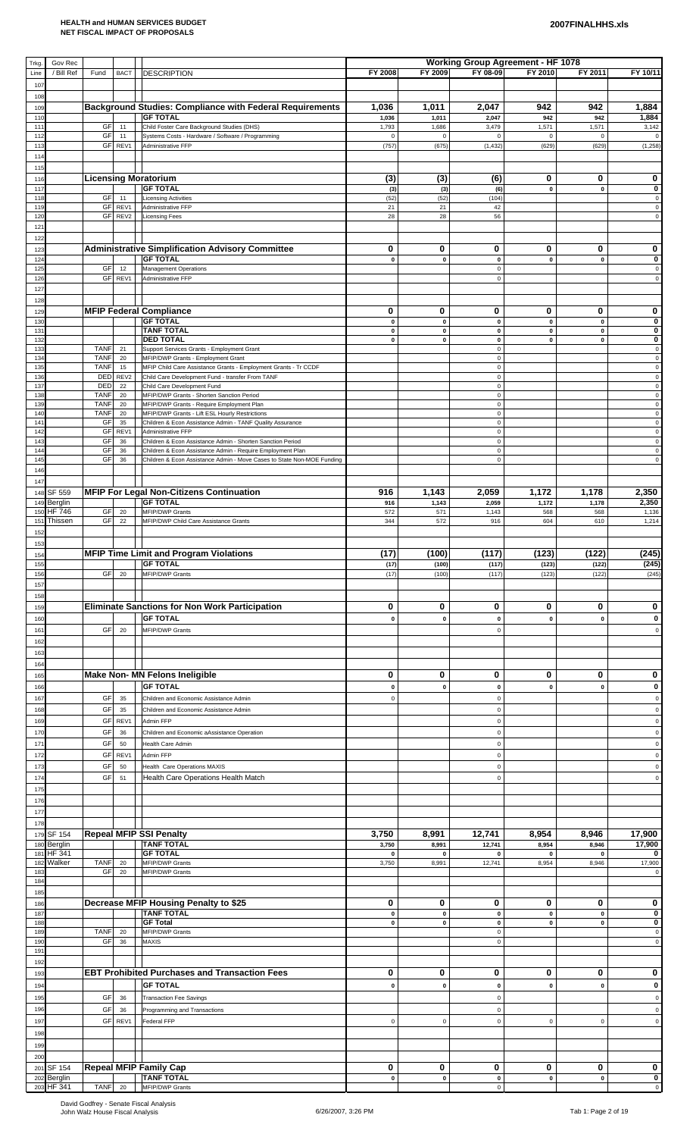| Trkg.                  | Gov Rec                   |                            |                        |                                                                                                                                      |                      |                        | <b>Working Group Agreement - HF 1078</b> |                        |                        |                                           |
|------------------------|---------------------------|----------------------------|------------------------|--------------------------------------------------------------------------------------------------------------------------------------|----------------------|------------------------|------------------------------------------|------------------------|------------------------|-------------------------------------------|
| Line<br>107            | / Bill Ref                | Fund                       | <b>BACT</b>            | <b>DESCRIPTION</b>                                                                                                                   | FY 2008              | FY 2009                | FY 08-09                                 | FY 2010                | FY 2011                | FY 10/11                                  |
| 108                    |                           |                            |                        |                                                                                                                                      |                      |                        |                                          |                        |                        |                                           |
| 109                    |                           |                            |                        | <b>Background Studies: Compliance with Federal Requirements</b>                                                                      | 1,036                | 1,011                  | 2,047                                    | 942                    | 942                    | 1,884                                     |
| 110<br>111             |                           | GF                         | 11                     | <b>GF TOTAL</b><br>Child Foster Care Background Studies (DHS)                                                                        | 1,036<br>1,793       | 1,011<br>1,686         | 2,047<br>3,479                           | 942<br>1,571           | 942<br>1,571           | 1,884<br>3,142                            |
| 112                    |                           | GF                         | 11                     | Systems Costs - Hardware / Software / Programming                                                                                    | $\mathsf 0$          | 0                      | 0                                        | $\mathbf 0$            | $\mathbf 0$            | $\mathbf 0$                               |
| 113<br>114             |                           |                            | GF REV1                | Administrative FFP                                                                                                                   | (757)                | (675)                  | (1, 432)                                 | (629)                  | (629)                  | (1, 258)                                  |
| 115                    |                           |                            |                        |                                                                                                                                      |                      |                        |                                          |                        |                        |                                           |
| 116                    |                           |                            |                        | <b>Licensing Moratorium</b>                                                                                                          | (3)                  | (3)                    | (6)                                      | 0                      | 0                      | 0                                         |
| 117<br>118             |                           | GF                         | 11                     | <b>GF TOTAL</b><br><b>Licensing Activities</b>                                                                                       | (3)<br>(52)          | (3)<br>(52)            | (6)<br>(104)                             | $\pmb{0}$              | $\mathbf{0}$           | 0<br>$\pmb{0}$                            |
| 119                    |                           | GF                         | REV1                   | Administrative FFP                                                                                                                   | 21                   | 21                     | 42                                       |                        |                        | $\pmb{0}$                                 |
| 12(<br>121             |                           | GF                         | REV2                   | <b>Licensing Fees</b>                                                                                                                | 28                   | 28                     | 56                                       |                        |                        | $\mathsf 0$                               |
| 122                    |                           |                            |                        |                                                                                                                                      |                      |                        |                                          |                        |                        |                                           |
| 123                    |                           |                            |                        | <b>Administrative Simplification Advisory Committee</b><br><b>GF TOTAL</b>                                                           | 0                    | 0                      | 0                                        | 0                      | 0<br>$\pmb{0}$         | 0<br>0                                    |
| 124<br>125             |                           | GF                         | 12                     | <b>Management Operations</b>                                                                                                         | $\pmb{0}$            | $\pmb{0}$              | 0<br>$\mathbf 0$                         | $\pmb{0}$              |                        | $\mathbf 0$                               |
| 126                    |                           |                            | GF REV1                | Administrative FFP                                                                                                                   |                      |                        | 0                                        |                        |                        | $\mathsf 0$                               |
| 127<br>128             |                           |                            |                        |                                                                                                                                      |                      |                        |                                          |                        |                        |                                           |
| 129                    |                           |                            |                        | <b>MFIP Federal Compliance</b>                                                                                                       | 0                    | 0                      | 0                                        | 0                      | 0                      | 0                                         |
| 13<br>131              |                           |                            |                        | <b>GF TOTAL</b><br><b>TANF TOTAL</b>                                                                                                 | $\pmb{0}$<br>0       | $\pmb{0}$<br>$\pmb{0}$ | $\pmb{0}$<br>0                           | $\pmb{0}$<br>$\pmb{0}$ | $\pmb{0}$<br>$\pmb{0}$ | $\pmb{0}$<br>0                            |
| 132                    |                           |                            |                        | <b>DED TOTAL</b>                                                                                                                     | $\pmb{\mathsf{o}}$   | $\pmb{0}$              | 0                                        | $\pmb{0}$              | $\pmb{0}$              | $\pmb{0}$                                 |
| 13<br>134              |                           | <b>TANF</b><br><b>TANF</b> | 21<br>20               | Support Services Grants - Employment Grant<br>MFIP/DWP Grants - Employment Grant                                                     |                      |                        | $\mathsf 0$<br>0                         |                        |                        | $\mathbf 0$<br>$\mathbf 0$                |
| 135                    |                           | <b>TANF</b>                | 15                     | MFIP Child Care Assistance Grants - Employment Grants - Tr CCDF                                                                      |                      |                        | 0                                        |                        |                        | $\pmb{0}$                                 |
| 136<br>137             |                           | DED<br>DED                 | REV <sub>2</sub><br>22 | Child Care Development Fund - transfer From TANF<br>Child Care Development Fund                                                      |                      |                        | 0<br>$\mathsf 0$                         |                        |                        | $\mathbf 0$<br>$\mathbf 0$                |
| 138<br>139             |                           | <b>TANF</b><br><b>TANF</b> | 20<br>20               | MFIP/DWP Grants - Shorten Sanction Period<br>MFIP/DWP Grants - Require Employment Plan                                               |                      |                        | 0<br>0                                   |                        |                        | $\pmb{0}$<br>$\pmb{0}$                    |
| 140                    |                           | <b>TANF</b>                | 20                     | MFIP/DWP Grants - Lift ESL Hourly Restrictions                                                                                       |                      |                        | 0                                        |                        |                        | $\pmb{0}$                                 |
| 14 <sup>°</sup><br>142 |                           | GF<br>GF                   | 35<br>REV1             | Children & Econ Assistance Admin - TANF Quality Assurance<br>Administrative FFP                                                      |                      |                        | $\mathsf 0$<br>0                         |                        |                        | $\pmb{0}$<br>$\mathbf 0$                  |
| 143                    |                           | GF                         | 36                     | Children & Econ Assistance Admin - Shorten Sanction Period                                                                           |                      |                        | 0                                        |                        |                        | $\pmb{0}$                                 |
| 14<br>145              |                           | GF<br>GF                   | 36<br>36               | Children & Econ Assistance Admin - Require Employment Plan<br>Children & Econ Assistance Admin - Move Cases to State Non-MOE Funding |                      |                        | $\mathsf 0$<br>0                         |                        |                        | $\pmb{0}$<br>$\mathsf{O}\xspace$          |
| 146                    |                           |                            |                        |                                                                                                                                      |                      |                        |                                          |                        |                        |                                           |
| 147                    |                           |                            |                        |                                                                                                                                      |                      |                        |                                          |                        |                        |                                           |
|                        | 148 SF 559<br>149 Berglin |                            |                        | <b>MFIP For Legal Non-Citizens Continuation</b><br><b>GF TOTAL</b>                                                                   | 916<br>916           | 1,143<br>1,143         | 2,059<br>2,059                           | 1,172<br>1,172         | 1,178<br>1,178         | 2,350<br>2,350                            |
| 150                    | <b>HF 746</b>             | <b>GF</b><br><b>GF</b>     | 20                     | <b>MFIP/DWP Grants</b>                                                                                                               | 572<br>344           | 571                    | 1,143                                    | 568                    | 568                    | 1,136                                     |
| 151<br>152             | Thissen                   |                            | 22                     | MFIP/DWP Child Care Assistance Grants                                                                                                |                      | 572                    | 916                                      | 604                    | 610                    | 1,214                                     |
| 153                    |                           |                            |                        |                                                                                                                                      |                      |                        |                                          |                        |                        |                                           |
| 154                    |                           |                            |                        | <b>MFIP Time Limit and Program Violations</b><br><b>GF TOTAL</b>                                                                     | (17)<br>(17)         | (100)<br>(100)         | (117)<br>(117)                           | (123)<br>(123)         | (122)<br>(122)         | (245)<br>(245)                            |
| 155<br>156             |                           | GF                         | 20                     | <b>MFIP/DWP Grants</b>                                                                                                               | (17)                 | (100)                  | (117)                                    | (123)                  | (122)                  | (245)                                     |
| 157                    |                           |                            |                        |                                                                                                                                      |                      |                        |                                          |                        |                        |                                           |
| 158<br>159             |                           |                            |                        | <b>Eliminate Sanctions for Non Work Participation</b>                                                                                | 0                    | 0                      | 0                                        | 0                      | 0                      | 0                                         |
| 160                    |                           |                            |                        | <b>GF TOTAL</b>                                                                                                                      | $\mathbf 0$          | $\mathbf{0}$           | 0                                        | $\mathbf{0}$           | $\mathbf 0$            | 0                                         |
| 161                    |                           | GF                         | 20                     | <b>MFIP/DWP Grants</b>                                                                                                               |                      |                        | 0                                        |                        |                        | 0                                         |
| 162                    |                           |                            |                        |                                                                                                                                      |                      |                        |                                          |                        |                        |                                           |
| 163<br>164             |                           |                            |                        |                                                                                                                                      |                      |                        |                                          |                        |                        |                                           |
| 165                    |                           |                            |                        | Make Non- MN Felons Ineligible                                                                                                       | 0                    | 0                      | 0                                        | 0                      | 0                      | 0                                         |
| 166                    |                           |                            |                        | <b>GF TOTAL</b>                                                                                                                      | $\mathbf 0$          | $\pmb{0}$              | 0                                        | $\mathbf{0}$           | $\mathbf 0$            | 0                                         |
| 167<br>168             |                           | GF<br>GF                   | 35<br>35               | Children and Economic Assistance Admin<br>Children and Economic Assistance Admin                                                     | $\mathsf 0$          |                        | $\mathbf 0$<br>0                         |                        |                        | $\mathbf 0$<br>$\mathsf 0$                |
| 169                    |                           | GF                         | REV1                   | Admin FFP                                                                                                                            |                      |                        | 0                                        |                        |                        | $\pmb{0}$                                 |
| 170                    |                           | GF                         | 36                     | Children and Economic aAssistance Operation                                                                                          |                      |                        | 0                                        |                        |                        | $\pmb{0}$                                 |
| 171                    |                           | GF<br>GF                   | 50                     | Health Care Admin                                                                                                                    |                      |                        | 0                                        |                        |                        | $\mathsf 0$                               |
| 172<br>173             |                           | GF                         | REV1<br>50             | Admin FFP<br><b>Health Care Operations MAXIS</b>                                                                                     |                      |                        | 0<br>0                                   |                        |                        | $\mathbf 0$<br>$\mathsf 0$                |
| 174                    |                           | GF                         | 51                     | Health Care Operations Health Match                                                                                                  |                      |                        | $\mathbf 0$                              |                        |                        | $\mathsf 0$                               |
| 175                    |                           |                            |                        |                                                                                                                                      |                      |                        |                                          |                        |                        |                                           |
| 176<br>177             |                           |                            |                        |                                                                                                                                      |                      |                        |                                          |                        |                        |                                           |
| 178                    |                           |                            |                        |                                                                                                                                      |                      |                        |                                          |                        |                        |                                           |
| 179                    | <b>SF 154</b>             |                            |                        | <b>Repeal MFIP SSI Penalty</b><br><b>TANF TOTAL</b>                                                                                  | 3,750                | 8,991                  | 12,741                                   | 8,954                  | 8,946                  | 17,900                                    |
| 180<br>181             | Berglin<br>HF 341         |                            |                        | <b>GF TOTAL</b>                                                                                                                      | 3,750<br>$\mathbf 0$ | 8,991<br>0             | 12,741<br>$\mathbf{0}$                   | 8,954<br>$\mathbf 0$   | 8,946<br>$\mathbf 0$   | 17,900<br>0                               |
| 182                    | Walker                    | <b>TANF</b><br>GF          | 20<br>20               | MFIP/DWP Grants<br><b>MFIP/DWP Grants</b>                                                                                            | 3,750                | 8,991                  | 12,741                                   | 8,954                  | 8,946                  | 17,900<br>0                               |
| 183<br>184             |                           |                            |                        |                                                                                                                                      |                      |                        |                                          |                        |                        |                                           |
| 185                    |                           |                            |                        |                                                                                                                                      |                      |                        |                                          |                        |                        |                                           |
| 186<br>187             |                           |                            |                        | Decrease MFIP Housing Penalty to \$25<br><b>TANF TOTAL</b>                                                                           | 0<br>0               | 0<br>$\pmb{0}$         | 0<br>0                                   | 0<br>$\pmb{0}$         | 0<br>$\mathbf 0$       | 0<br>0                                    |
| 188                    |                           |                            |                        | <b>GF Total</b>                                                                                                                      | $\pmb{0}$            | $\pmb{0}$              | 0                                        | $\pmb{0}$              | $\pmb{0}$              | 0                                         |
| 189<br>190             |                           | <b>TANF</b><br><b>GF</b>   | 20<br>36               | MFIP/DWP Grants<br><b>MAXIS</b>                                                                                                      |                      |                        | 0<br>$\mathbf 0$                         |                        |                        | $\pmb{0}$<br>$\mathbf 0$                  |
| 191                    |                           |                            |                        |                                                                                                                                      |                      |                        |                                          |                        |                        |                                           |
| 192<br>193             |                           |                            |                        | <b>EBT Prohibited Purchases and Transaction Fees</b>                                                                                 | 0                    | 0                      | 0                                        | 0                      | 0                      | $\mathbf 0$                               |
| 194                    |                           |                            |                        | <b>GF TOTAL</b>                                                                                                                      | $\mathbf 0$          | 0                      | 0                                        | $\mathbf 0$            | $\mathbf{0}$           | 0                                         |
| 195                    |                           | GF                         | 36                     | <b>Transaction Fee Savings</b>                                                                                                       |                      |                        | $\mathbf 0$                              |                        |                        | $\mathsf 0$                               |
| 196                    |                           | GF                         | 36                     | Programming and Transactions                                                                                                         |                      |                        | 0                                        |                        |                        | $\mathbf 0$                               |
| 197                    |                           | GF                         | REV1                   | Federal FFP                                                                                                                          | $\mathsf 0$          | $\pmb{0}$              | 0                                        | $\mathbf 0$            | $\mathbf 0$            | $\mathsf 0$                               |
| 198<br>199             |                           |                            |                        |                                                                                                                                      |                      |                        |                                          |                        |                        |                                           |
| 200                    |                           |                            |                        |                                                                                                                                      |                      |                        |                                          |                        |                        |                                           |
|                        | 201 SF 154                |                            |                        | <b>Repeal MFIP Family Cap</b>                                                                                                        | 0                    | U                      | U,                                       | $\mathbf{U}$           | U                      | $\mathbf{0}$                              |
|                        | 202 Berglin<br>203 HF 341 | TANF 20                    |                        | <b>TANF TOTAL</b><br>MFIP/DWP Grants                                                                                                 | $\mathbf 0$          | $\pmb{0}$              | $\mathbf 0$<br>$\mathsf 0$               | $\mathbf{0}$           | $\mathbf 0$            | $\overline{\mathbf{0}}$<br>$\overline{0}$ |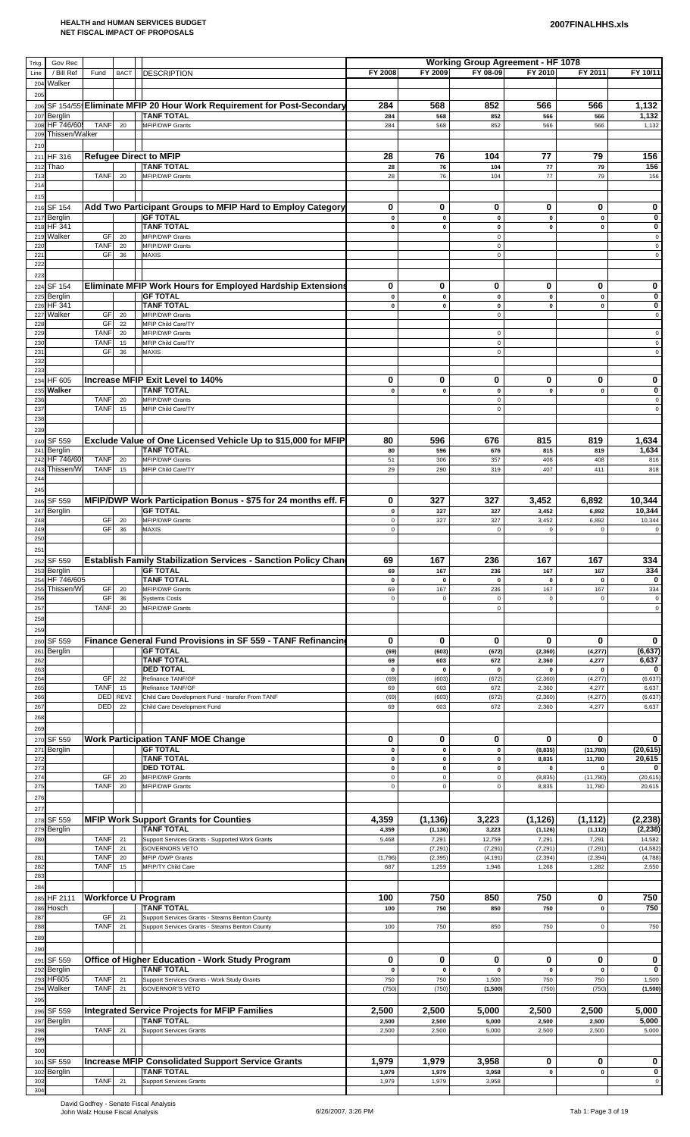| Trkg.      | Gov Rec                  |                            |                        |                                                                                 |                          |                          | <b>Working Group Agreement - HF 1078</b> |                       |                          |                      |
|------------|--------------------------|----------------------------|------------------------|---------------------------------------------------------------------------------|--------------------------|--------------------------|------------------------------------------|-----------------------|--------------------------|----------------------|
| Line       | / Bill Ref               | Fund                       | <b>BACT</b>            | <b>DESCRIPTION</b>                                                              | FY 2008                  | FY 2009                  | FY 08-09                                 | FY 2010               | FY 2011                  | FY 10/11             |
| 204        | Walker                   |                            |                        |                                                                                 |                          |                          |                                          |                       |                          |                      |
| 205        |                          |                            |                        |                                                                                 |                          |                          |                                          |                       |                          |                      |
| 206        |                          |                            |                        | SF 154/55 Eliminate MFIP 20 Hour Work Requirement for Post-Secondary            | 284                      | 568                      | 852                                      | 566                   | 566                      | 1,132                |
| 207<br>208 | Berglin<br>HF 746/605    | <b>TANF</b>                | 20                     | <b>TANF TOTAL</b><br><b>MFIP/DWP Grants</b>                                     | 284<br>284               | 568<br>568               | 852<br>852                               | 566<br>566            | 566<br>566               | 1,132<br>1,132       |
| 209        | Thissen/Walker           |                            |                        |                                                                                 |                          |                          |                                          |                       |                          |                      |
| 210        |                          |                            |                        |                                                                                 |                          |                          |                                          |                       |                          |                      |
|            | 211 HF 316               |                            |                        | <b>Refugee Direct to MFIP</b>                                                   | 28                       | 76                       | 104                                      | 77                    | 79                       | 156                  |
| 212        | Thao                     |                            |                        | <b>TANF TOTAL</b>                                                               | 28                       | 76                       | 104                                      | 77                    | 79                       | 156                  |
| 213        |                          | <b>TANF</b>                | 20                     | MFIP/DWP Grants                                                                 | 28                       | 76                       | 104                                      | 77                    | 79                       | 156                  |
| 214        |                          |                            |                        |                                                                                 |                          |                          |                                          |                       |                          |                      |
| 215        | 216 SF 154               |                            |                        | Add Two Participant Groups to MFIP Hard to Employ Category                      | 0                        | 0                        | 0                                        | 0                     | 0                        | 0                    |
| 217        | Berglin                  |                            |                        | <b>GF TOTAL</b>                                                                 | 0                        | $\pmb{0}$                | $\pmb{0}$                                | $\pmb{0}$             | $\pmb{\mathsf{o}}$       | 0                    |
| 218        | HF 341                   |                            |                        | <b>TANF TOTAL</b>                                                               | $\pmb{0}$                | 0                        | 0                                        | $\pmb{0}$             | $\pmb{0}$                | 0                    |
| 219        | Walker                   | <b>GF</b>                  | 20                     | <b>MFIP/DWP Grants</b>                                                          |                          |                          | $\mathbf 0$                              |                       |                          | 0                    |
| 220        |                          | <b>TANF</b><br><b>GF</b>   | 20<br>36               | <b>MFIP/DWP Grants</b>                                                          |                          |                          | $\mathbf 0$<br>$\mathsf 0$               |                       |                          | $\mathsf 0$<br>0     |
| 221<br>222 |                          |                            |                        | MAXIS                                                                           |                          |                          |                                          |                       |                          |                      |
| 223        |                          |                            |                        |                                                                                 |                          |                          |                                          |                       |                          |                      |
|            | 224 SF 154               |                            |                        | Eliminate MFIP Work Hours for Employed Hardship Extensions                      | 0                        | 0                        | 0                                        | 0                     | 0                        | 0                    |
| 225        | Berglin                  |                            |                        | <b>GF TOTAL</b>                                                                 | $\pmb{0}$                | $\pmb{0}$                | $\pmb{0}$                                | $\pmb{0}$             | $\pmb{0}$                | 0                    |
| 226        | HF 341                   |                            |                        | <b>TANF TOTAL</b>                                                               | 0                        | $\mathbf 0$              | 0                                        | $\mathbf 0$           | 0                        | 0                    |
| 227<br>228 | Walker                   | GF<br>GF                   | 20<br>22               | MFIP/DWP Grants<br>MFIP Child Care/TY                                           |                          |                          | $\mathbf 0$                              |                       |                          | 0                    |
| 229        |                          | <b>TANF</b>                | 20                     | <b>MFIP/DWP Grants</b>                                                          |                          |                          | $\mathbf 0$                              |                       |                          | 0                    |
| 230        |                          | <b>TANF</b>                | 15                     | MFIP Child Care/TY                                                              |                          |                          | $\mathsf 0$                              |                       |                          | 0                    |
| 231        |                          | GF                         | 36                     | <b>MAXIS</b>                                                                    |                          |                          | $\mathbf 0$                              |                       |                          | $\mathbf 0$          |
| 232<br>233 |                          |                            |                        |                                                                                 |                          |                          |                                          |                       |                          |                      |
|            | 234 HF 605               |                            |                        | Increase MFIP Exit Level to 140%                                                | 0                        | 0                        | 0                                        | 0                     | 0                        | 0                    |
| 235        | Walker                   |                            |                        | <b>TANF TOTAL</b>                                                               | 0                        | $\pmb{0}$                | $\pmb{0}$                                | $\pmb{0}$             | $\mathbf 0$              | 0                    |
| 236        |                          | <b>TANF</b>                | 20                     | MFIP/DWP Grants                                                                 |                          |                          | $\mathbf 0$                              |                       |                          | $\mathbf 0$          |
| 237        |                          | <b>TANF</b>                | 15                     | MFIP Child Care/TY                                                              |                          |                          | $\mathbf 0$                              |                       |                          | $\mathbf 0$          |
| 238        |                          |                            |                        |                                                                                 |                          |                          |                                          |                       |                          |                      |
| 239        | SF 559                   |                            |                        | Exclude Value of One Licensed Vehicle Up to \$15,000 for MFIP                   | 80                       | 596                      | 676                                      | 815                   | 819                      | 1,634                |
| 240<br>241 | Berglin                  |                            |                        | <b>TANF TOTAL</b>                                                               | 80                       | 596                      | 676                                      | 815                   | 819                      | 1,634                |
| 242        | HF 746/60                | <b>TANF</b>                | 20                     | <b>MFIP/DWP Grants</b>                                                          | 51                       | 306                      | 357                                      | 408                   | 408                      | 816                  |
| 243        | Thissen/Wa               | <b>TANF</b>                | 15                     | MFIP Child Care/TY                                                              | 29                       | 290                      | 319                                      | 407                   | 411                      | 818                  |
| 244        |                          |                            |                        |                                                                                 |                          |                          |                                          |                       |                          |                      |
| 245        |                          |                            |                        |                                                                                 |                          |                          |                                          |                       |                          |                      |
|            | 246 SF 559               |                            |                        | MFIP/DWP Work Participation Bonus - \$75 for 24 months eff. F                   | 0                        | 327                      | 327                                      | 3,452                 | 6,892                    | 10,344               |
| 247<br>248 | <b>Berglin</b>           | GF                         | 20                     | <b>GF TOTAL</b><br><b>MFIP/DWP Grants</b>                                       | $\pmb{0}$<br>$\pmb{0}$   | 327<br>327               | 327<br>327                               | 3,452<br>3,452        | 6,892<br>6,892           | 10,344<br>10,344     |
| 249        |                          | GF                         | 36                     | MAXIS                                                                           | $\pmb{0}$                |                          | $\mathbf 0$                              | $\mathbf 0$           | $\mathbf 0$              | $\mathbf 0$          |
| 250        |                          |                            |                        |                                                                                 |                          |                          |                                          |                       |                          |                      |
| 251        |                          |                            |                        |                                                                                 |                          |                          |                                          |                       |                          |                      |
|            | 252 SF 559               |                            |                        | Establish Family Stabilization Services - Sanction Policy Chan                  | 69                       | 167                      | 236                                      | 167                   | 167                      | 334                  |
| 253        | <b>Berglin</b>           |                            |                        | <b>GF TOTAL</b>                                                                 | 69                       | 167                      | 236                                      | 167                   | 167                      | 334                  |
| 254<br>255 | HF 746/605<br>Thissen/Wa | GF                         | 20                     | <b>TANF TOTAL</b><br>MFIP/DWP Grants                                            | $\pmb{0}$<br>69          | $\pmb{0}$<br>167         | $\mathbf{0}$<br>236                      | $\pmb{0}$<br>167      | $\mathbf 0$<br>167       | $\bf{0}$<br>334      |
| 256        |                          | GF                         | 36                     | <b>Systems Costs</b>                                                            | $\mathsf 0$              | 0                        | $\mathbf 0$                              | $\mathbf 0$           | $\Omega$                 | $\mathbf 0$          |
| 257        |                          | <b>TANF</b>                | 20                     | <b>MFIP/DWP Grants</b>                                                          |                          |                          | $\mathbf 0$                              |                       |                          | $\mathsf 0$          |
| 258        |                          |                            |                        |                                                                                 |                          |                          |                                          |                       |                          |                      |
| 259        |                          |                            |                        |                                                                                 |                          |                          |                                          |                       |                          |                      |
| 260        | SF 559                   |                            |                        | Finance General Fund Provisions in SF 559 - TANF Refinancing                    | 0                        | 0                        | 0                                        | 0                     | 0                        | 0                    |
| 261<br>262 | Berglin                  |                            |                        | <b>GF TOTAL</b><br><b>TANF TOTAL</b>                                            | (69)<br>69               | (603)<br>603             | (672)<br>672                             | (2, 360)<br>2,360     | (4, 277)<br>4,277        | (6, 637)<br>6,637    |
| 263        |                          |                            |                        | <b>DED TOTAL</b>                                                                | $\pmb{0}$                | $\pmb{0}$                | 0                                        | 0                     | 0                        | 0                    |
| 264        |                          | GF                         | 22                     | Refinance TANF/GF                                                               | (69)                     | (603)                    | (672)                                    | (2, 360)              | (4, 277)                 | (6, 637)             |
| 265        |                          | <b>TANF</b>                | 15                     | Refinance TANF/GF                                                               | 69                       | 603                      | 672                                      | 2,360                 | 4,277                    | 6,637                |
| 266<br>267 |                          | DED<br>DED                 | REV <sub>2</sub><br>22 | Child Care Development Fund - transfer From TANF<br>Child Care Development Fund | (69)<br>69               | (603)<br>603             | (672)<br>672                             | (2, 360)<br>2,360     | (4, 277)<br>4,277        | (6, 637)<br>6,637    |
| 268        |                          |                            |                        |                                                                                 |                          |                          |                                          |                       |                          |                      |
| 269        |                          |                            |                        |                                                                                 |                          |                          |                                          |                       |                          |                      |
|            | 270 SF 559               |                            |                        | <b>Work Participation TANF MOE Change</b>                                       | 0                        | 0                        | 0                                        | 0                     | 0                        | 0                    |
| 271        | Berglin                  |                            |                        | <b>GF TOTAL</b>                                                                 | $\pmb{0}$                | $\pmb{0}$                | $\pmb{0}$                                | (8, 835)              | (11, 780)                | (20, 615)            |
| 272        |                          |                            |                        | <b>TANF TOTAL</b>                                                               | 0                        | 0                        | $\mathbf 0$                              | 8,835                 | 11,780                   | 20,615               |
| 273<br>274 |                          | <b>GF</b>                  | 20                     | <b>DED TOTAL</b><br>MFIP/DWP Grants                                             | $\pmb{0}$<br>$\mathbf 0$ | $\pmb{0}$<br>$\mathbf 0$ | $\pmb{0}$<br>0                           | $\pmb{0}$<br>(8, 835) | $\mathbf 0$<br>(11, 780) | 0<br>(20, 615)       |
| 275        |                          | <b>TANF</b>                | 20                     | <b>MFIP/DWP Grants</b>                                                          | $\mathsf 0$              | $\mathsf 0$              | 0                                        | 8,835                 | 11,780                   | 20,615               |
| 276        |                          |                            |                        |                                                                                 |                          |                          |                                          |                       |                          |                      |
| 277        |                          |                            |                        |                                                                                 |                          |                          |                                          |                       |                          |                      |
| 278        | SF 559                   |                            |                        | <b>MFIP Work Support Grants for Counties</b>                                    | 4,359                    | (1, 136)                 | 3,223                                    | (1, 126)              | (1, 112)                 | (2, 238)             |
| 279        | Berglin                  |                            |                        | <b>TANF TOTAL</b>                                                               | 4,359                    | (1, 136)                 | 3,223                                    | (1, 126)              | (1, 112)                 | (2, 238)             |
| 280        |                          | <b>TANF</b><br><b>TANF</b> | 21                     | Support Services Grants - Supported Work Grants                                 | 5,468                    | 7,291                    | 12,759                                   | 7,291                 | 7,291                    | 14,582               |
| 281        |                          | <b>TANF</b>                | 21<br>20               | <b>GOVERNORS VETO</b><br>MFIP / DWP Grants                                      | (1,796)                  | (7, 291)<br>(2, 395)     | (7, 291)<br>(4, 191)                     | (7, 291)<br>(2, 394)  | (7, 291)<br>(2, 394)     | (14, 582)<br>(4,788) |
| 282        |                          | <b>TANF</b>                | 15                     | MFIP/TY Child Care                                                              | 687                      | 1,259                    | 1,946                                    | 1,268                 | 1,282                    | 2,550                |
| 283        |                          |                            |                        |                                                                                 |                          |                          |                                          |                       |                          |                      |
| 284        |                          |                            |                        |                                                                                 |                          |                          |                                          |                       |                          |                      |
|            | 285 HF 2111              |                            |                        | <b>Workforce U Program</b>                                                      | 100                      | 750                      | 850                                      | 750                   | 0                        | 750                  |
| 286<br>287 | Hosch                    | GF                         | 21                     | <b>TANF TOTAL</b><br>Support Services Grants - Stearns Benton County            | 100                      | 750                      | 850                                      | 750                   | $\mathbf 0$              | 750                  |
| 288        |                          | <b>TANF</b>                | 21                     | Support Services Grants - Stearns Benton County                                 | 100                      | 750                      | 850                                      | 750                   | 0                        | 750                  |
| 289        |                          |                            |                        |                                                                                 |                          |                          |                                          |                       |                          |                      |
| 290        |                          |                            |                        |                                                                                 |                          |                          |                                          |                       |                          |                      |
| 291        | SF 559                   |                            |                        | Office of Higher Education - Work Study Program                                 | 0                        | 0                        | 0                                        | 0                     | 0                        | 0                    |
| 292        | Berglin                  |                            |                        | <b>TANF TOTAL</b>                                                               | $\pmb{0}$                | $\pmb{0}$                | $\pmb{0}$                                | $\pmb{0}$             | $\pmb{\mathsf{o}}$       | 0                    |
| 293        | HF605                    | <b>TANF</b>                | 21                     | Support Services Grants - Work Study Grants                                     | 750                      | 750                      | 1,500                                    | 750                   | 750                      | 1,500                |
| 294        | Walker                   | <b>TANF</b>                | 21                     | <b>GOVERNOR'S VETO</b>                                                          | (750)                    | (750)                    | (1,500)                                  | (750)                 | (750)                    | (1,500)              |
| 295        |                          |                            |                        |                                                                                 |                          |                          |                                          |                       |                          |                      |
| 296<br>297 | SF 559<br><b>Berglin</b> |                            |                        | <b>Integrated Service Projects for MFIP Families</b><br><b>TANF TOTAL</b>       | 2,500<br>2,500           | 2,500<br>2,500           | 5,000<br>5,000                           | 2,500<br>2,500        | 2,500<br>2,500           | 5,000<br>5,000       |
| 298        |                          | <b>TANF</b>                | 21                     | <b>Support Services Grants</b>                                                  | 2,500                    | 2,500                    | 5,000                                    | 2,500                 | 2,500                    | 5,000                |
| 299        |                          |                            |                        |                                                                                 |                          |                          |                                          |                       |                          |                      |
| 300        |                          |                            |                        |                                                                                 |                          |                          |                                          |                       |                          |                      |
| 301        | SF 559                   |                            |                        | <b>Increase MFIP Consolidated Support Service Grants</b>                        | 1,979                    | 1,979                    | 3,958                                    | 0                     | 0                        | 0                    |
|            | 302 Berglin              |                            |                        | TANF TOTAL                                                                      | 1,979                    | 1,979                    | 3,958                                    | 0                     | 0                        | 0                    |
| 303        |                          | <b>TANF</b>                | 21                     | <b>Support Services Grants</b>                                                  | 1,979                    | 1,979                    | 3,958                                    |                       |                          | $\mathsf 0$          |
| 304        |                          |                            |                        |                                                                                 |                          |                          |                                          |                       |                          |                      |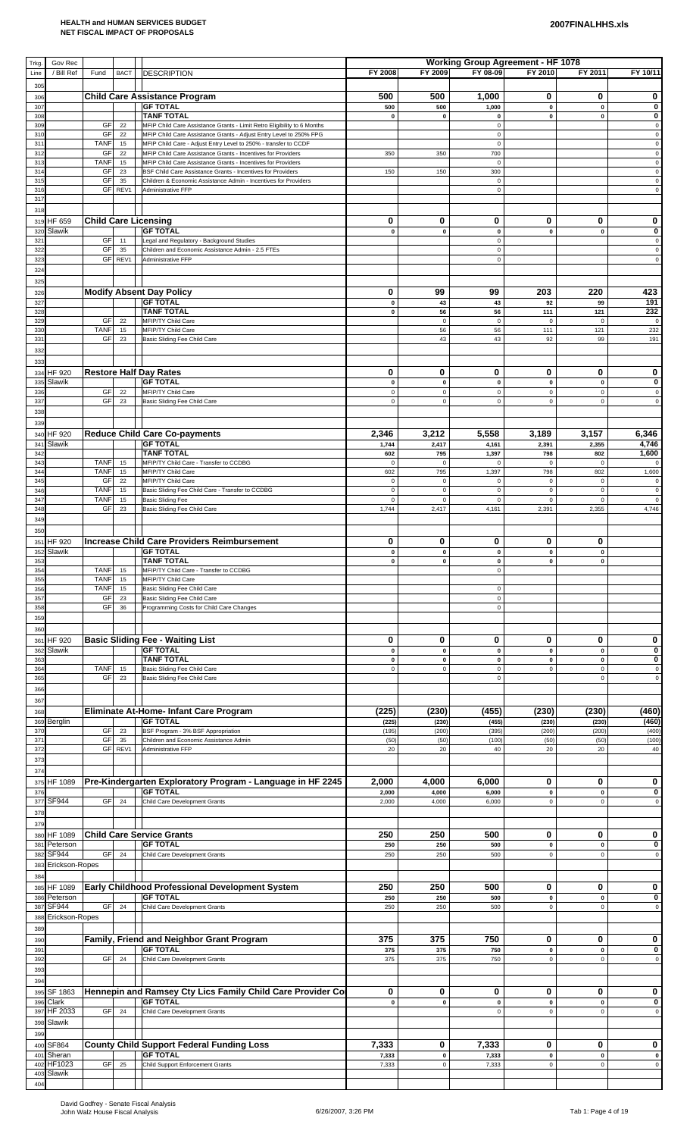| Trkg.                  | Gov Rec                  |                          |             |                                                                                                                                       |                            |                            | <b>Working Group Agreement - HF 1078</b> |                            |                            |                            |
|------------------------|--------------------------|--------------------------|-------------|---------------------------------------------------------------------------------------------------------------------------------------|----------------------------|----------------------------|------------------------------------------|----------------------------|----------------------------|----------------------------|
| Line                   | / Bill Ref               | Fund                     | <b>BACT</b> | <b>DESCRIPTION</b>                                                                                                                    | FY 2008                    | FY 2009                    | FY 08-09                                 | FY 2010                    | FY 2011                    | FY 10/11                   |
| 305<br>306             |                          |                          |             | <b>Child Care Assistance Program</b>                                                                                                  | 500                        | 500                        | 1,000                                    | 0                          | 0                          | 0                          |
| 30 <sup>°</sup>        |                          |                          |             | <b>GF TOTAL</b>                                                                                                                       | 500                        | 500                        | 1,000                                    | $\pmb{0}$                  | $\pmb{0}$                  | $\bf{0}$                   |
| 308<br>309             |                          | GF                       | 22          | <b>TANF TOTAL</b><br>MFIP Child Care Assistance Grants - Limit Retro Eligibility to 6 Months                                          | 0                          | $\pmb{0}$                  | 0<br>$\mathsf 0$                         | $\mathbf 0$                | 0                          | 0<br>$\mathsf 0$           |
| 31(<br>31              |                          | GF<br><b>TANF</b>        | 22<br>15    | MFIP Child Care Assistance Grants - Adjust Entry Level to 250% FPG<br>MFIP Child Care - Adjust Entry Level to 250% - transfer to CCDF |                            |                            | $\mathbf 0$<br>$\mathbf 0$               |                            |                            | 0<br>$\mathbf 0$           |
| 312                    |                          | GF                       | 22          | MFIP Child Care Assistance Grants - Incentives for Providers                                                                          | 350                        | 350                        | 700                                      |                            |                            | $\mathsf 0$                |
| 313<br>31 <sub>6</sub> |                          | <b>TANF</b><br>GF        | 15<br>23    | MFIP Child Care Assistance Grants - Incentives for Providers<br>BSF Child Care Assistance Grants - Incentives for Providers           | 150                        | 150                        | $\mathbf 0$<br>300                       |                            |                            | $\mathsf 0$<br>$\mathsf 0$ |
| 315<br>316             |                          | GF<br>GF                 | 35<br>REV1  | Children & Economic Assistance Admin - Incentives for Providers<br>Administrative FFP                                                 |                            |                            | $\mathsf 0$<br>$\mathsf 0$               |                            |                            | $\mathbf 0$<br>$\mathbf 0$ |
| 317                    |                          |                          |             |                                                                                                                                       |                            |                            |                                          |                            |                            |                            |
| 318                    |                          |                          |             |                                                                                                                                       | $\bf{0}$                   | 0                          | 0                                        | 0                          | 0                          | 0                          |
| 320                    | 319 HF 659<br>Slawik     |                          |             | <b>Child Care Licensing</b><br><b>GF TOTAL</b>                                                                                        | $\pmb{0}$                  | $\mathbf 0$                | $\pmb{0}$                                | $\mathbf 0$                | $\mathbf{0}$               | $\pmb{0}$                  |
| 32 <sup>°</sup><br>322 |                          | <b>GF</b><br>GF          | 11<br>35    | Legal and Regulatory - Background Studies<br>Children and Economic Assistance Admin - 2.5 FTEs                                        |                            |                            | $\mathsf 0$<br>$\mathsf 0$               |                            |                            | $\mathbf 0$<br>$\mathsf 0$ |
| 32                     |                          | GF                       | REV1        | Administrative FFP                                                                                                                    |                            |                            | $\mathsf 0$                              |                            |                            | $\mathsf 0$                |
| 324<br>325             |                          |                          |             |                                                                                                                                       |                            |                            |                                          |                            |                            |                            |
| 326                    |                          |                          |             | <b>Modify Absent Day Policy</b>                                                                                                       | 0                          | 99                         | 99                                       | 203                        | 220                        | 423                        |
| 327<br>328             |                          |                          |             | <b>GF TOTAL</b><br><b>TANF TOTAL</b>                                                                                                  | $\pmb{0}$<br>$\pmb{0}$     | 43<br>56                   | 43<br>56                                 | 92<br>111                  | 99<br>121                  | 191<br>232                 |
| 329                    |                          | GF                       | 22          | MFIP/TY Child Care                                                                                                                    |                            | $\pmb{0}$                  | $\mathsf 0$                              | $\mathsf 0$                | $\mathbf 0$                | $\mathbf 0$                |
| 33<br>331              |                          | <b>TANF</b><br><b>GF</b> | 15<br>23    | MFIP/TY Child Care<br>Basic Sliding Fee Child Care                                                                                    |                            | 56<br>43                   | 56<br>43                                 | 111<br>92                  | 121<br>99                  | 232<br>191                 |
| 332                    |                          |                          |             |                                                                                                                                       |                            |                            |                                          |                            |                            |                            |
| 333<br>334             | <b>HF 920</b>            |                          |             | <b>Restore Half Day Rates</b>                                                                                                         | 0                          | 0                          | 0                                        | 0                          | 0                          | 0                          |
| 335                    | Slawik                   |                          |             | <b>GF TOTAL</b>                                                                                                                       | $\pmb{0}$                  | $\pmb{0}$                  | $\pmb{0}$                                | $\pmb{0}$                  | $\pmb{0}$                  | 0                          |
| 33<br>337              |                          | GF<br>GF                 | 22<br>23    | MFIP/TY Child Care<br>Basic Sliding Fee Child Care                                                                                    | $\mathsf 0$<br>$\mathbf 0$ | $\mathsf 0$<br>$\mathsf 0$ | $\mathbf 0$<br>$\mathbf 0$               | $\mathsf 0$<br>$\mathsf 0$ | $\mathbf 0$<br>$\mathbf 0$ | 0<br>$\mathsf 0$           |
| 338                    |                          |                          |             |                                                                                                                                       |                            |                            |                                          |                            |                            |                            |
| 339<br>340             | <b>HF 920</b>            |                          |             | <b>Reduce Child Care Co-payments</b>                                                                                                  | 2,346                      | 3,212                      | 5,558                                    | 3,189                      | 3,157                      | 6,346                      |
| 341                    | Slawik                   |                          |             | <b>GF TOTAL</b>                                                                                                                       | 1,744                      | 2,417                      | 4,161                                    | 2,391                      | 2,355                      | 4,746                      |
| 342<br>34              |                          | <b>TANF</b>              | 15          | <b>TANF TOTAL</b><br>MFIP/TY Child Care - Transfer to CCDBG                                                                           | 602<br>$\mathbf 0$         | 795<br>$\pmb{0}$           | 1,397<br>$\mathbf 0$                     | 798<br>$\mathsf 0$         | 802<br>$\mathbf 0$         | 1,600                      |
| 344<br>345             |                          | <b>TANF</b><br>GF        | 15<br>22    | MFIP/TY Child Care<br>MFIP/TY Child Care                                                                                              | 602<br>$\mathbf 0$         | 795<br>$\mathsf 0$         | 1,397<br>$\mathbf 0$                     | 798<br>$\mathsf 0$         | 802<br>$\mathsf 0$         | 1,600<br>$\mathbf 0$       |
| 346                    |                          | <b>TANF</b>              | 15          | Basic Sliding Fee Child Care - Transfer to CCDBG                                                                                      | $\mathbf 0$                | $\mathsf 0$                | $\mathsf 0$                              | $\mathsf 0$                | $\mathbf 0$                | $\mathbf 0$                |
| 347<br>348             |                          | <b>TANF</b><br>GF        | 15<br>23    | <b>Basic Sliding Fee</b><br>Basic Sliding Fee Child Care                                                                              | $\mathbf 0$<br>1,744       | $\mathsf 0$<br>2,417       | $\mathbf 0$<br>4,161                     | $\mathsf 0$<br>2,391       | $\pmb{0}$<br>2,355         | 0<br>4,746                 |
| 349                    |                          |                          |             |                                                                                                                                       |                            |                            |                                          |                            |                            |                            |
| 350                    | <b>HF 920</b>            |                          |             | Increase Child Care Providers Reimbursement                                                                                           | 0                          | 0                          | 0                                        | 0                          | 0                          |                            |
| 351                    | 352 Slawik               |                          |             | <b>GF TOTAL</b>                                                                                                                       | $\pmb{0}$                  | $\pmb{0}$                  | $\pmb{0}$                                | $\pmb{0}$                  | $\pmb{0}$                  |                            |
| 353<br>354             |                          | <b>TANF</b>              | 15          | <b>TANF TOTAL</b><br>MFIP/TY Child Care - Transfer to CCDBG                                                                           | 0                          | 0                          | 0<br>$\mathsf 0$                         | 0                          | 0                          |                            |
| 355                    |                          | <b>TANF</b>              | 15          | MFIP/TY Child Care                                                                                                                    |                            |                            |                                          |                            |                            |                            |
| 356<br>35              |                          | <b>TANF</b><br>GF        | 15<br>23    | Basic Sliding Fee Child Care<br>Basic Sliding Fee Child Care                                                                          |                            |                            | $\mathbf 0$<br>$\mathbf 0$               |                            |                            |                            |
| 358                    |                          | GF                       | 36          | Programming Costs for Child Care Changes                                                                                              |                            |                            | $\mathbf 0$                              |                            |                            |                            |
| 359<br>360             |                          |                          |             |                                                                                                                                       |                            |                            |                                          |                            |                            |                            |
| 361                    | <b>HF 920</b>            |                          |             | <b>Basic Sliding Fee - Waiting List</b>                                                                                               | 0                          | 0                          | 0                                        | 0                          | 0                          | 0                          |
| 362<br>363             | Slawik                   |                          |             | <b>GF TOTAL</b><br><b>TANF TOTAL</b>                                                                                                  | 0<br>0                     | $\mathbf 0$<br>$\pmb{0}$   | $\pmb{0}$<br>$\mathbf{0}$                | $\pmb{0}$<br>$\pmb{0}$     | $\mathbf 0$<br>$\pmb{0}$   | 0<br>0                     |
| 36 <sub>4</sub><br>365 |                          | <b>TANF</b><br>GF        | 15<br>23    | Basic Sliding Fee Child Care<br>Basic Sliding Fee Child Care                                                                          | $\mathsf 0$                | $\mathsf 0$                | $\mathbf 0$<br>$\mathbf 0$               | $\mathsf 0$                | $\mathbf 0$<br>$\mathbf 0$ | $\mathsf 0$<br>$\mathsf 0$ |
| 366                    |                          |                          |             |                                                                                                                                       |                            |                            |                                          |                            |                            |                            |
| 367                    |                          |                          |             |                                                                                                                                       |                            |                            |                                          |                            |                            |                            |
| 368<br>369             | <b>Berglin</b>           |                          |             | Eliminate At-Home- Infant Care Program<br><b>GF TOTAL</b>                                                                             | (225)<br>(225)             | (230)<br>(230)             | (455)<br>(455)                           | (230)<br>(230)             | (230)<br>(230)             | (460)<br>(460)             |
| 370<br>37              |                          | GF<br>GF                 | 23<br>35    | BSF Program - 3% BSF Appropriation<br>Children and Economic Assistance Admin                                                          | (195)<br>(50)              | (200)<br>(50)              | (395)<br>(100)                           | (200)<br>(50)              | (200)<br>(50)              | (400)<br>(100)             |
| 372                    |                          | <b>GF</b>                | REV1        | Administrative FFP                                                                                                                    | 20                         | 20                         | 40                                       | 20                         | 20                         | 40                         |
| 373<br>374             |                          |                          |             |                                                                                                                                       |                            |                            |                                          |                            |                            |                            |
| 375                    | HF 1089                  |                          |             | Pre-Kindergarten Exploratory Program - Language in HF 2245                                                                            | 2,000                      | 4,000                      | 6,000                                    | 0                          | 0                          | 0                          |
| 376<br>377             | SF944                    | GF                       | 24          | <b>GF TOTAL</b><br>Child Care Development Grants                                                                                      | 2,000<br>2,000             | 4,000<br>4,000             | 6,000<br>6,000                           | $\mathbf 0$<br>$\mathsf 0$ | $\pmb{0}$<br>0             | 0<br>$\mathbf 0$           |
| 378                    |                          |                          |             |                                                                                                                                       |                            |                            |                                          |                            |                            |                            |
| 379                    |                          |                          |             |                                                                                                                                       |                            |                            |                                          |                            |                            |                            |
| 380<br>38 <sup>°</sup> | HF 1089<br>Peterson      |                          |             | <b>Child Care Service Grants</b><br><b>GF TOTAL</b>                                                                                   | 250<br>250                 | 250<br>250                 | 500<br>500                               | 0<br>$\pmb{0}$             | 0<br>$\mathbf 0$           | 0<br>0                     |
| 382                    | SF944                    | GF                       | 24          | Child Care Development Grants                                                                                                         | 250                        | 250                        | 500                                      | $\mathsf 0$                | $\mathbf 0$                | $\mathbf 0$                |
| 38<br>384              | Erickson-Ropes           |                          |             |                                                                                                                                       |                            |                            |                                          |                            |                            |                            |
| 385                    | HF 1089                  |                          |             | Early Childhood Professional Development System                                                                                       | 250                        | 250                        | 500                                      | 0                          | 0                          | 0                          |
| 386<br>387             | Peterson<br><b>SF944</b> | GF                       | 24          | <b>GF TOTAL</b><br>Child Care Development Grants                                                                                      | 250<br>250                 | 250<br>250                 | 500<br>500                               | $\mathbf 0$<br>$\mathsf 0$ | $\pmb{0}$<br>$\mathbf 0$   | 0<br>$\mathbf 0$           |
| 388                    | Erickson-Ropes           |                          |             |                                                                                                                                       |                            |                            |                                          |                            |                            |                            |
| 389                    |                          |                          |             | Family, Friend and Neighbor Grant Program                                                                                             | 375                        | 375                        | 750                                      | 0                          | 0                          | 0                          |
| 390<br>39 <sup>°</sup> |                          |                          |             | <b>GF TOTAL</b>                                                                                                                       | 375                        | 375                        | 750                                      | $\pmb{0}$                  | $\mathbf 0$                | 0                          |
| 39<br>39               |                          | GF                       | 24          | Child Care Development Grants                                                                                                         | 375                        | 375                        | 750                                      | $\mathsf 0$                | $\Omega$                   | $\mathbf 0$                |
| 394                    |                          |                          |             |                                                                                                                                       |                            |                            |                                          |                            |                            |                            |
| 395                    | SF 1863                  |                          |             | Hennepin and Ramsey Cty Lics Family Child Care Provider Co                                                                            | 0                          | 0                          | 0                                        | 0                          | 0                          | 0                          |
| 396                    | Clark<br>397 HF 2033     | GF                       | 24          | <b>GF TOTAL</b><br>Child Care Development Grants                                                                                      | 0                          | $\mathbf 0$                | $\pmb{0}$<br>$\mathbf 0$                 | $\mathbf 0$<br>$\mathbf 0$ | $\mathbf 0$<br>$\Omega$    | 0<br>$\mathbf 0$           |
| 398                    | Slawik                   |                          |             |                                                                                                                                       |                            |                            |                                          |                            |                            |                            |
| 399<br>40C             | SF864                    |                          |             | <b>County Child Support Federal Funding Loss</b>                                                                                      | 7,333                      | 0                          | 7,333                                    | 0                          | 0                          | 0                          |
| 40 <sup>°</sup>        | Sheran                   |                          |             | <b>GF TOTAL</b>                                                                                                                       | 7,333                      | $\pmb{0}$                  | 7,333                                    | $\pmb{0}$                  | $\mathbf 0$                | 0                          |
| 402                    | HF1023<br>403 Slawik     |                          |             | GF 25   Child Support Enforcement Grants                                                                                              | 7,333                      | $\Omega$                   | 7,333                                    | $\Omega$                   | $\Omega$                   |                            |
| 404                    |                          |                          |             |                                                                                                                                       |                            |                            |                                          |                            |                            |                            |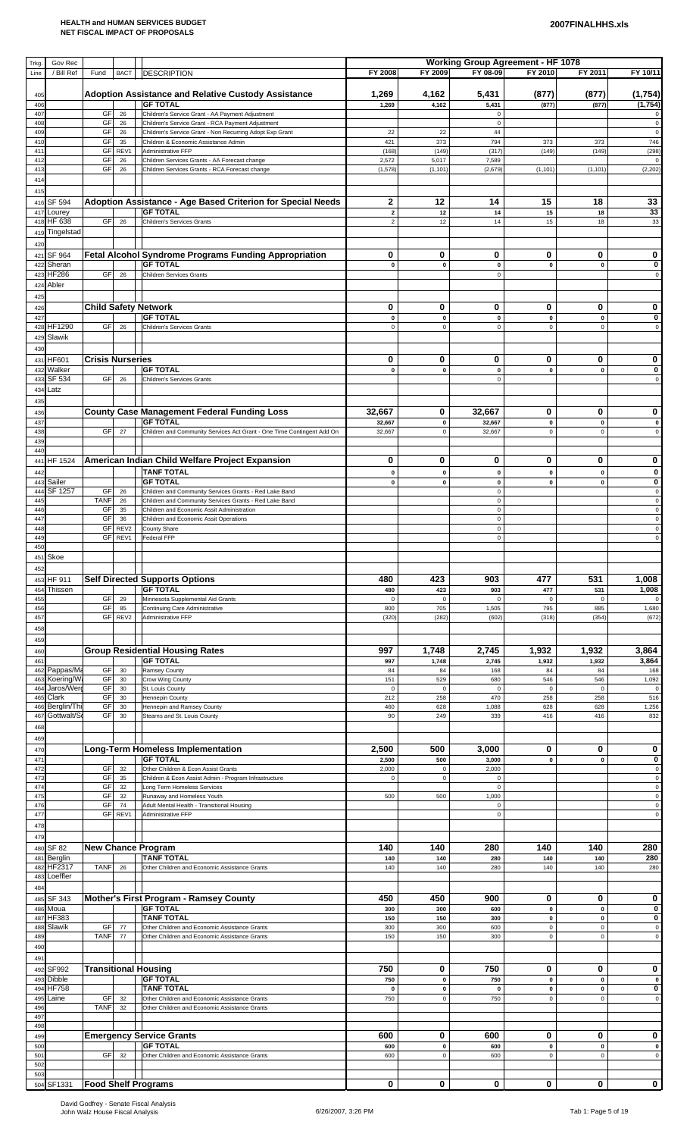| Trkg.<br>Line          | Gov Rec<br>/ Bill Ref         | Fund                    | <b>BACT</b> | <b>DESCRIPTION</b>                                                                                               | FY 2008                  | FY 2009                  | <b>Working Group Agreement - HF 1078</b><br>FY 08-09 | FY 2010                           | FY 2011                    | FY 10/11                           |
|------------------------|-------------------------------|-------------------------|-------------|------------------------------------------------------------------------------------------------------------------|--------------------------|--------------------------|------------------------------------------------------|-----------------------------------|----------------------------|------------------------------------|
| 405                    |                               |                         |             | <b>Adoption Assistance and Relative Custody Assistance</b>                                                       | 1,269                    | 4,162                    | 5,431                                                | (877)                             | (877)                      | (1,754)                            |
| 406<br>407             |                               | GF                      | 26          | <b>GF TOTAL</b><br>Children's Service Grant - AA Payment Adjustment                                              | 1,269                    | 4,162                    | 5,431<br>$\mathbf 0$                                 | (877)                             | (877)                      | (1,754)<br>0                       |
| 40                     |                               | GF<br>GF                | 26          | Children's Service Grant - RCA Payment Adjustment                                                                |                          |                          | $\Omega$<br>44                                       |                                   |                            | $\mathsf 0$<br>$\mathbf 0$         |
| 40<br>410              |                               | GF                      | 26<br>35    | Children's Service Grant - Non Recurring Adopt Exp Grant<br>Children & Economic Assistance Admin                 | 22<br>421                | 22<br>373                | 794                                                  | 373                               | 373                        | 746                                |
| 41<br>41:              |                               | GF<br>GF                | REV1<br>26  | Administrative FFP<br>Children Services Grants - AA Forecast change                                              | (168)<br>2,572           | (149)<br>5,017           | (317)<br>7,589                                       | (149)                             | (149)                      | (298)<br>$\mathbf 0$               |
| 413<br>414             |                               | GF                      | 26          | Children Services Grants - RCA Forecast change                                                                   | (1, 578)                 | (1, 101)                 | (2,679)                                              | (1, 101)                          | (1, 101)                   | (2, 202)                           |
| 415                    |                               |                         |             |                                                                                                                  |                          |                          |                                                      |                                   |                            |                                    |
| 416<br>417             | SF 594<br>Lourey              |                         |             | Adoption Assistance - Age Based Criterion for Special Needs<br><b>GF TOTAL</b>                                   | 2<br>$\mathbf 2$         | 12<br>12                 | 14<br>14                                             | 15<br>15                          | 18<br>18                   | 33<br>33                           |
| 418                    | HF 638                        | GF                      | 26          | <b>Children's Services Grants</b>                                                                                | $\overline{c}$           | 12                       | 14                                                   | 15                                | 18                         | 33                                 |
| 419<br>420             | Tingelstad                    |                         |             |                                                                                                                  |                          |                          |                                                      |                                   |                            |                                    |
| 421<br>42              | SF 964<br>Sheran              |                         |             | <b>Fetal Alcohol Syndrome Programs Funding Appropriation</b><br><b>GF TOTAL</b>                                  | 0<br>0                   | 0<br>$\mathbf 0$         | 0<br>$\pmb{0}$                                       | 0<br>$\mathbf 0$                  | 0<br>$\mathbf 0$           | 0<br>0                             |
| 423                    | <b>HF286</b>                  | GF                      | 26          | <b>Children Services Grants</b>                                                                                  |                          |                          | $\mathbf 0$                                          |                                   |                            | $\mathbf 0$                        |
| 424<br>425             | Abler                         |                         |             |                                                                                                                  |                          |                          |                                                      |                                   |                            |                                    |
| 426                    |                               |                         |             | <b>Child Safety Network</b><br><b>GF TOTAL</b>                                                                   | 0                        | 0                        | 0                                                    | 0                                 | 0                          | 0                                  |
| 427<br>428             | HF1290                        | GF                      | 26          | <b>Children's Services Grants</b>                                                                                | $\pmb{0}$<br>$\mathbf 0$ | $\pmb{0}$<br>$\pmb{0}$   | $\pmb{0}$<br>$\mathsf 0$                             | $\pmb{\mathsf{o}}$<br>$\mathbf 0$ | $\pmb{0}$<br>$\mathbf 0$   | $\bf{0}$<br>$\mathsf 0$            |
| 429<br>430             | Slawik                        |                         |             |                                                                                                                  |                          |                          |                                                      |                                   |                            |                                    |
| 431                    | HF601                         | <b>Crisis Nurseries</b> |             |                                                                                                                  | 0                        | 0                        | 0                                                    | 0                                 | 0                          | 0                                  |
| 43<br>433              | Walker<br>SF 534              | GF                      | 26          | <b>GF TOTAL</b><br>Children's Services Grants                                                                    | 0                        | $\mathbf 0$              | 0<br>$\mathbf 0$                                     | $\mathbf 0$                       | $\mathbf 0$                | 0<br>$\mathbf 0$                   |
| 434                    | Latz                          |                         |             |                                                                                                                  |                          |                          |                                                      |                                   |                            |                                    |
| 435<br>436             |                               |                         |             | <b>County Case Management Federal Funding Loss</b>                                                               | 32,667                   | 0                        | 32,667                                               | 0                                 | 0                          | 0                                  |
| 437<br>438             |                               | GF                      | 27          | <b>GF TOTAL</b><br>Children and Community Services Act Grant - One Time Contingent Add On                        | 32,667<br>32,667         | $\pmb{0}$<br>$\pmb{0}$   | 32,667<br>32,667                                     | $\pmb{0}$<br>$\mathsf 0$          | $\pmb{0}$<br>$\mathbf 0$   | 0<br>$\mathsf 0$                   |
| 43<br>440              |                               |                         |             |                                                                                                                  |                          |                          |                                                      |                                   |                            |                                    |
| 44                     | HF 1524                       |                         |             | American Indian Child Welfare Project Expansion                                                                  | 0                        | 0                        | 0                                                    | 0                                 | 0                          | 0                                  |
| 442<br>44              | Sailer                        |                         |             | <b>TANF TOTAL</b><br><b>GF TOTAL</b>                                                                             | $\mathbf{0}$<br>0        | $\mathbf 0$<br>$\pmb{0}$ | $\pmb{0}$<br>0                                       | $\mathbf 0$<br>$\mathbf 0$        | $\pmb{0}$<br>$\mathbf{0}$  | 0<br>0                             |
| 444<br>445             | SF 1257                       | GF<br><b>TANF</b>       | 26<br>26    | Children and Community Services Grants - Red Lake Band<br>Children and Community Services Grants - Red Lake Band |                          |                          | $\mathsf 0$<br>0                                     |                                   |                            | $\mathsf 0$<br>$\mathsf 0$         |
| 446                    |                               | GF                      | 35          | Children and Economic Assit Administration                                                                       |                          |                          | $\mathsf 0$                                          |                                   |                            | $\mathsf 0$                        |
| 44<br>448              |                               | GF<br>GF                | 36<br>REV2  | Children and Economic Assit Operations<br>County Share                                                           |                          |                          | $\mathbf 0$<br>$\pmb{0}$                             |                                   |                            | $\mathbf 0$<br>$\mathsf 0$         |
| 449<br>450             |                               | GF                      | REV1        | Federal FFP                                                                                                      |                          |                          | $\mathbf 0$                                          |                                   |                            | $\mathsf 0$                        |
| 451                    | Skoe                          |                         |             |                                                                                                                  |                          |                          |                                                      |                                   |                            |                                    |
| 452<br>453             | HF 911                        |                         |             | <b>Self Directed Supports Options</b>                                                                            | 480                      | 423                      | 903                                                  | 477                               | 531                        | 1,008                              |
| 45 <sub>6</sub><br>455 | Thissen                       | GF                      | 29          | <b>GF TOTAL</b><br>Minnesota Supplemental Aid Grants                                                             | 480<br>$\mathbf 0$       | 423<br>$\mathbf 0$       | 903<br>$\pmb{0}$                                     | 477<br>$\mathbf 0$                | 531<br>$\mathbf 0$         | 1,008                              |
| 456<br>457             |                               | GF<br>GF                | 85<br>REV2  | Continuing Care Administrative<br>Administrative FFP                                                             | 800<br>(320)             | 705<br>(282)             | 1,505<br>(602)                                       | 795<br>(318)                      | 885<br>(354)               | 1,680<br>(672)                     |
| 458                    |                               |                         |             |                                                                                                                  |                          |                          |                                                      |                                   |                            |                                    |
| 459<br>460             |                               |                         |             | <b>Group Residential Housing Rates</b>                                                                           | 997                      | 1,748                    | 2,745                                                | 1,932                             | 1,932                      | 3,864                              |
| 46<br>462              | Pappas/Ma                     | GF                      | 30          | <b>GF TOTAL</b><br>Ramsey County                                                                                 | 997<br>84                | 1,748<br>84              | 2,745<br>168                                         | 1,932<br>84                       | 1,932<br>84                | 3,864<br>168                       |
| 463                    | Koering/Wa<br>Jaros/Werd      | GF                      | 30          | Crow Wing County                                                                                                 | 151                      | 529                      | 680                                                  | 546                               | 546                        | 1,092                              |
| 464<br>46              | Clark                         | GF<br>GF                | 30<br>30    | St. Louis County<br><b>Hennepin County</b>                                                                       | $\mathsf 0$<br>212       | $\mathbf 0$<br>258       | $\pmb{0}$<br>470                                     | $\mathbf 0$<br>258                | $\mathbf 0$<br>258         | $\mathbf 0$<br>516                 |
| 466<br>467             | Berglin/Thi<br>Gottwalt/So    | GF<br>GF                | 30<br>30    | Hennepin and Ramsey County<br>Stearns and St. Louis County                                                       | 460<br>90                | 628<br>249               | 1,088<br>339                                         | 628<br>416                        | 628<br>416                 | 1,256<br>832                       |
| 468<br>469             |                               |                         |             |                                                                                                                  |                          |                          |                                                      |                                   |                            |                                    |
| 470                    |                               |                         |             | <b>Long-Term Homeless Implementation</b>                                                                         | 2,500                    | 500                      | 3,000                                                | 0                                 | 0                          | 0                                  |
| 47<br>472              |                               | GF                      | 32          | <b>GF TOTAL</b><br>Other Children & Econ Assist Grants                                                           | 2,500<br>2,000           | 500<br>$\pmb{0}$         | 3,000<br>2,000                                       | $\pmb{0}$                         | $\mathbf 0$                | 0<br>$\mathsf 0$                   |
| 473<br>474             |                               | GF<br>GF                | 35<br>32    | Children & Econ Assist Admin - Program Infrastructure<br>Long Term Homeless Services                             | $\mathbf 0$              | $\mathbf 0$              | $\mathsf 0$<br>$\mathsf 0$                           |                                   |                            | $\mathsf 0$<br>$\mathsf 0$         |
| 47<br>476              |                               | GF<br>GF                | 32<br>74    | Runaway and Homeless Youth<br>Adult Mental Health - Transitional Housing                                         | 500                      | 500                      | 1,000<br>$\mathbf 0$                                 |                                   |                            | $\mathsf 0$<br>$\mathsf 0$         |
| 477                    |                               | GF                      | REV1        | Administrative FFP                                                                                               |                          |                          | $\mathbf 0$                                          |                                   |                            | $\mathsf 0$                        |
| 478<br>479             |                               |                         |             |                                                                                                                  |                          |                          |                                                      |                                   |                            |                                    |
| 480<br>481             | <b>SF 82</b><br>Berglin       |                         |             | <b>New Chance Program</b><br><b>TANF TOTAL</b>                                                                   | 140<br>140               | 140<br>140               | 280<br>280                                           | 140<br>140                        | 140<br>140                 | 280<br>280                         |
| 482                    | HF2317                        | <b>TANF</b>             | 26          | Other Children and Economic Assistance Grants                                                                    | 140                      | 140                      | 280                                                  | 140                               | 140                        | 280                                |
| 483<br>484             | Loeffler                      |                         |             |                                                                                                                  |                          |                          |                                                      |                                   |                            |                                    |
| 485<br>486             | SF 343<br>Moua                |                         |             | Mother's First Program - Ramsey County<br><b>GF TOTAL</b>                                                        | 450<br>300               | 450<br>300               | 900<br>600                                           | 0<br>$\mathbf{0}$                 | 0<br>$\mathbf 0$           | 0<br>0                             |
| 487                    | <b>HF383</b>                  |                         |             | <b>TANF TOTAL</b>                                                                                                | 150                      | 150                      | 300                                                  | $\pmb{0}$                         | $\pmb{0}$                  | 0                                  |
| 488<br>489             | Slawik                        | GF<br><b>TANF</b>       | 77<br>77    | Other Children and Economic Assistance Grants<br>Other Children and Economic Assistance Grants                   | 300<br>150               | 300<br>150               | 600<br>300                                           | $\mathsf 0$<br>$\mathsf 0$        | $\mathsf 0$<br>$\mathsf 0$ | $\mathsf 0$<br>$\mathsf{O}\xspace$ |
| 490<br>49              |                               |                         |             |                                                                                                                  |                          |                          |                                                      |                                   |                            |                                    |
| 492                    | SF992                         |                         |             | <b>Transitional Housing</b>                                                                                      | 750                      | 0                        | 750                                                  | 0                                 | 0                          | 0                                  |
| 493<br>49              | <b>Dibble</b><br><b>HF758</b> |                         |             | <b>GF TOTAL</b><br><b>TANF TOTAL</b>                                                                             | 750<br>$\mathbf{0}$      | $\pmb{0}$<br>$\pmb{0}$   | 750<br>$\pmb{0}$                                     | $\pmb{0}$<br>$\mathbf 0$          | $\mathbf{0}$<br>$\pmb{0}$  | $\mathbf 0$<br>0                   |
| 495<br>496             | Laine                         | GF<br><b>TANF</b>       | 32<br>32    | Other Children and Economic Assistance Grants<br>Other Children and Economic Assistance Grants                   | 750                      | $\pmb{0}$                | 750                                                  | $\mathbf 0$                       | $\mathsf 0$                | $\mathsf 0$                        |
| 49<br>498              |                               |                         |             |                                                                                                                  |                          |                          |                                                      |                                   |                            |                                    |
| 49                     |                               |                         |             | <b>Emergency Service Grants</b>                                                                                  | 600                      | 0                        | 600                                                  | 0                                 | 0                          | 0                                  |
| 50<br>50 <sup>°</sup>  |                               | GF                      | 32          | <b>GF TOTAL</b><br>Other Children and Economic Assistance Grants                                                 | 600<br>600               | $\pmb{0}$<br>$\pmb{0}$   | 600<br>600                                           | $\pmb{0}$<br>$\mathbf 0$          | $\pmb{0}$<br>$\mathsf 0$   | $\pmb{0}$<br>$\mathsf 0$           |
| 50<br>503              |                               |                         |             |                                                                                                                  |                          |                          |                                                      |                                   |                            |                                    |
|                        | 504 SF1331                    |                         |             | <b>Food Shelf Programs</b>                                                                                       | $\mathbf 0$              | 0                        | 0                                                    | 0                                 | 0                          | $\mathbf{0}$                       |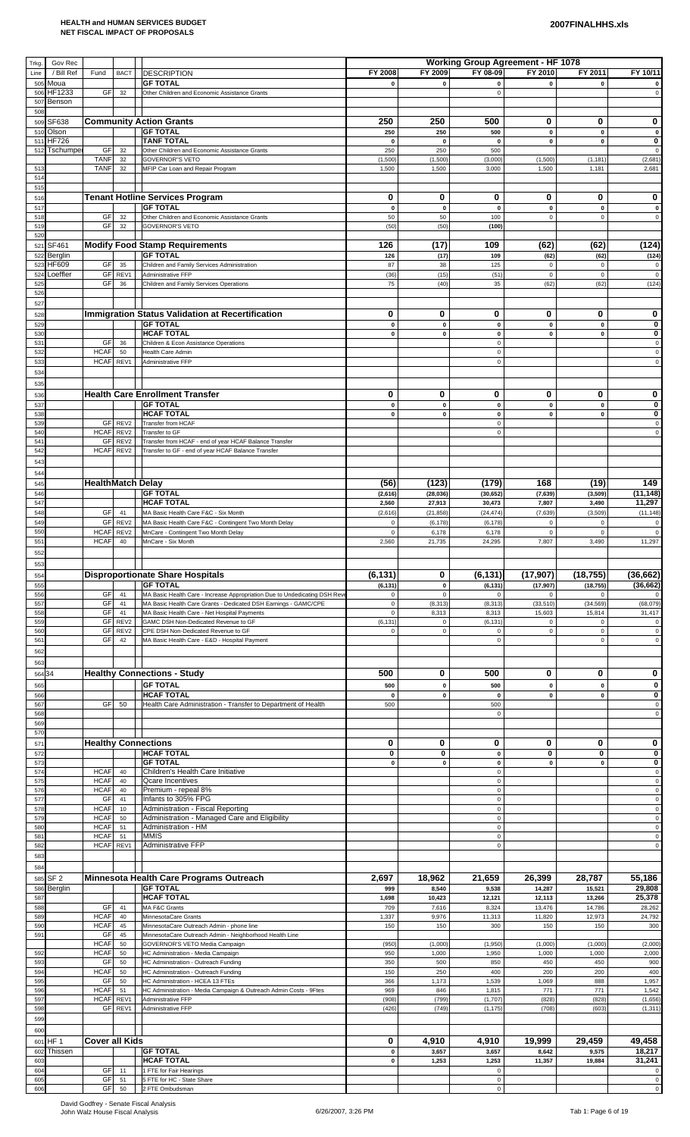| Trkg.      | Gov Rec                    |                            |                          |                                                                                               |                         |                          | <b>Working Group Agreement - HF 1078</b> |                          |                            |                            |
|------------|----------------------------|----------------------------|--------------------------|-----------------------------------------------------------------------------------------------|-------------------------|--------------------------|------------------------------------------|--------------------------|----------------------------|----------------------------|
| Line       | / Bill Ref                 | Fund                       | <b>BACT</b>              | <b>DESCRIPTION</b>                                                                            | FY 2008                 | FY 2009                  | FY 08-09                                 | FY 2010                  | FY 2011                    | FY 10/11                   |
| 505<br>506 | Moua<br>HF1233             | GF                         | 32                       | <b>GF TOTAL</b><br>Other Children and Economic Assistance Grants                              | $\mathbf 0$             | $\mathbf{0}$             | $\mathbf{0}$<br>$\mathbf 0$              | $\mathbf 0$              | $\mathbf 0$                | $\mathsf 0$                |
| 507        | Benson                     |                            |                          |                                                                                               |                         |                          |                                          |                          |                            |                            |
| 508<br>509 | SF638                      |                            |                          | <b>Community Action Grants</b>                                                                | 250                     | 250                      | 500                                      | 0                        | 0                          | 0                          |
| 510        | Olson                      |                            |                          | <b>GF TOTAL</b>                                                                               | 250                     | 250                      | 500                                      | $\mathbf{0}$             | $\mathbf{0}$               | $\pmb{0}$                  |
| 511<br>512 | <b>HF726</b><br>Tschumper  | GF                         | 32                       | <b>TANF TOTAL</b><br>Other Children and Economic Assistance Grants                            | $\mathbf 0$<br>250      | 0<br>250                 | $\pmb{0}$<br>500                         | $\pmb{0}$                | $\pmb{0}$                  | 0<br>$\mathsf 0$           |
|            |                            | <b>TANF</b>                | 32                       | <b>GOVERNOR'S VETO</b>                                                                        | (1,500)                 | (1,500)                  | (3,000)                                  | (1,500)                  | (1, 181)                   | (2,681)                    |
| 513<br>514 |                            | <b>TANF</b>                | 32                       | MFIP Car Loan and Repair Program                                                              | 1,500                   | 1,500                    | 3,000                                    | 1,500                    | 1,181                      | 2,681                      |
| 515        |                            |                            |                          |                                                                                               |                         |                          |                                          |                          |                            |                            |
| 516        |                            |                            |                          | <b>Tenant Hotline Services Program</b><br><b>GF TOTAL</b>                                     | 0                       | 0                        | 0                                        | 0                        | 0                          | 0                          |
| 517<br>518 |                            | GF                         | 32                       | Other Children and Economic Assistance Grants                                                 | $\pmb{0}$<br>50         | $\mathbf 0$<br>50        | $\mathbf{0}$<br>100                      | $\mathbf 0$<br>$\pmb{0}$ | $\pmb{0}$<br>$\mathsf 0$   | $\pmb{0}$<br>$\mathbf 0$   |
| 519        |                            | GF                         | 32                       | <b>GOVERNOR'S VETO</b>                                                                        | (50)                    | (50)                     | (100)                                    |                          |                            |                            |
| 520<br>521 | SF461                      |                            |                          | <b>Modify Food Stamp Requirements</b>                                                         | 126                     | (17)                     | 109                                      | (62)                     | (62)                       | (124)                      |
| 522        | Berglin                    |                            |                          | <b>GF TOTAL</b>                                                                               | 126                     | (17)                     | 109                                      | (62)                     | (62)                       | (124)                      |
| 523<br>524 | HF609<br>Loeffler          | GF<br>GF                   | 35<br>REV1               | Children and Family Services Administration<br>Administrative FFP                             | 87<br>(36)              | 38<br>(15)               | 125<br>(51)                              | 0<br>$\mathbf 0$         | $\mathbf 0$<br>$\mathsf 0$ | 0<br>$\pmb{0}$             |
| 525        |                            | GF                         | 36                       | Children and Family Services Operations                                                       | 75                      | (40)                     | 35                                       | (62)                     | (62)                       | (124)                      |
| 526<br>527 |                            |                            |                          |                                                                                               |                         |                          |                                          |                          |                            |                            |
| 528        |                            |                            |                          | Immigration Status Validation at Recertification                                              | 0                       | 0                        | 0                                        | 0                        | 0                          | 0                          |
| 529        |                            |                            |                          | <b>GF TOTAL</b>                                                                               | $\pmb{0}$               | $\mathbf{0}$             | $\pmb{0}$                                | $\mathbf 0$              | $\mathbf 0$                | 0                          |
| 530<br>531 |                            | <b>GF</b>                  | 36                       | <b>HCAF TOTAL</b><br>Children & Econ Assistance Operations                                    | 0                       | $\pmb{0}$                | $\pmb{0}$<br>$\mathsf 0$                 | $\pmb{0}$                | $\pmb{0}$                  | 0<br>$\mathsf 0$           |
| 532        |                            | <b>HCAF</b>                | 50                       | Health Care Admin                                                                             |                         |                          | $\mathsf 0$                              |                          |                            | $\mathsf 0$                |
| 533<br>534 |                            | HCAF REV1                  |                          | Administrative FFP                                                                            |                         |                          | $\mathsf 0$                              |                          |                            | $\mathsf 0$                |
| 535        |                            |                            |                          |                                                                                               |                         |                          |                                          |                          |                            |                            |
| 536        |                            |                            |                          | <b>Health Care Enrollment Transfer</b>                                                        | $\mathbf 0$             | 0                        | 0                                        | 0                        | 0                          | 0                          |
| 537<br>538 |                            |                            |                          | <b>GF TOTAL</b><br><b>HCAF TOTAL</b>                                                          | 0<br>0                  | $\mathbf 0$<br>$\pmb{0}$ | $\pmb{0}$<br>0                           | $\mathbf 0$<br>$\pmb{0}$ | $\pmb{0}$<br>$\pmb{0}$     | 0<br>0                     |
| 539        |                            |                            | GF REV2                  | Transfer from HCAF                                                                            |                         |                          | $\mathbf 0$                              |                          |                            | $\mathbf 0$                |
| 540<br>54' |                            | <b>HCAF</b><br>GF          | REV2<br>REV <sub>2</sub> | Transfer to GF<br>Transfer from HCAF - end of year HCAF Balance Transfer                      |                         |                          | $\mathbf 0$                              |                          |                            | $\mathbf 0$                |
| 542        |                            | <b>HCAF</b>                | REV2                     | Transfer to GF - end of year HCAF Balance Transfer                                            |                         |                          |                                          |                          |                            |                            |
| 543        |                            |                            |                          |                                                                                               |                         |                          |                                          |                          |                            |                            |
| 544<br>545 |                            | <b>HealthMatch Delay</b>   |                          |                                                                                               | (56)                    | (123)                    | (179)                                    | 168                      | (19)                       | 149                        |
| 546        |                            |                            |                          | <b>GF TOTAL</b>                                                                               | (2,616)                 | (28, 036)                | (30, 652)                                | (7, 639)                 | (3, 509)                   | (11, 148)                  |
| 547        |                            | GF                         | 41                       | <b>HCAF TOTAL</b>                                                                             | 2,560                   | 27,913                   | 30,473                                   | 7,807                    | 3,490                      | 11,297                     |
| 548<br>549 |                            | GF                         | REV <sub>2</sub>         | MA Basic Health Care F&C - Six Month<br>MA Basic Health Care F&C - Contingent Two Month Delay | (2,616)<br>$\mathbf 0$  | (21, 858)<br>(6, 178)    | (24, 474)<br>(6, 178)                    | (7, 639)<br>$\pmb{0}$    | (3,509)<br>$\mathbf 0$     | (11, 148)<br>$\mathsf 0$   |
| 550        |                            | <b>HCAF</b>                | REV <sub>2</sub>         | MnCare - Contingent Two Month Delay                                                           | $\pmb{0}$               | 6,178                    | 6,178                                    | $\mathbf 0$              | $\mathbf 0$                | $\mathsf 0$                |
| 551<br>552 |                            | <b>HCAF</b>                | 40                       | MnCare - Six Month                                                                            | 2,560                   | 21,735                   | 24,295                                   | 7,807                    | 3,490                      | 11,297                     |
| 553        |                            |                            |                          |                                                                                               |                         |                          |                                          |                          |                            |                            |
| 554        |                            |                            |                          | <b>Disproportionate Share Hospitals</b>                                                       | (6, 131)                | 0                        | (6, 131)                                 | (17, 907)                | (18, 755)                  | (36, 662)                  |
| 555<br>556 |                            | GF                         | 41                       | <b>GF TOTAL</b><br>MA Basic Health Care - Increase Appropriation Due to Undedicating DSH Rev  | (6, 131)<br>$\mathbf 0$ | $\pmb{0}$<br>$\pmb{0}$   | (6, 131)<br>$\mathbf 0$                  | (17, 907)<br>$\mathbf 0$ | (18, 755)<br>$\mathsf 0$   | (36, 662)                  |
| 557        |                            | GF                         | 41                       | MA Basic Health Care Grants - Dedicated DSH Earnings - GAMC/CPE                               | $\mathsf 0$             | (8, 313)                 | (8, 313)                                 | (33, 510)                | (34, 569)                  | (68,079)                   |
| 558<br>559 |                            | GF<br>GF                   | 41<br>REV2               | MA Basic Health Care - Net Hospital Payments<br>GAMC DSH Non-Dedicated Revenue to GF          | $\mathsf 0$<br>(6, 131) | 8,313<br>$\mathbf 0$     | 8,313<br>(6, 131)                        | 15,603<br>$\Omega$       | 15,814<br>$\mathbf 0$      | 31,417<br>$\Omega$         |
| 560        |                            | GF                         | REV <sub>2</sub>         | CPE DSH Non-Dedicated Revenue to GF                                                           | $\mathbf 0$             | $\mathbf 0$              | $\mathbf 0$                              | $\mathbf 0$              | $\mathbf 0$                | $\mathbf 0$                |
| 561        |                            | GF                         | 42                       | MA Basic Health Care - E&D - Hospital Payment                                                 |                         |                          | $\mathbf 0$                              |                          | $\mathbf 0$                | $\mathsf 0$                |
| 562<br>563 |                            |                            |                          |                                                                                               |                         |                          |                                          |                          |                            |                            |
| 564 34     |                            |                            |                          | <b>Healthy Connections - Study</b>                                                            | 500                     | 0                        | 500                                      | 0                        | 0                          | 0                          |
| 565        |                            |                            |                          | <b>GF TOTAL</b>                                                                               | 500                     | $\mathbf 0$              | 500                                      | $\mathbf 0$              | $\pmb{0}$                  | $\bf{0}$                   |
| 566<br>567 |                            | GF                         | 50                       | <b>HCAF TOTAL</b><br>Health Care Administration - Transfer to Department of Health            | $\mathbf 0$<br>500      | $\pmb{0}$                | 0<br>500                                 | $\mathbf 0$              | $\pmb{0}$                  | $\pmb{0}$<br>$\pmb{0}$     |
| 568        |                            |                            |                          |                                                                                               |                         |                          | $\mathbf 0$                              |                          |                            | $\mathbf 0$                |
| 569<br>570 |                            |                            |                          |                                                                                               |                         |                          |                                          |                          |                            |                            |
| 571        |                            |                            |                          | <b>Healthy Connections</b>                                                                    | 0                       | 0                        | 0                                        | 0                        | 0                          | 0                          |
| 57<br>573  |                            |                            |                          | <b>HCAF TOTAL</b><br><b>GF TOTAL</b>                                                          | 0<br>$\pmb{0}$          | 0<br>$\pmb{0}$           | $\pmb{0}$<br>$\pmb{0}$                   | 0<br>$\mathbf 0$         | 0<br>$\pmb{0}$             | $\bf{0}$<br>$\pmb{0}$      |
| 574        |                            | <b>HCAF</b>                | 40                       | Children's Health Care Initiative                                                             |                         |                          | $\mathsf 0$                              |                          |                            | $\mathsf 0$                |
| 575<br>576 |                            | <b>HCAF</b><br><b>HCAF</b> | 40<br>40                 | <b>Qcare Incentives</b><br>Premium - repeal 8%                                                |                         |                          | $\mathbf 0$<br>$\mathsf 0$               |                          |                            | $\mathsf 0$<br>$\mathsf 0$ |
| 577        |                            | GF                         | 41                       | Infants to 305% FPG                                                                           |                         |                          | $\mathsf 0$                              |                          |                            | $\mathsf 0$                |
| 578<br>57  |                            | <b>HCAF</b><br><b>HCAF</b> | 10<br>50                 | Administration - Fiscal Reporting<br>Administration - Managed Care and Eligibility            |                         |                          | $\mathbf 0$<br>$\mathbf 0$               |                          |                            | $\mathsf 0$<br>$\mathsf 0$ |
| 580        |                            | <b>HCAF</b>                | 51                       | Administration - HM                                                                           |                         |                          | $\mathsf 0$                              |                          |                            | $\mathsf 0$                |
| 581<br>582 |                            | <b>HCAF</b><br><b>HCAF</b> | 51<br>REV1               | <b>MMIS</b><br><b>Administrative FFP</b>                                                      |                         |                          | 0<br>$\mathsf 0$                         |                          |                            | $\mathsf 0$<br>$\mathbf 0$ |
| 583        |                            |                            |                          |                                                                                               |                         |                          |                                          |                          |                            |                            |
| 584        |                            |                            |                          |                                                                                               |                         |                          |                                          |                          |                            |                            |
| 585<br>586 | SF <sub>2</sub><br>Berglin |                            |                          | Minnesota Health Care Programs Outreach<br><b>GF TOTAL</b>                                    | 2,697<br>999            | 18,962<br>8,540          | 21,659<br>9,538                          | 26,399<br>14,287         | 28,787<br>15,521           | 55,186<br>29,808           |
| 587        |                            |                            |                          | <b>HCAF TOTAL</b>                                                                             | 1,698                   | 10,423                   | 12,121                                   | 12,113                   | 13,266                     | 25,378                     |
| 588<br>589 |                            | GF<br><b>HCAF</b>          | 41<br>40                 | MA F&C Grants<br>MinnesotaCare Grants                                                         | 709<br>1,337            | 7,616<br>9,976           | 8,324<br>11,313                          | 13,476<br>11,820         | 14,786<br>12,973           | 28,262<br>24,792           |
| 590        |                            | <b>HCAF</b>                | 45                       | MinnesotaCare Outreach Admin - phone line                                                     | 150                     | 150                      | 300                                      | 150                      | 150                        | 300                        |
| 591        |                            | GF<br><b>HCAF</b>          | 45<br>50                 | MinnesotaCare Outreach Admin - Neighborhood Health Line<br>GOVERNOR'S VETO Media Campaign     | (950)                   | (1,000)                  | (1,950)                                  | (1,000)                  | (1,000)                    | (2,000)                    |
| 592        |                            | <b>HCAF</b>                | 50                       | HC Administration - Media Campaign                                                            | 950                     | 1,000                    | 1,950                                    | 1,000                    | 1,000                      | 2,000                      |
| 593<br>594 |                            | GF<br><b>HCAF</b>          | 50<br>50                 | HC Administration - Outreach Funding<br>HC Administration - Outreach Funding                  | 350<br>150              | 500<br>250               | 850<br>400                               | 450<br>200               | 450<br>200                 | 900<br>400                 |
| 595        |                            | GF                         | 50                       | HC Administration - HCEA 13 FTEs                                                              | 366                     | 1,173                    | 1,539                                    | 1,069                    | 888                        | 1,957                      |
| 596<br>597 |                            | <b>HCAF</b><br><b>HCAF</b> | 51<br>REV1               | HC Administration - Media Campaign & Outreach Admin Costs - 9Ftes<br>Administrative FFP       | 969<br>(908)            | 846<br>(799)             | 1,815<br>(1,707)                         | 771<br>(828)             | 771<br>(828)               | 1,542<br>(1,656)           |
| 598        |                            | GF                         | REV1                     | Administrative FFP                                                                            | (426)                   | (749)                    | (1, 175)                                 | (708)                    | (603)                      | (1, 311)                   |
| 599        |                            |                            |                          |                                                                                               |                         |                          |                                          |                          |                            |                            |
| 600<br>601 | HF <sub>1</sub>            | <b>Cover all Kids</b>      |                          |                                                                                               | 0                       | 4,910                    | 4,910                                    | 19,999                   | 29,459                     | 49,458                     |
| 602        | Thissen                    |                            |                          | <b>GF TOTAL</b>                                                                               | $\mathbf 0$             | 3,657                    | 3,657                                    | 8,642                    | 9,575                      | 18,217                     |
| 603        |                            |                            |                          | <b>HCAF TOTAL</b>                                                                             | 0                       | 1,253                    | 1,253                                    | 11,357                   | 19,884                     | 31,241                     |
| 604<br>605 |                            | <b>GF</b><br><b>GF</b>     | 11<br>51                 | 1 FTE for Fair Hearings<br>5 FTE for HC - State Share                                         |                         |                          | 0<br>$\mathbf 0$                         |                          |                            | $\pmb{0}$<br>$\mathsf 0$   |
| 606        |                            |                            | $GF$ 50                  | 2 FTE Ombudsman                                                                               |                         |                          | $\mathsf 0$                              |                          |                            | $\mathbf 0$                |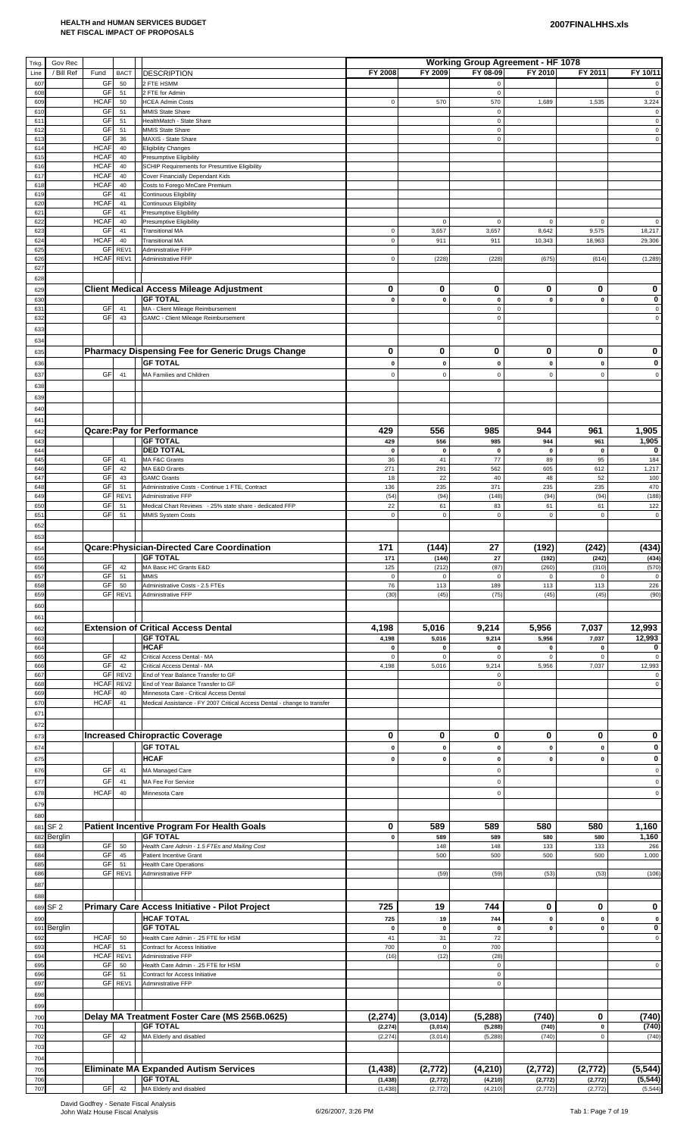| Trkg.                  | Gov Rec                    |                                      |                                                                                   |                            |                          | Working Group Agreement - HF 1078 |                          |                          |                            |
|------------------------|----------------------------|--------------------------------------|-----------------------------------------------------------------------------------|----------------------------|--------------------------|-----------------------------------|--------------------------|--------------------------|----------------------------|
| Line                   | / Bill Ref<br>Fund         | <b>BACT</b>                          | <b>DESCRIPTION</b>                                                                | FY 2008                    | FY 2009                  | FY 08-09                          | FY 2010                  | FY 2011                  | FY 10/11                   |
| 607<br>608             | GF<br>GF                   | 50<br>51                             | 2 FTE HSMM<br>2 FTE for Admin                                                     |                            |                          | $\mathsf 0$<br>$\mathsf 0$        |                          |                          | $\mathbf 0$                |
| 609                    | <b>HCAF</b>                | 50                                   | <b>HCEA Admin Costs</b>                                                           | $\mathsf{O}\xspace$        | 570                      | 570                               | 1,689                    | 1,535                    | 3,224                      |
| 610<br>61 <sup>°</sup> | GF<br>GF                   | 51<br>51                             | MMIS State Share<br>HealthMatch - State Share                                     |                            |                          | $\mathbf 0$<br>$\mathsf 0$        |                          |                          | $\mathbf 0$                |
| 612                    | GF                         | 51                                   | MMIS State Share                                                                  |                            |                          | $\mathbf 0$                       |                          |                          | $\mathbf 0$                |
| 613<br>614             | GF<br><b>HCAF</b>          | 36<br>40                             | MAXIS - State Share<br><b>Eligibility Changes</b>                                 |                            |                          | $\mathsf 0$                       |                          |                          | $\mathbf 0$                |
| 615                    | <b>HCAF</b>                | 40                                   | <b>Presumptive Eligibility</b>                                                    |                            |                          |                                   |                          |                          |                            |
| 616<br>617             | <b>HCAF</b><br><b>HCAF</b> | 40<br>40                             | SCHIP Requirements for Presumtive Eligibility<br>Cover Financially Dependant Kids |                            |                          |                                   |                          |                          |                            |
| 618                    | <b>HCAF</b>                | 40                                   | Costs to Forego MnCare Premium                                                    |                            |                          |                                   |                          |                          |                            |
| 619<br>620             | GF<br><b>HCAF</b>          | 41<br>41                             | <b>Continuous Eligibility</b><br><b>Continuous Eligibility</b>                    |                            |                          |                                   |                          |                          |                            |
| 62'                    | GF                         | 41                                   | Presumptive Eligibility                                                           |                            |                          |                                   |                          |                          |                            |
| 622<br>623             | <b>HCAF</b><br>GF          | 40<br>41                             | <b>Presumptive Eligibility</b><br><b>Transitional MA</b>                          | $\mathsf{O}\xspace$        | $\mathbf 0$<br>3,657     | $\pmb{0}$<br>3,657                | $\mathbf 0$<br>8,642     | $\mathbf 0$<br>9,575     | $\mathbf 0$<br>18,217      |
| 624                    | <b>HCAF</b>                | 40                                   | <b>Transitional MA</b>                                                            | $\mathsf{O}\xspace$        | 911                      | 911                               | 10,343                   | 18,963                   | 29,306                     |
| 625<br>626             | GF<br><b>HCAF</b>          | REV1<br>REV1                         | Administrative FFP<br>Administrative FFP                                          | $\mathsf{O}\xspace$        | (228)                    | (228)                             | (675)                    | (614)                    | (1, 289)                   |
| 627                    |                            |                                      |                                                                                   |                            |                          |                                   |                          |                          |                            |
| 628                    |                            |                                      |                                                                                   |                            |                          |                                   |                          |                          |                            |
| 629<br>630             |                            |                                      | <b>Client Medical Access Mileage Adjustment</b><br><b>GF TOTAL</b>                | 0<br>$\mathbf 0$           | 0<br>$\pmb{0}$           | 0<br>$\pmb{0}$                    | 0<br>$\pmb{0}$           | 0<br>$\pmb{0}$           | 0<br>$\pmb{0}$             |
| 63'                    | GF                         | 41                                   | MA - Client Mileage Reimbursement                                                 |                            |                          | $\mathbf 0$                       |                          |                          | $\mathsf 0$                |
| 632                    | GF                         | 43                                   | GAMC - Client Mileage Reimbursement                                               |                            |                          | $\mathsf 0$                       |                          |                          | $\mathsf 0$                |
| 633<br>634             |                            |                                      |                                                                                   |                            |                          |                                   |                          |                          |                            |
| 635                    |                            |                                      | Pharmacy Dispensing Fee for Generic Drugs Change                                  | 0                          | 0                        | 0                                 | 0                        | 0                        | 0                          |
| 636                    |                            |                                      | <b>GF TOTAL</b>                                                                   | $\pmb{0}$                  | $\pmb{0}$                | 0                                 | $\pmb{0}$                | $\pmb{0}$                | 0                          |
| 637                    | GF                         | 41                                   | MA Families and Children                                                          | $\pmb{0}$                  | $\mathsf 0$              | $\mathbf 0$                       | $\mathsf 0$              | $\mathsf 0$              | $\Omega$                   |
| 638                    |                            |                                      |                                                                                   |                            |                          |                                   |                          |                          |                            |
| 639                    |                            |                                      |                                                                                   |                            |                          |                                   |                          |                          |                            |
| 640<br>641             |                            |                                      |                                                                                   |                            |                          |                                   |                          |                          |                            |
| 642                    |                            |                                      | <b>Qcare: Pay for Performance</b>                                                 | 429                        | 556                      | 985                               | 944                      | 961                      | 1,905                      |
| 643                    |                            |                                      | <b>GF TOTAL</b>                                                                   | 429                        | 556                      | 985                               | 944                      | 961                      | 1,905                      |
| 644<br>645             | GF                         | 41                                   | <b>DED TOTAL</b><br>MA F&C Grants                                                 | $\mathbf 0$<br>36          | $\pmb{0}$<br>41          | $\pmb{0}$<br>77                   | $\pmb{0}$<br>89          | $\pmb{0}$<br>95          | 0<br>184                   |
| 646                    | GF                         | 42                                   | MA E&D Grants                                                                     | 271                        | 291                      | 562                               | 605                      | 612                      | 1,217                      |
| 647                    | GF<br>GF                   | 43                                   | <b>GAMC Grants</b>                                                                | 18                         | 22                       | 40<br>371                         | 48<br>235                | 52<br>235                | 100<br>470                 |
| 648<br>649             | GF                         | 51<br>REV1                           | Administrative Costs - Continue 1 FTE, Contract<br>Administrative FFP             | 136<br>(54)                | 235<br>(94)              | (148)                             | (94)                     | (94)                     | (188)                      |
| 650                    | GF                         | 51                                   | Medical Chart Reviews - 25% state share - dedicated FFP                           | 22                         | 61                       | 83                                | 61                       | 61                       | 122                        |
| 651<br>652             | GF                         | 51                                   | <b>MMIS System Costs</b>                                                          | $\mathsf{O}\xspace$        | $\mathbf 0$              | $\mathsf 0$                       | $\mathbf 0$              | $\mathsf 0$              | $\mathbf 0$                |
| 653                    |                            |                                      |                                                                                   |                            |                          |                                   |                          |                          |                            |
| 654                    |                            |                                      | Qcare: Physician-Directed Care Coordination                                       | 171                        | (144)                    | 27                                | (192)                    | (242)                    | (434)                      |
| 655                    |                            |                                      | <b>GF TOTAL</b>                                                                   | 171                        | (144)                    | 27                                | (192)                    | (242)                    | (434)                      |
| 656<br>657             | GF<br>GF                   | 42<br>51                             | MA Basic HC Grants E&D<br><b>MMIS</b>                                             | 125<br>$\mathsf{O}\xspace$ | (212)<br>$\mathbf 0$     | (87)<br>$\mathbf 0$               | (260)<br>0               | (310)<br>$\mathsf 0$     | (570)<br>$\mathbf 0$       |
| 658                    | GF                         | 50                                   | Administrative Costs - 2.5 FTEs                                                   | 76                         | 113                      | 189                               | 113                      | 113                      | 226                        |
| 659<br>660             |                            | GF REV1                              | Administrative FFP                                                                | (30)                       | (45)                     | (75)                              | (45)                     | (45)                     | (90)                       |
| 661                    |                            |                                      |                                                                                   |                            |                          |                                   |                          |                          |                            |
| 662                    |                            |                                      | <b>Extension of Critical Access Dental</b>                                        | 4,198                      | 5,016                    | 9,214                             | 5,956                    | 7,037                    | 12,993                     |
| 663                    |                            |                                      | <b>GF TOTAL</b><br><b>HCAF</b>                                                    | 4,198                      | 5,016                    | 9,214                             | 5,956                    | 7,037                    | 12,993                     |
| 664<br>665             | GF                         | 42                                   | Critical Access Dental - MA                                                       | $\pmb{0}$<br>$\mathsf 0$   | $\pmb{0}$<br>$\mathsf 0$ | 0<br>$\mathbf 0$                  | $\pmb{0}$<br>$\mathsf 0$ | $\pmb{0}$<br>$\mathsf 0$ | 0                          |
| 666                    | GF                         | 42                                   | Critical Access Dental - MA                                                       | 4,198                      | 5,016                    | 9,214                             | 5,956                    | 7,037                    | 12,993                     |
| 667<br>668             | GF<br><b>HCAF</b>          | REV <sub>2</sub><br>REV <sub>2</sub> | End of Year Balance Transfer to GF<br>End of Year Balance Transfer to GF          |                            |                          | $\mathsf 0$<br>$\mathsf 0$        |                          |                          | $\mathbf 0$                |
| 669                    | <b>HCAF</b>                | 40                                   | Minnesota Care - Critical Access Dental                                           |                            |                          |                                   |                          |                          |                            |
| 67C<br>671             | <b>HCAF</b>                | 41                                   | Medical Assistance - FY 2007 Critical Access Dental - change to transfer          |                            |                          |                                   |                          |                          |                            |
| 672                    |                            |                                      |                                                                                   |                            |                          |                                   |                          |                          |                            |
| 673                    |                            |                                      | <b>Increased Chiropractic Coverage</b>                                            | 0                          | 0                        | 0                                 | 0                        | 0                        | 0                          |
| 674                    |                            |                                      | <b>GF TOTAL</b>                                                                   | $\mathbf 0$                | $\pmb{0}$                | $\pmb{0}$                         | $\mathbf 0$              | $\mathbf 0$              | $\bf{0}$                   |
| 675                    |                            |                                      | <b>HCAF</b>                                                                       | $\pmb{0}$                  | $\pmb{0}$                | 0                                 | $\pmb{0}$                | $\mathbf 0$              | 0                          |
| 676                    | GF                         | 41                                   | MA Managed Care                                                                   |                            |                          | $\pmb{0}$                         |                          |                          | $\Omega$                   |
| 677<br>678             | GF<br><b>HCAF</b>          | 41<br>40                             | MA Fee For Service<br>Minnesota Care                                              |                            |                          | $\mathbf 0$<br>$\mathbf 0$        |                          |                          | $\mathbf 0$<br>$\mathbf 0$ |
| 679                    |                            |                                      |                                                                                   |                            |                          |                                   |                          |                          |                            |
| 680                    |                            |                                      |                                                                                   |                            |                          |                                   |                          |                          |                            |
| 681                    | SF <sub>2</sub>            |                                      | Patient Incentive Program For Health Goals                                        | 0                          | 589                      | 589                               | 580                      | 580                      | 1,160                      |
| 682<br>683             | Berglin<br>GF              | 50                                   | <b>GF TOTAL</b><br>Health Care Admin - 1.5 FTEs and Mailing Cost                  | $\mathbf 0$                | 589<br>148               | 589<br>148                        | 580<br>133               | 580<br>133               | 1,160<br>266               |
| 684                    | GF                         | 45                                   | Patient Incentive Grant                                                           |                            | 500                      | 500                               | 500                      | 500                      | 1,000                      |
| 685<br>686             | GF                         | 51<br>GF REV1                        | <b>Health Care Operations</b><br>Administrative FFP                               |                            | (59)                     | (59)                              | (53)                     | (53)                     | (106)                      |
| 687                    |                            |                                      |                                                                                   |                            |                          |                                   |                          |                          |                            |
| 688                    |                            |                                      |                                                                                   |                            |                          |                                   |                          |                          |                            |
| 689                    | SF <sub>2</sub>            |                                      | Primary Care Access Initiative - Pilot Project                                    | 725                        | 19                       | 744                               | 0                        | 0                        | 0                          |
| 690                    |                            |                                      | <b>HCAF TOTAL</b>                                                                 | 725                        | 19                       | 744                               | $\pmb{0}$                | $\pmb{0}$                | $\mathbf 0$                |
| 691<br>692             | Berglin<br><b>HCAF</b>     | 50                                   | <b>GF TOTAL</b><br>Health Care Admin - .25 FTE for HSM                            | $\pmb{0}$<br>41            | $\pmb{0}$<br>31          | $\pmb{0}$<br>72                   | $\pmb{0}$                | $\pmb{0}$                | 0<br>$\mathbf 0$           |
| 693                    | <b>HCAF</b>                | 51                                   | Contract for Access Initiative                                                    | 700                        | $\mathsf 0$              | 700                               |                          |                          |                            |
| 694<br>695             | <b>HCAF</b><br><b>GF</b>   | REV1<br>50                           | Administrative FFP<br>Health Care Admin - .25 FTE for HSM                         | (16)                       | (12)                     | (28)<br>$\mathbf 0$               |                          |                          | $\mathsf 0$                |
| 696                    | GF                         | 51                                   | Contract for Access Initiative                                                    |                            |                          | $\mathsf 0$                       |                          |                          |                            |
| 697                    |                            | GF REV1                              | Administrative FFP                                                                |                            |                          | $\mathbf 0$                       |                          |                          |                            |
| 698<br>699             |                            |                                      |                                                                                   |                            |                          |                                   |                          |                          |                            |
| 700                    |                            |                                      | Delay MA Treatment Foster Care (MS 256B.0625)                                     | (2, 274)                   | (3,014)                  | (5, 288)                          | (740)                    | 0                        | (740)                      |
| 701                    |                            |                                      | <b>GF TOTAL</b>                                                                   | (2, 274)                   | (3,014)                  | (5, 288)                          | (740)                    | $\pmb{0}$                | (740)                      |
| 702                    | <b>GF</b>                  | 42                                   | MA Elderly and disabled                                                           | (2, 274)                   | (3,014)                  | (5, 288)                          | (740)                    | $\mathsf 0$              | (740)                      |
| 703<br>704             |                            |                                      |                                                                                   |                            |                          |                                   |                          |                          |                            |
| 705                    |                            |                                      | <b>Eliminate MA Expanded Autism Services</b>                                      | (1, 438)                   | (2, 772)                 | (4, 210)                          | (2, 772)                 | (2, 772)                 | (5, 544)                   |
| 706                    |                            |                                      | <b>GF TOTAL</b>                                                                   | (1, 438)                   | (2,772)                  | (4, 210)                          | (2,772)                  | (2, 772)                 | (5, 544)                   |
| 707                    |                            | GF 42                                | MA Elderly and disabled                                                           | (1, 438)                   | (2,772)                  | (4, 210)                          | (2, 772)                 | (2, 772)                 | (5, 544)                   |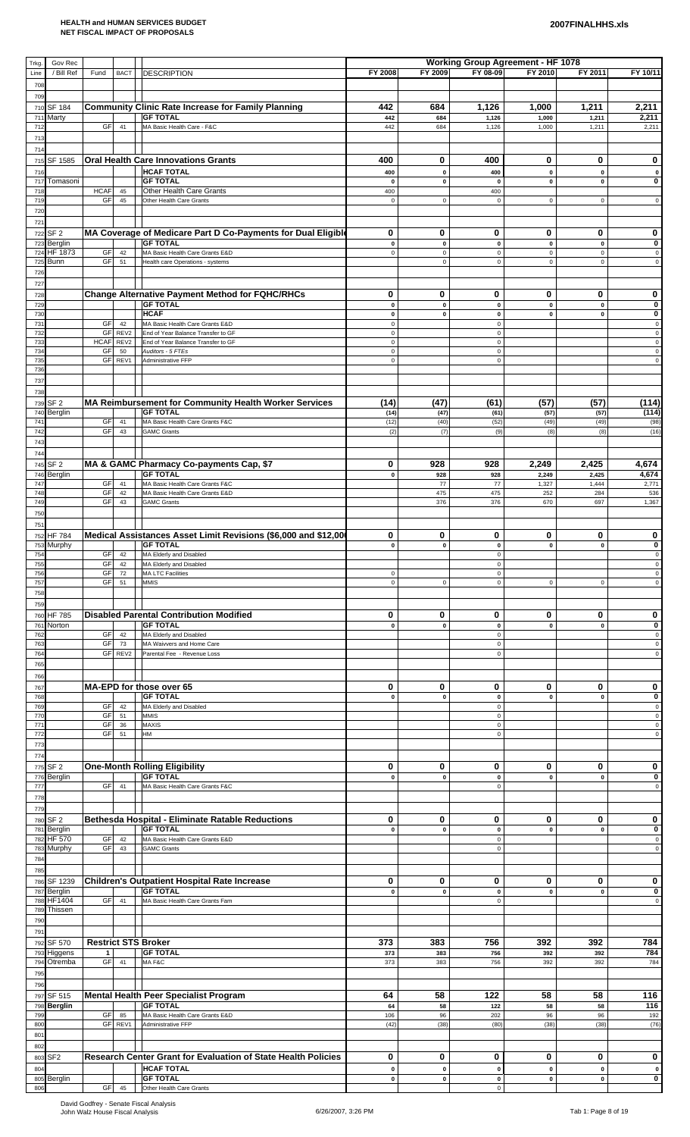| Trkg.<br>Line     | Gov Rec<br>/ Bill Ref      | Fund              | <b>BACT</b>            | <b>DESCRIPTION</b>                                                                    | FY 2008                   | FY 2009                  | <b>Working Group Agreement - HF 1078</b><br>FY 08-09 | FY 2010                  | FY 2011                           | FY 10/11                   |
|-------------------|----------------------------|-------------------|------------------------|---------------------------------------------------------------------------------------|---------------------------|--------------------------|------------------------------------------------------|--------------------------|-----------------------------------|----------------------------|
| 708               |                            |                   |                        |                                                                                       |                           |                          |                                                      |                          |                                   |                            |
| 709<br>710        | <b>SF 184</b>              |                   |                        | <b>Community Clinic Rate Increase for Family Planning</b>                             | 442                       | 684                      | 1,126                                                | 1,000                    | 1,211                             | 2,211                      |
| 711<br>712        | Marty                      | GF                | 41                     | <b>GF TOTAL</b><br>MA Basic Health Care - F&C                                         | 442<br>442                | 684<br>684               | 1,126<br>1,126                                       | 1,000<br>1,000           | 1,211<br>1,211                    | 2,211<br>2,211             |
| 713<br>714        |                            |                   |                        |                                                                                       |                           |                          |                                                      |                          |                                   |                            |
| 715<br>716        | SF 1585                    |                   |                        | <b>Oral Health Care Innovations Grants</b><br><b>HCAF TOTAL</b>                       | 400<br>400                | 0<br>$\pmb{0}$           | 400<br>400                                           | 0<br>$\pmb{0}$           | 0<br>$\mathbf 0$                  | 0<br>$\pmb{0}$             |
| 717<br>718        | Tomasoni                   | <b>HCAF</b>       | 45                     | <b>GF TOTAL</b><br>Other Health Care Grants                                           | $\pmb{\mathsf{o}}$<br>400 | $\pmb{0}$                | $\mathbf{0}$<br>400                                  | $\pmb{0}$                | $\mathbf 0$                       | 0                          |
| 719<br>720        |                            | GF                | 45                     | Other Health Care Grants                                                              | $\pmb{0}$                 | $\mathbf 0$              | $\mathbf 0$                                          | $\mathsf 0$              | $\mathsf 0$                       | $\mathsf{O}\xspace$        |
| 721               | 722 SF 2                   |                   |                        | MA Coverage of Medicare Part D Co-Payments for Dual Eligible                          | 0                         | 0                        | 0                                                    | 0                        | 0                                 | 0                          |
| 723<br>724        | Berglin<br>HF 1873         | GF                | 42                     | <b>GF TOTAL</b><br>MA Basic Health Care Grants E&D                                    | $\pmb{0}$<br>$\pmb{0}$    | $\pmb{0}$<br>$\mathbf 0$ | $\pmb{0}$<br>$\pmb{0}$                               | $\pmb{0}$<br>$\mathsf 0$ | $\pmb{\mathsf{o}}$<br>$\mathsf 0$ | 0<br>$\pmb{0}$             |
| 725<br>726        | Bunn                       | GF                | 51                     | Health care Operations - systems                                                      |                           | $\mathbf 0$              | $\pmb{0}$                                            | $\mathbf 0$              | $\mathsf 0$                       | $\mathsf 0$                |
| 727               |                            |                   |                        | <b>Change Alternative Payment Method for FQHC/RHCs</b>                                | 0                         | 0                        | 0                                                    | 0                        | 0                                 | 0                          |
| 728<br>729<br>730 |                            |                   |                        | <b>GF TOTAL</b><br><b>HCAF</b>                                                        | $\pmb{0}$<br>$\pmb{0}$    | $\pmb{0}$<br>$\mathbf 0$ | $\pmb{0}$<br>$\pmb{0}$                               | $\pmb{0}$<br>$\pmb{0}$   | $\pmb{0}$<br>$\mathbf{0}$         | $\pmb{0}$<br>0             |
| 731<br>732        |                            | GF<br>GF          | 42<br>REV <sub>2</sub> | MA Basic Health Care Grants E&D<br>End of Year Balance Transfer to GF                 | $\mathbf 0$<br>$\pmb{0}$  |                          | $\mathbf 0$<br>$\pmb{0}$                             |                          |                                   | $\pmb{0}$<br>$\pmb{0}$     |
| 733<br>734        |                            | <b>HCAF</b><br>GF | REV2<br>50             | End of Year Balance Transfer to GF<br>Auditors - 5 FTEs                               | $\pmb{0}$<br>$\pmb{0}$    |                          | $\pmb{0}$<br>$\pmb{0}$                               |                          |                                   | $\mathsf 0$<br>$\mathsf 0$ |
| 735<br>736        |                            | GF                | REV1                   | Administrative FFP                                                                    | $\pmb{0}$                 |                          | $\pmb{0}$                                            |                          |                                   | $\pmb{0}$                  |
| 737<br>738        |                            |                   |                        |                                                                                       |                           |                          |                                                      |                          |                                   |                            |
| 739<br>740        | SF <sub>2</sub><br>Berglin |                   |                        | MA Reimbursement for Community Health Worker Services<br><b>GF TOTAL</b>              | (14)<br>(14)              | (47)<br>(47)             | (61)<br>(61)                                         | (57)<br>(57)             | (57)<br>(57)                      | (114)<br>(114)             |
| 741<br>742        |                            | GF<br>GF          | 41<br>43               | MA Basic Health Care Grants F&C<br><b>GAMC Grants</b>                                 | (12)<br>(2)               | (40)<br>(7)              | (52)<br>(9)                                          | (49)<br>(8)              | (49)<br>(8)                       | (98)<br>(16)               |
| 743               |                            |                   |                        |                                                                                       |                           |                          |                                                      |                          |                                   |                            |
| 744               | 745 SF 2                   |                   |                        | MA & GAMC Pharmacy Co-payments Cap, \$7                                               | 0                         | 928                      | 928                                                  | 2,249                    | 2,425                             | 4,674                      |
| 746<br>747<br>748 | Berglin                    | <b>GF</b><br>GF   | 41                     | <b>GF TOTAL</b><br>MA Basic Health Care Grants F&C<br>MA Basic Health Care Grants E&D | $\pmb{0}$                 | 928<br>77<br>475         | 928<br>77<br>475                                     | 2,249<br>1,327           | 2,425<br>1,444<br>284             | 4,674<br>2,771             |
| 749               |                            | GF                | 42<br>43               | <b>GAMC Grants</b>                                                                    |                           | 376                      | 376                                                  | 252<br>670               | 697                               | 536<br>1,367               |
| 750<br>751        |                            |                   |                        |                                                                                       |                           |                          |                                                      |                          |                                   |                            |
|                   | 752 HF 784<br>753 Murphy   |                   |                        | Medical Assistances Asset Limit Revisions (\$6,000 and \$12,00<br><b>GF TOTAL</b>     | 0<br>$\pmb{0}$            | 0<br>$\mathbf{0}$        | 0<br>$\pmb{0}$                                       | 0<br>$\mathbf{0}$        | 0<br>$\mathbf{0}$                 | 0<br>0                     |
| 754<br>755        |                            | GF                | 42                     | GF 42   MA Elderly and Disabled<br>MA Elderly and Disabled                            |                           |                          | $\mathsf 0$<br>$\pmb{0}$                             |                          |                                   | $\mathsf 0$<br>$\pmb{0}$   |
| 756<br>757        |                            | GF<br>GF          | 72<br>51               | <b>MA LTC Facilities</b><br><b>MMIS</b>                                               | $\pmb{0}$<br>$\pmb{0}$    | $\mathsf 0$              | $\pmb{0}$<br>$\mathbf 0$                             | $\mathbf 0$              | $\mathsf 0$                       | $\pmb{0}$<br>$\pmb{0}$     |
| 758<br>759        |                            |                   |                        |                                                                                       |                           |                          |                                                      |                          |                                   |                            |
| 760<br>761        | HF 785<br>Norton           |                   |                        | <b>Disabled Parental Contribution Modified</b><br><b>GF TOTAL</b>                     | 0<br>$\pmb{0}$            | 0<br>$\pmb{0}$           | 0<br>$\pmb{0}$                                       | 0<br>$\pmb{0}$           | 0<br>$\mathbf{0}$                 | 0<br>0                     |
| 762<br>763        |                            | GF<br>GF<br>GF    | 42<br>73<br>REV2       | MA Elderly and Disabled<br>MA Waivvers and Home Care<br>Parental Fee - Revenue Loss   |                           |                          | $\mathbf 0$<br>$\pmb{0}$                             |                          |                                   | $\pmb{0}$<br>$\pmb{0}$     |
| 764<br>765        |                            |                   |                        |                                                                                       |                           |                          | $\pmb{0}$                                            |                          |                                   | $\pmb{0}$                  |
| 766<br>767        |                            |                   |                        | MA-EPD for those over 65                                                              | 0                         | 0                        | 0                                                    | 0                        | 0                                 | 0                          |
| 768<br>769        |                            | GF                | 42                     | <b>GF TOTAL</b><br>MA Elderly and Disabled                                            | $\pmb{0}$                 | $\pmb{0}$                | $\pmb{0}$<br>$\pmb{0}$                               | $\pmb{0}$                | $\mathbf{0}$                      | 0<br>$\pmb{0}$             |
| 770<br>771        |                            | GF<br>GF          | 51<br>36               | <b>MMIS</b><br><b>MAXIS</b>                                                           |                           |                          | $\pmb{0}$<br>$\pmb{0}$                               |                          |                                   | $\mathbf 0$<br>$\pmb{0}$   |
| 772<br>773        |                            | GF                | 51                     | HM                                                                                    |                           |                          | $\mathsf 0$                                          |                          |                                   | $\mathsf 0$                |
| 774               | 775 SF 2                   |                   |                        | <b>One-Month Rolling Eligibility</b>                                                  | 0                         | 0                        | 0                                                    | 0                        | 0                                 | 0                          |
| 776<br>777        | Berglin                    | GF                | 41                     | <b>GF TOTAL</b><br>MA Basic Health Care Grants F&C                                    | $\pmb{0}$                 | $\pmb{0}$                | $\mathbf 0$<br>$\pmb{0}$                             | $\pmb{0}$                | $\mathbf 0$                       | $\mathbf 0$<br>$\mathsf 0$ |
| 778<br>779        |                            |                   |                        |                                                                                       |                           |                          |                                                      |                          |                                   |                            |
| 781               | 780 SF 2<br>Berglin        |                   |                        | Bethesda Hospital - Eliminate Ratable Reductions<br><b>GF TOTAL</b>                   | 0<br>$\pmb{0}$            | 0<br>$\mathbf{0}$        | 0<br>$\mathbf{0}$                                    | 0<br>$\mathbf{0}$        | 0<br>$\mathbf{0}$                 | 0<br>$\mathbf 0$           |
| 782<br>783        | <b>HF 570</b><br>Murphy    | GF<br>GF          | 42<br>43               | MA Basic Health Care Grants E&D<br><b>GAMC Grants</b>                                 |                           |                          | $\pmb{0}$<br>$\mathbf 0$                             |                          |                                   | $\pmb{0}$<br>$\mathsf 0$   |
| 784<br>785        |                            |                   |                        |                                                                                       |                           |                          |                                                      |                          |                                   |                            |
| 786<br>787        | SF 1239<br>Berglin         |                   |                        | Children's Outpatient Hospital Rate Increase<br><b>GF TOTAL</b>                       | 0<br>$\pmb{0}$            | 0<br>$\pmb{0}$           | 0<br>$\pmb{0}$                                       | 0<br>$\pmb{0}$           | 0<br>$\mathbf{0}$                 | 0<br>0                     |
| 788<br>789        | HF1404<br>Thissen          | GF                | 41                     | MA Basic Health Care Grants Fam                                                       |                           |                          | $\mathbf 0$                                          |                          |                                   | $\mathsf 0$                |
| 790<br>791        |                            |                   |                        |                                                                                       |                           |                          |                                                      |                          |                                   |                            |
| 792               | SF 570<br>Higgens          | $\mathbf{1}$      |                        | <b>Restrict STS Broker</b><br><b>GF TOTAL</b>                                         | 373<br>373                | 383<br>383               | 756<br>756                                           | 392<br>392               | 392<br>392                        | 784<br>784                 |
| 793<br>794        | Otremba                    | GF                | 41                     | MAF&C                                                                                 | 373                       | 383                      | 756                                                  | 392                      | 392                               | 784                        |
| 795<br>796        |                            |                   |                        |                                                                                       |                           |                          |                                                      |                          |                                   |                            |
|                   | 797 SF 515<br>798 Berglin  |                   |                        | Mental Health Peer Specialist Program<br><b>GF TOTAL</b>                              | 64<br>64                  | 58<br>58                 | 122<br>122                                           | 58<br>58                 | 58<br>58                          | 116<br>116                 |
| 799<br>800        |                            | GF                | 85<br>GF REV1          | MA Basic Health Care Grants E&D<br>Administrative FFP                                 | 106<br>(42)               | 96<br>(38)               | 202<br>(80)                                          | 96<br>(38)               | 96<br>(38)                        | 192<br>(76)                |
| 801<br>802        |                            |                   |                        |                                                                                       |                           |                          |                                                      |                          |                                   |                            |
| 803<br>804        | SF <sub>2</sub>            |                   |                        | Research Center Grant for Evaluation of State Health Policies<br><b>HCAF TOTAL</b>    | 0<br>$\pmb{0}$            | 0<br>$\pmb{0}$           | 0<br>$\mathbf{o}$                                    | 0<br>$\mathbf 0$         | 0<br>$\pmb{0}$                    | 0<br>$\mathbf{o}$          |
| 806               | 805 Berglin                |                   | GF 45                  | <b>GF TOTAL</b><br>Other Health Care Grants                                           | $\pmb{0}$                 | $\mathbf 0$              | $\pmb{0}$<br>$\mathbf 0$                             | $\mathbf 0$              | $\pmb{0}$                         | $\overline{\mathbf{0}}$    |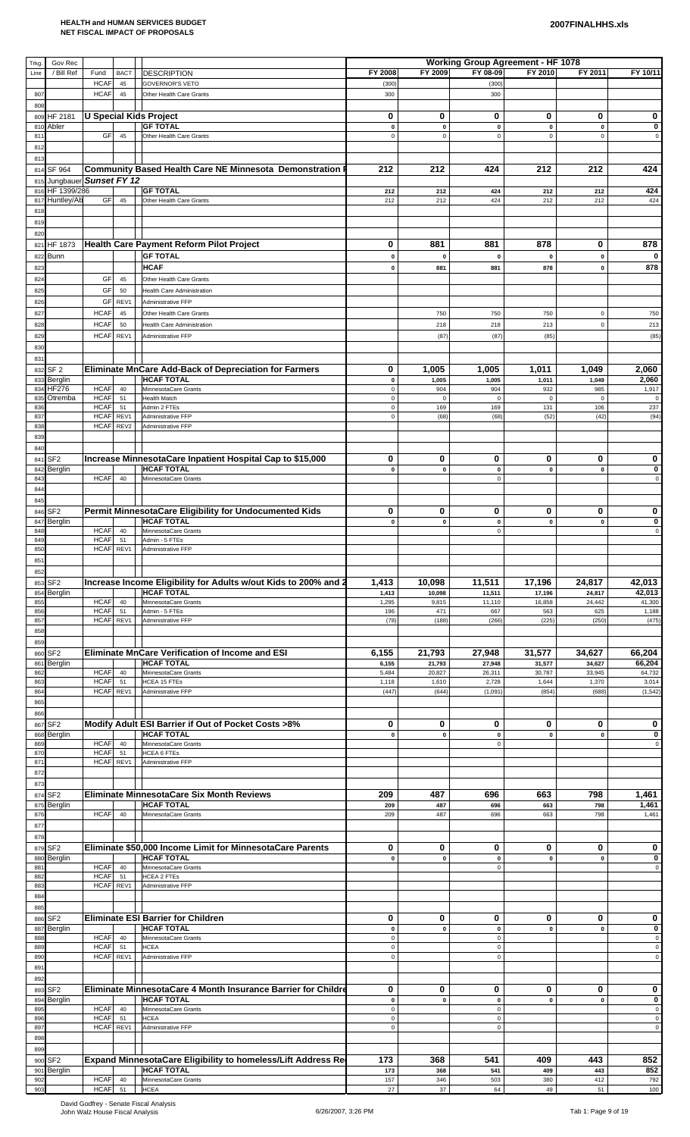| Trkg.      | Gov Rec                   |                            |                          |                                                                                |                                    |                          | <b>Working Group Agreement - HF 1078</b> |                          |                          |                            |
|------------|---------------------------|----------------------------|--------------------------|--------------------------------------------------------------------------------|------------------------------------|--------------------------|------------------------------------------|--------------------------|--------------------------|----------------------------|
| Line       | / Bill Ref                | Fund                       | <b>BACT</b>              | <b>DESCRIPTION</b>                                                             | FY 2008                            | FY 2009                  | FY 08-09                                 | FY 2010                  | FY 2011                  | FY 10/11                   |
| 807        |                           | <b>HCAF</b><br><b>HCAF</b> | 45<br>45                 | <b>GOVERNOR'S VETO</b><br>Other Health Care Grants                             | (300)<br>300                       |                          | (300)<br>300                             |                          |                          |                            |
| 808<br>809 | HF 2181                   |                            |                          | U Special Kids Project                                                         | 0                                  | 0                        | 0                                        | 0                        | 0                        | 0                          |
| 810<br>811 | Abler                     | GF                         | 45                       | <b>GF TOTAL</b><br>Other Health Care Grants                                    | $\pmb{0}$<br>$\mathsf 0$           | $\pmb{0}$<br>$\mathsf 0$ | $\pmb{0}$<br>$\mathsf 0$                 | $\pmb{0}$<br>$\mathsf 0$ | $\pmb{0}$<br>$\mathsf 0$ | 0<br>$\mathbf 0$           |
| 812        |                           |                            |                          |                                                                                |                                    |                          |                                          |                          |                          |                            |
| 813        |                           |                            |                          |                                                                                |                                    |                          |                                          |                          |                          |                            |
|            | 814 SF 964                | Jungbauer Sunset FY 12     |                          | <b>Community Based Health Care NE Minnesota Demonstration</b>                  | 212                                | 212                      | 424                                      | 212                      | 212                      | 424                        |
| 815<br>816 | HF 1399/286               |                            |                          | <b>GF TOTAL</b>                                                                | 212                                | 212                      | 424                                      | 212                      | 212                      | 424                        |
|            | 817 Huntley/Ab            | <b>GF</b>                  | 45                       | Other Health Care Grants                                                       | 212                                | 212                      | 424                                      | 212                      | 212                      | 424                        |
| 818<br>819 |                           |                            |                          |                                                                                |                                    |                          |                                          |                          |                          |                            |
| 820        |                           |                            |                          |                                                                                |                                    |                          |                                          |                          |                          |                            |
|            | 821 HF 1873               |                            |                          | Health Care Payment Reform Pilot Project                                       | 0                                  | 881                      | 881                                      | 878                      | 0                        | 878                        |
| 822<br>823 | <b>Bunn</b>               |                            |                          | <b>GF TOTAL</b><br><b>HCAF</b>                                                 | $\pmb{0}$<br>$\pmb{0}$             | 0<br>881                 | $\pmb{0}$<br>881                         | $\pmb{0}$<br>878         | $\pmb{0}$<br>$\pmb{0}$   | 0<br>878                   |
| 824        |                           | GF                         | 45                       | Other Health Care Grants                                                       |                                    |                          |                                          |                          |                          |                            |
| 825        |                           | GF                         | 50                       | <b>Health Care Administration</b>                                              |                                    |                          |                                          |                          |                          |                            |
| 826<br>827 |                           | GF<br><b>HCAF</b>          | REV1<br>45               | Administrative FFP<br>Other Health Care Grants                                 |                                    | 750                      | 750                                      | 750                      | $\mathsf 0$              | 750                        |
| 828        |                           | <b>HCAF</b>                | 50                       | <b>Health Care Administration</b>                                              |                                    | 218                      | 218                                      | 213                      | $\mathsf 0$              | 213                        |
| 829        |                           | <b>HCAF</b>                | REV1                     | <b>Administrative FFP</b>                                                      |                                    | (87)                     | (87)                                     | (85)                     |                          | (85)                       |
| 830        |                           |                            |                          |                                                                                |                                    |                          |                                          |                          |                          |                            |
| 831        | 832 SF 2                  |                            |                          | Eliminate MnCare Add-Back of Depreciation for Farmers                          | 0                                  | 1,005                    | 1,005                                    | 1,011                    | 1,049                    | 2,060                      |
| 833        | <b>Berglin</b>            |                            |                          | <b>HCAF TOTAL</b>                                                              | $\mathbf 0$                        | 1,005                    | 1,005                                    | 1,011                    | 1,049                    | 2,060                      |
| 834<br>835 | HF276<br>Otremba          | <b>HCAF</b><br><b>HCAF</b> | 40<br>51                 | MinnesotaCare Grants<br><b>Health Match</b>                                    | $\mathsf{O}\xspace$<br>$\mathsf 0$ | 904<br>$\mathbf 0$       | 904<br>$\mathbf 0$                       | 932<br>$\pmb{0}$         | 985<br>$\mathsf 0$       | 1,917                      |
| 836        |                           | <b>HCAF</b>                | 51                       | Admin 2 FTEs                                                                   | $\mathbf 0$                        | 169                      | 169                                      | 131                      | 106                      | 237                        |
| 837<br>838 |                           | <b>HCAF</b><br><b>HCAF</b> | REV1<br>REV <sub>2</sub> | Administrative FFP<br>Administrative FFP                                       | $\mathsf 0$                        | (68)                     | (68)                                     | (52)                     | (42)                     | (94)                       |
| 839        |                           |                            |                          |                                                                                |                                    |                          |                                          |                          |                          |                            |
| 840<br>841 | SF <sub>2</sub>           |                            |                          | Increase MinnesotaCare Inpatient Hospital Cap to \$15,000                      | 0                                  | 0                        | 0                                        | 0                        | 0                        | 0                          |
| 842        | Berglin                   |                            |                          | <b>HCAF TOTAL</b>                                                              | $\mathbf 0$                        | $\pmb{0}$                | $\pmb{0}$                                | $\pmb{0}$                | $\pmb{0}$                | $\bf{0}$                   |
| 843<br>844 |                           | <b>HCAF</b>                | 40                       | MinnesotaCare Grants                                                           |                                    |                          | $\mathbf 0$                              |                          |                          | $\mathbf 0$                |
| 845        |                           |                            |                          |                                                                                |                                    |                          |                                          |                          |                          |                            |
|            | 846 SF2                   |                            |                          | Permit MinnesotaCare Eligibility for Undocumented Kids                         | 0                                  | 0                        | 0                                        | 0                        | 0                        | 0                          |
| 848        | 847 Berglin               | <b>HCAF</b>                | 40                       | <b>HCAF TOTAL</b><br>MinnesotaCare Grants                                      | $\mathbf 0$                        | $\mathbf 0$              | $\pmb{0}$<br>$\mathbf 0$                 | $\pmb{0}$                | $\pmb{0}$                | 0<br>$\Omega$              |
| 849        |                           | <b>HCAF</b>                | 51                       | Admin - 5 FTEs                                                                 |                                    |                          |                                          |                          |                          |                            |
| 850<br>851 |                           | <b>HCAF</b>                | REV1                     | Administrative FFP                                                             |                                    |                          |                                          |                          |                          |                            |
| 852        |                           |                            |                          |                                                                                |                                    |                          |                                          |                          |                          |                            |
|            |                           |                            |                          |                                                                                |                                    |                          |                                          |                          |                          |                            |
|            | 853 SF2                   |                            |                          | Increase Income Eligibility for Adults w/out Kids to 200% and 2                | 1,413                              | 10.098                   | 11,511                                   | 17,196                   | 24.817                   | 42,013                     |
| 854<br>855 | Berglin                   | <b>HCAF</b>                | 40                       | <b>HCAF TOTAL</b><br>MinnesotaCare Grants                                      | 1,413<br>1,295                     | 10,098<br>9,815          | 11,511<br>11,110                         | 17,196<br>16,858         | 24,817<br>24,442         | 42,013<br>41,300           |
| 856<br>857 |                           | <b>HCAF</b>                | 51<br>HCAF REV1          | Admin - 5 FTEs<br>Administrative FFP                                           | 196<br>(78)                        | 471<br>(188)             | 667<br>(266)                             | 563<br>(225)             | 625<br>(250)             | 1,188<br>(475)             |
| 858        |                           |                            |                          |                                                                                |                                    |                          |                                          |                          |                          |                            |
| 859        |                           |                            |                          |                                                                                |                                    |                          |                                          |                          |                          |                            |
| 861        | 860 SF2<br>Berglin        |                            |                          | <b>Eliminate MnCare Verification of Income and ESI</b><br><b>HCAF TOTAL</b>    | 6,155<br>6,155                     | 21,793<br>21,793         | 27,948<br>27,948                         | 31,577<br>31,577         | 34,627<br>34,627         | 66,204<br>66,204           |
| 862        |                           | <b>HCAF</b>                | 40                       | MinnesotaCare Grants                                                           | 5,484                              | 20,827                   | 26,311                                   | 30,787                   | 33,945                   | 64,732                     |
| 863<br>864 |                           | <b>HCAF</b>                | 51<br>HCAF REV1          | HCEA 15 FTEs<br>Administrative FFP                                             | 1,118<br>(447)                     | 1,610<br>(644)           | 2,728<br>(1,091)                         | 1,644<br>(854)           | 1,370<br>(688)           | 3,014<br>(1, 542)          |
| 865        |                           |                            |                          |                                                                                |                                    |                          |                                          |                          |                          |                            |
| 866        |                           |                            |                          |                                                                                | 0                                  | 0                        |                                          |                          | 0                        |                            |
| 868        | 867 SF2<br><b>Berglin</b> |                            |                          | Modify Adult ESI Barrier if Out of Pocket Costs >8%<br><b>HCAF TOTAL</b>       | $\mathbf 0$                        | $\pmb{0}$                | 0<br>$\pmb{0}$                           | 0<br>$\mathbf 0$         | $\pmb{0}$                | 0<br>0                     |
| 869<br>870 |                           | <b>HCAF</b><br><b>HCAF</b> | 40<br>51                 | MinnesotaCare Grants<br>HCEA 6 FTEs                                            |                                    |                          | $\mathsf 0$                              |                          |                          |                            |
| 871        |                           |                            | HCAF REV1                | Administrative FFP                                                             |                                    |                          |                                          |                          |                          |                            |
| 872<br>873 |                           |                            |                          |                                                                                |                                    |                          |                                          |                          |                          |                            |
|            | 874 SF2                   |                            |                          | <b>Eliminate MinnesotaCare Six Month Reviews</b>                               | 209                                | 487                      | 696                                      | 663                      | 798                      | 1,461                      |
|            | 875 Berglin               |                            |                          | <b>HCAF TOTAL</b>                                                              | 209                                | 487                      | 696                                      | 663                      | 798                      | 1,461                      |
| 876<br>877 |                           | <b>HCAF</b>                | 40                       | MinnesotaCare Grants                                                           | 209                                | 487                      | 696                                      | 663                      | 798                      | 1,461                      |
| 878        |                           |                            |                          |                                                                                |                                    |                          |                                          |                          |                          |                            |
| 879        | SF <sub>2</sub>           |                            |                          | Eliminate \$50,000 Income Limit for MinnesotaCare Parents<br><b>HCAF TOTAL</b> | $\mathbf 0$<br>$\pmb{0}$           | $\mathbf 0$<br>$\pmb{0}$ | 0                                        | 0<br>$\pmb{0}$           | $\mathbf 0$<br>$\pmb{0}$ | 0<br>$\mathbf 0$           |
| 880<br>881 | Berglin                   | <b>HCAF</b>                | 40                       | MinnesotaCare Grants                                                           |                                    |                          | $\pmb{0}$<br>$\mathsf 0$                 |                          |                          | $\mathbf 0$                |
| 882<br>883 |                           | <b>HCAF</b><br><b>HCAF</b> | 51<br>REV1               | <b>HCEA 2 FTEs</b><br>Administrative FFP                                       |                                    |                          |                                          |                          |                          |                            |
| 884        |                           |                            |                          |                                                                                |                                    |                          |                                          |                          |                          |                            |
| 885        |                           |                            |                          |                                                                                |                                    |                          |                                          |                          |                          |                            |
| 887        | 886 SF2<br><b>Berglin</b> |                            |                          | <b>Eliminate ESI Barrier for Children</b><br><b>HCAF TOTAL</b>                 | $\mathbf 0$<br>$\pmb{0}$           | $\mathbf 0$<br>$\pmb{0}$ | 0<br>$\pmb{0}$                           | 0<br>$\mathbf{0}$        | 0<br>$\mathbf 0$         | 0<br>$\mathbf 0$           |
| 888        |                           | <b>HCAF</b>                | 40                       | MinnesotaCare Grants                                                           | $\mathsf 0$                        |                          | $\mathsf 0$                              |                          |                          | $\mathbf 0$                |
| 889<br>890 |                           | <b>HCAF</b>                | 51<br>HCAF REV1          | <b>HCEA</b><br>Administrative FFP                                              | $\mathsf 0$<br>$\mathsf 0$         |                          | $\mathsf 0$<br>$\mathbf 0$               |                          |                          | $\mathsf 0$<br>$\mathbf 0$ |
| 891        |                           |                            |                          |                                                                                |                                    |                          |                                          |                          |                          |                            |
| 892        | 893 SF2                   |                            |                          | Eliminate MinnesotaCare 4 Month Insurance Barrier for Childre                  | 0                                  | 0                        | 0                                        | 0                        | 0                        | $\pmb{0}$                  |
| 894        | Berglin                   |                            |                          | <b>HCAF TOTAL</b>                                                              | $\pmb{0}$                          | $\pmb{0}$                | $\pmb{0}$                                | $\mathbf{0}$             | $\mathbf{0}$             | $\mathbf 0$                |
| 895<br>896 |                           | <b>HCAF</b><br><b>HCAF</b> | 40<br>51                 | MinnesotaCare Grants<br><b>HCEA</b>                                            | $\mathsf 0$<br>$\mathsf{O}\xspace$ |                          | $\mathsf 0$<br>$\mathsf 0$               |                          |                          | $\mathbf 0$<br>$\mathbf 0$ |
| 897        |                           |                            | HCAF REV1                | Administrative FFP                                                             | $\mathsf 0$                        |                          | $\mathsf 0$                              |                          |                          | $\mathbf 0$                |
| 898<br>899 |                           |                            |                          |                                                                                |                                    |                          |                                          |                          |                          |                            |
|            | 900 SF2                   |                            |                          | Expand MinnesotaCare Eligibility to homeless/Lift Address Re                   | 173                                | 368                      | 541                                      | 409                      | 443                      | 852                        |
| 902        | 901 Berglin               | <b>HCAF</b>                | 40                       | <b>HCAF TOTAL</b><br>MinnesotaCare Grants                                      | 173<br>157                         | 368<br>346               | 541<br>503                               | 409<br>380               | 443<br>412               | 852<br>792                 |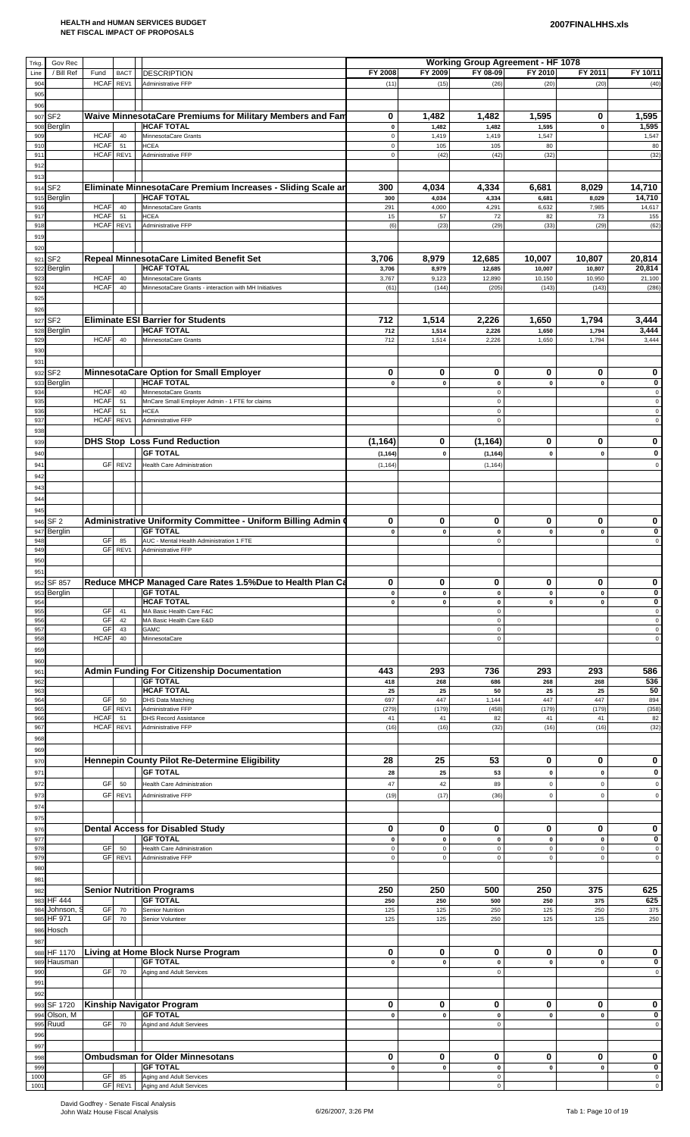| Trkg.       | Gov Rec                     |                                        |                                                                        |                          |                    | <b>Working Group Agreement - HF 1078</b> |                  |                          |                                            |
|-------------|-----------------------------|----------------------------------------|------------------------------------------------------------------------|--------------------------|--------------------|------------------------------------------|------------------|--------------------------|--------------------------------------------|
| Line        | / Bill Ref                  | Fund<br><b>BACT</b>                    | <b>DESCRIPTION</b>                                                     | FY 2008                  | FY 2009            | FY 08-09                                 | FY 2010          | FY 2011                  | FY 10/11                                   |
| 904<br>905  |                             | HCAF REV1                              | Administrative FFP                                                     | (11)                     | (15)               | (26)                                     | (20)             | (20)                     | (40)                                       |
| 906         |                             |                                        |                                                                        |                          |                    |                                          |                  |                          |                                            |
| 907         | SF <sub>2</sub>             |                                        | Waive MinnesotaCare Premiums for Military Members and Fan              | 0                        | 1,482              | 1,482                                    | 1,595            | 0                        | 1,595                                      |
| 908<br>909  | Berglin                     | <b>HCAF</b><br>40                      | <b>HCAF TOTAL</b><br>MinnesotaCare Grants                              | $\pmb{0}$<br>$\mathsf 0$ | 1,482<br>1,419     | 1,482<br>1,419                           | 1,595<br>1,547   | $\pmb{0}$                | 1,595<br>1,547                             |
| 910         |                             | <b>HCAF</b><br>51                      | <b>HCEA</b>                                                            | $\mathbf 0$              | 105                | 105                                      | 80               |                          | 80                                         |
| 911<br>912  |                             | HCAF REV1                              | Administrative FFP                                                     | $\mathbf 0$              | (42)               | (42)                                     | (32)             |                          | (32)                                       |
| 913         |                             |                                        |                                                                        |                          |                    |                                          |                  |                          |                                            |
|             | 914 SF2                     |                                        | Eliminate MinnesotaCare Premium Increases - Sliding Scale ar           | 300                      | 4,034              | 4,334                                    | 6,681            | 8,029                    | 14,710                                     |
| 915<br>916  | Berglin                     | <b>HCAF</b><br>40                      | <b>HCAF TOTAL</b><br>MinnesotaCare Grants                              | 300<br>291               | 4,034<br>4,000     | 4,334<br>4,291                           | 6,681<br>6,632   | 8,029<br>7,985           | 14,710<br>14,617                           |
| 917         |                             | <b>HCAF</b><br>51                      | <b>HCEA</b>                                                            | 15                       | 57                 | 72                                       | 82               | 73                       | 155                                        |
| 918<br>919  |                             | HCAF REV1                              | Administrative FFP                                                     | (6)                      | (23)               | (29)                                     | (33)             | (29)                     | (62)                                       |
| 920         |                             |                                        |                                                                        |                          |                    |                                          |                  |                          |                                            |
| 921         | SF <sub>2</sub>             |                                        | Repeal MinnesotaCare Limited Benefit Set                               | 3,706                    | 8,979              | 12,685                                   | 10,007           | 10,807                   | 20,814                                     |
| 922<br>923  | Berglin                     | <b>HCAF</b><br>40                      | <b>HCAF TOTAL</b><br>MinnesotaCare Grants                              | 3,706<br>3,767           | 8,979<br>9,123     | 12,685<br>12,890                         | 10,007<br>10,150 | 10,807<br>10,950         | 20,814<br>21,100                           |
| 924         |                             | <b>HCAF</b><br>40                      | MinnesotaCare Grants - interaction with MH Initiatives                 | (61)                     | (144)              | (205)                                    | (143)            | (143)                    | (286)                                      |
| 925         |                             |                                        |                                                                        |                          |                    |                                          |                  |                          |                                            |
| 926<br>927  | SF <sub>2</sub>             |                                        | <b>Eliminate ESI Barrier for Students</b>                              | 712                      | 1,514              | 2,226                                    | 1,650            | 1,794                    | 3,444                                      |
| 928         | <b>Berglin</b>              |                                        | <b>HCAF TOTAL</b>                                                      | 712                      | 1,514              | 2,226                                    | 1,650            | 1,794                    | 3,444                                      |
| 929         |                             | <b>HCAF</b><br>40                      | MinnesotaCare Grants                                                   | 712                      | 1,514              | 2,226                                    | 1,650            | 1,794                    | 3,444                                      |
| 930<br>931  |                             |                                        |                                                                        |                          |                    |                                          |                  |                          |                                            |
| 932         | SF <sub>2</sub>             |                                        | MinnesotaCare Option for Small Employer                                | 0                        | 0                  | 0                                        | 0                | 0                        | 0                                          |
| 933         | Berglin                     |                                        | <b>HCAF TOTAL</b>                                                      | $\pmb{0}$                | $\pmb{0}$          | $\pmb{0}$                                | $\mathbf 0$      | $\mathbf{0}$             | 0                                          |
| 934<br>935  |                             | <b>HCAF</b><br>40<br><b>HCAF</b><br>51 | MinnesotaCare Grants<br>MnCare Small Employer Admin - 1 FTE for claims |                          |                    | $\mathsf 0$<br>$\mathsf 0$               |                  |                          | $\mathsf{O}\xspace$<br>$\mathsf{O}\xspace$ |
| 936         |                             | <b>HCAF</b><br>51                      | <b>HCEA</b>                                                            |                          |                    | $\mathbf 0$                              |                  |                          | 0                                          |
| 937<br>938  |                             | HCAF REV1                              | Administrative FFP                                                     |                          |                    | $\mathsf 0$                              |                  |                          | $\mathsf 0$                                |
| 939         |                             |                                        | <b>DHS Stop Loss Fund Reduction</b>                                    | (1, 164)                 | 0                  | (1, 164)                                 | 0                | 0                        | 0                                          |
| 940         |                             |                                        | <b>GF TOTAL</b>                                                        | (1, 164)                 | $\pmb{0}$          | (1, 164)                                 | $\pmb{0}$        | $\pmb{0}$                | 0                                          |
| 941         |                             | GF REV2                                | <b>Health Care Administration</b>                                      | (1, 164)                 |                    | (1, 164)                                 |                  |                          | $\mathbf 0$                                |
| 942<br>943  |                             |                                        |                                                                        |                          |                    |                                          |                  |                          |                                            |
| 944         |                             |                                        |                                                                        |                          |                    |                                          |                  |                          |                                            |
| 945         |                             |                                        |                                                                        |                          |                    |                                          |                  |                          |                                            |
|             | 946 SF 2                    |                                        | Administrative Uniformity Committee - Uniform Billing Admin            | 0                        | 0                  | 0                                        | 0                | 0                        | 0                                          |
| 947<br>948  | Berglin                     | GF<br>85                               | <b>GF TOTAL</b><br>AUC - Mental Health Administration 1 FTE            | $\pmb{0}$                | $\pmb{\mathsf{o}}$ | $\pmb{0}$<br>$\mathsf 0$                 | $\mathbf 0$      | $\mathbf{0}$             | 0<br>0                                     |
| 949         |                             | GF REV1                                | Administrative FFP                                                     |                          |                    |                                          |                  |                          |                                            |
| 950         |                             |                                        |                                                                        |                          |                    |                                          |                  |                          |                                            |
| 951<br>952  | SF 857                      |                                        | Reduce MHCP Managed Care Rates 1.5%Due to Health Plan Ca               | 0                        | 0                  | 0                                        | 0                | 0                        | 0                                          |
| 953         | <b>Berglin</b>              |                                        | <b>GF TOTAL</b>                                                        | $\pmb{0}$                | $\pmb{0}$          | $\pmb{0}$                                | $\mathbf 0$      | $\pmb{0}$                | 0                                          |
| 954<br>955  |                             | GF<br>41                               | <b>HCAF TOTAL</b><br>MA Basic Health Care F&C                          | $\pmb{0}$                | $\pmb{0}$          | $\pmb{0}$<br>$\mathsf 0$                 | $\pmb{0}$        | $\mathbf 0$              | 0<br>0                                     |
| 956         |                             | GF<br>42                               | MA Basic Health Care E&D                                               |                          |                    | $\mathsf 0$                              |                  |                          | $\Omega$                                   |
| 957<br>958  |                             | GF<br>43<br><b>HCAF</b><br>40          | GAMC<br>MinnesotaCare                                                  |                          |                    | $\mathsf 0$<br>$\mathsf 0$               |                  |                          | 0<br>0                                     |
| 959         |                             |                                        |                                                                        |                          |                    |                                          |                  |                          |                                            |
| 960         |                             |                                        |                                                                        |                          |                    |                                          |                  |                          |                                            |
| 961<br>962  |                             |                                        | <b>Admin Funding For Citizenship Documentation</b><br><b>GF TOTAL</b>  | 443<br>418               | 293<br>268         | 736<br>686                               | 293<br>268       | 293<br>268               | 586<br>536                                 |
| 963         |                             |                                        | <b>HCAF TOTAL</b>                                                      | 25                       | 25                 | 50                                       | 25               | 25                       | 50                                         |
| 964<br>965  |                             | GF<br>50<br>GF<br>REV1                 | <b>DHS Data Matching</b><br>Administrative FFP                         | 697<br>(279)             | 447<br>(179)       | 1,144<br>(458)                           | 447<br>(179)     | 447<br>(179)             | 894<br>(358)                               |
| 966         |                             | <b>HCAF</b><br>51<br><b>HCAF</b>       | <b>DHS Record Assistance</b>                                           | 41                       | 41                 | 82                                       | 41               | 41                       | 82                                         |
| 967<br>968  |                             | REV1                                   | Administrative FFP                                                     | (16)                     | (16)               | (32)                                     | (16)             | (16)                     | (32)                                       |
| 969         |                             |                                        |                                                                        |                          |                    |                                          |                  |                          |                                            |
| 970         |                             |                                        | Hennepin County Pilot Re-Determine Eligibility                         | 28                       | 25                 | 53                                       | 0                | 0                        | 0                                          |
| 971         |                             | GF<br>50                               | <b>GF TOTAL</b>                                                        | 28<br>47                 | 25<br>42           | 53<br>89                                 | 0<br>$\pmb{0}$   | $\mathbf 0$<br>$\pmb{0}$ | 0                                          |
| 972<br>973  |                             | GF<br>REV1                             | <b>Health Care Administration</b><br>Administrative FFP                | (19)                     | (17)               | (36)                                     | $\mathbf 0$      | $\pmb{0}$                | $\mathbf 0$<br>$\mathsf 0$                 |
| 974         |                             |                                        |                                                                        |                          |                    |                                          |                  |                          |                                            |
| 975         |                             |                                        |                                                                        |                          |                    |                                          |                  |                          |                                            |
| 976<br>977  |                             |                                        | <b>Dental Access for Disabled Study</b><br><b>GF TOTAL</b>             | 0<br>$\pmb{0}$           | 0<br>$\pmb{0}$     | 0<br>$\pmb{0}$                           | 0<br>$\pmb{0}$   | 0<br>$\pmb{0}$           | 0<br>0                                     |
| 978         |                             | GF<br>50                               | <b>Health Care Administration</b>                                      | $\mathbf 0$              | $\mathbf 0$        | $\mathsf 0$                              | $\mathsf 0$      | $\mathbf 0$              | $\mathsf 0$                                |
| 979<br>980  |                             | GF REV1                                | Administrative FFP                                                     | $\mathsf 0$              | $\pmb{0}$          | $\mathbf 0$                              | $\mathbf 0$      | $\mathbf 0$              | $\mathsf 0$                                |
| 981         |                             |                                        |                                                                        |                          |                    |                                          |                  |                          |                                            |
| 982         |                             |                                        | <b>Senior Nutrition Programs</b>                                       | 250                      | 250                | 500                                      | 250              | 375                      | 625                                        |
| 983<br>984  | <b>HF 444</b><br>Johnson, S | GF<br>70                               | <b>GF TOTAL</b><br>Semior Nutrition                                    | 250<br>125               | 250<br>125         | 500<br>250                               | 250<br>125       | 375<br>250               | 625<br>375                                 |
| 985         | <b>HF 971</b>               | GF<br>70                               | Senior Volunteer                                                       | 125                      | 125                | 250                                      | 125              | 125                      | 250                                        |
|             | 986 Hosch                   |                                        |                                                                        |                          |                    |                                          |                  |                          |                                            |
| 987         | 988 HF 1170                 |                                        | Living at Home Block Nurse Program                                     | 0                        | 0                  | 0                                        | 0                | 0                        | 0                                          |
| 989         | Hausman                     |                                        | <b>GF TOTAL</b>                                                        | $\pmb{0}$                | $\pmb{0}$          | $\pmb{0}$                                | $\pmb{0}$        | $\pmb{0}$                | 0                                          |
| 990<br>991  |                             | GF<br>70                               | Aging and Adult Services                                               |                          |                    | $\mathsf 0$                              |                  |                          | $\Omega$                                   |
| 992         |                             |                                        |                                                                        |                          |                    |                                          |                  |                          |                                            |
| 993         | SF 1720                     |                                        | Kinship Navigator Program                                              | 0                        | 0                  | 0                                        | 0                | 0                        | 0                                          |
| 994<br>995  | Olson, M<br>Ruud            | GF<br>70                               | <b>GF TOTAL</b><br>Agind and Adult Serviees                            | $\mathbf 0$              | $\pmb{0}$          | $\pmb{0}$<br>$\mathsf 0$                 | $\mathbf 0$      | $\mathbf{0}$             | 0<br>0                                     |
| 996         |                             |                                        |                                                                        |                          |                    |                                          |                  |                          |                                            |
| 997         |                             |                                        |                                                                        |                          |                    |                                          |                  |                          |                                            |
| 998         |                             |                                        | <b>Ombudsman for Older Minnesotans</b>                                 | 0                        | 0                  | 0                                        | 0                | 0                        | 0                                          |
| 999<br>1000 |                             | <b>GF</b><br>85                        | $\overline{\phantom{a}}$ GF TOTAL<br>Aging and Adult Services          | 0                        | U                  | U<br>$\mathbf 0$                         | U                | U                        | 0<br>0                                     |
| 1001        |                             | GF REV1                                | Aging and Adult Services                                               |                          |                    | $\mathsf 0$                              |                  |                          | $\mathbf 0$                                |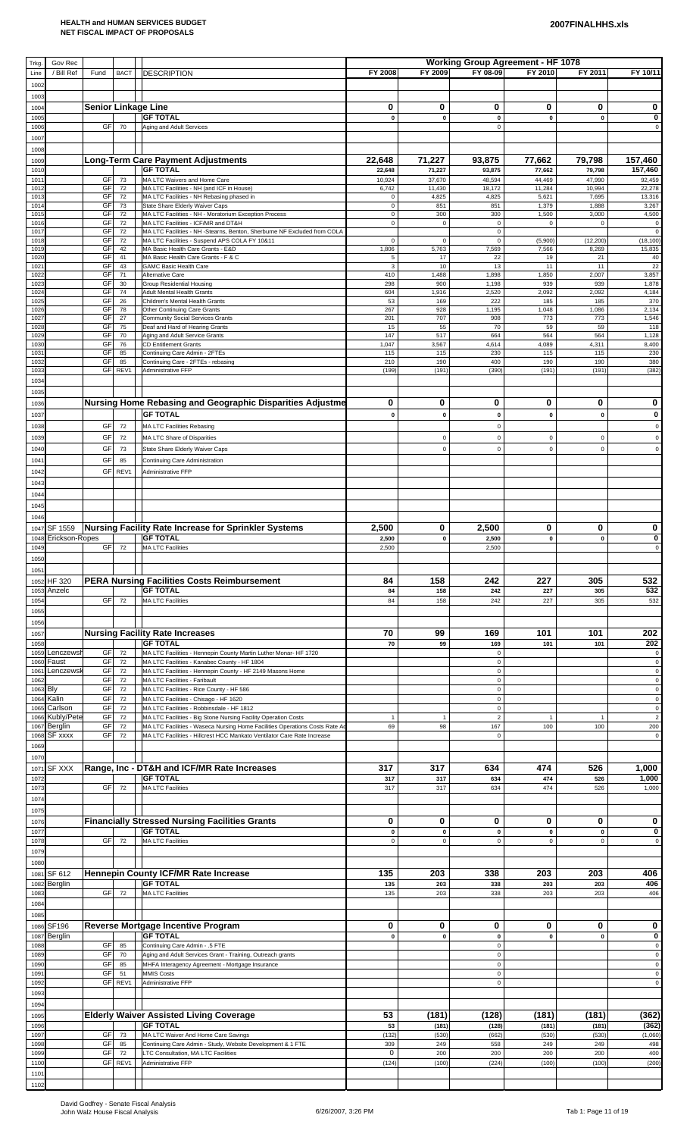| Trkg.           | Gov Rec                        |                            |             |                                                                                                                                              |                           |                    | <b>Working Group Agreement - HF 1078</b> |                       |                       |                          |
|-----------------|--------------------------------|----------------------------|-------------|----------------------------------------------------------------------------------------------------------------------------------------------|---------------------------|--------------------|------------------------------------------|-----------------------|-----------------------|--------------------------|
| Line            | / Bill Ref                     | Fund                       | <b>BACT</b> | <b>DESCRIPTION</b>                                                                                                                           | FY 2008                   | FY 2009            | FY 08-09                                 | FY 2010               | FY 2011               | FY 10/11                 |
| 1002            |                                |                            |             |                                                                                                                                              |                           |                    |                                          |                       |                       |                          |
| 1003            |                                |                            |             |                                                                                                                                              |                           |                    |                                          |                       |                       |                          |
| 1004            |                                | <b>Senior Linkage Line</b> |             |                                                                                                                                              | 0                         | 0                  | 0                                        | 0                     | 0                     | 0                        |
| 1005            |                                |                            |             | <b>GF TOTAL</b>                                                                                                                              | $\pmb{0}$                 | $\pmb{0}$          | $\pmb{0}$<br>$\Omega$                    | $\pmb{0}$             | $\pmb{0}$             | 0                        |
| 1006<br>1007    |                                | GF                         | 70          | Aging and Adult Services                                                                                                                     |                           |                    |                                          |                       |                       | $\mathbf 0$              |
| 1008            |                                |                            |             |                                                                                                                                              |                           |                    |                                          |                       |                       |                          |
| 1009            |                                |                            |             | <b>Long-Term Care Payment Adjustments</b>                                                                                                    | 22,648                    | 71,227             | 93,875                                   | 77,662                | 79,798                | 157,460                  |
| 1010            |                                |                            |             | <b>GF TOTAL</b>                                                                                                                              | 22,648                    | 71,227             | 93,875                                   | 77,662                | 79,798                | 157,460                  |
| 101             |                                | GF                         | 73          | MA LTC Waivers and Home Care                                                                                                                 | 10,924                    | 37,670             | 48,594                                   | 44,469                | 47,990                | 92,459                   |
| 101:<br>101     |                                | GF<br>GF                   | 72          | MA LTC Facilities - NH (and ICF in House)                                                                                                    | 6,742                     | 11,430             | 18,172                                   | 11,284                | 10,994                | 22,278                   |
| $101 -$         |                                | GF                         | 72<br>73    | MA LTC Facilities - NH Rebasing phased in<br>State Share Elderly Waiver Caps                                                                 | $\mathbf 0$<br>$\pmb{0}$  | 4,825<br>851       | 4,825<br>851                             | 5,621<br>1,379        | 7,695<br>1,888        | 13,316<br>3,267          |
| 101             |                                | GF                         | 72          | MA LTC Facilities - NH - Moratorium Exception Process                                                                                        | $\pmb{0}$                 | 300                | 300                                      | 1,500                 | 3,000                 | 4,500                    |
| 101<br>101      |                                | GF<br>GF                   | 72<br>72    | MA LTC Facilities - ICF/MR and DT&H<br>MA LTC Facilities - NH -Stearns, Benton, Sherburne NF Excluded from COLA                              | $\mathbf 0$               | $\mathbf 0$        | $\pmb{0}$<br>$\mathbf 0$                 | $\mathsf 0$           | $\mathsf 0$           | $\pmb{0}$<br>$\mathbf 0$ |
| 1018            |                                | GF                         | 72          | MA LTC Facilities - Suspend APS COLA FY 10&11                                                                                                | $\mathbf 0$               | $\mathbf 0$        | $\mathbf 0$                              | (5,900)               | (12, 200)             | (18, 100)                |
| 1019            |                                | GF                         | 42          | MA Basic Health Care Grants - E&D                                                                                                            | 1,806                     | 5,763              | 7,569                                    | 7,566                 | 8,269                 | 15,835                   |
| 102<br>$102 -$  |                                | GF<br>GF                   | 41<br>43    | MA Basic Health Care Grants - F & C<br><b>GAMC Basic Health Care</b>                                                                         | $\sqrt{5}$<br>$\mathsf 3$ | 17<br>10           | 22<br>13                                 | 19<br>11              | 21<br>11              | 40<br>22                 |
| 102             |                                | GF                         | 71          | Alternative Care                                                                                                                             | 410                       | 1,488              | 1,898                                    | 1,850                 | 2,007                 | 3,857                    |
| 102             |                                | GF<br>GF                   | 30          | <b>Group Residential Housing</b><br><b>Adult Mental Health Grants</b>                                                                        | 298                       | 900                | 1,198                                    | 939                   | 939                   | 1,878                    |
| 1024<br>102     |                                | GF                         | 74<br>26    | Children's Mental Health Grants                                                                                                              | 604<br>53                 | 1,916<br>169       | 2,520<br>222                             | 2,092<br>185          | 2,092<br>185          | 4,184<br>370             |
| 1026            |                                | GF                         | 78          | Other Continuing Care Grants                                                                                                                 | 267                       | 928                | 1,195                                    | 1,048                 | 1,086                 | 2,134                    |
| 102<br>1028     |                                | GF<br>GF                   | 27<br>75    | <b>Community Social Services Grants</b><br>Deaf and Hard of Hearing Grants                                                                   | 201<br>15                 | 707<br>55          | 908<br>70                                | 773<br>59             | 773<br>59             | 1,546<br>118             |
| 1029            |                                | GF                         | 70          | Aging and Adult Service Grants                                                                                                               | 147                       | 517                | 664                                      | 564                   | 564                   | 1,128                    |
| 1030            |                                | GF                         | 76          | <b>CD Entitlement Grants</b>                                                                                                                 | 1,047                     | 3,567              | 4,614                                    | 4,089                 | 4,311                 | 8,400                    |
| $103 -$<br>1032 |                                | GF<br>GF                   | 85<br>85    | Continuing Care Admin - 2FTEs<br>Continuing Care - 2FTEs - rebasing                                                                          | 115<br>210                | 115<br>190         | 230<br>400                               | 115<br>190            | 115<br>190            | 230<br>380               |
| 1033            |                                | GF                         | REV1        | Administrative FFP                                                                                                                           | (199)                     | (191)              | (390)                                    | (191)                 | (191)                 | (382)                    |
| 1034            |                                |                            |             |                                                                                                                                              |                           |                    |                                          |                       |                       |                          |
| 1035            |                                |                            |             |                                                                                                                                              |                           |                    |                                          |                       |                       |                          |
| 1036            |                                |                            |             | Nursing Home Rebasing and Geographic Disparities Adjustme                                                                                    | 0                         | 0                  | 0                                        | 0                     | 0                     | 0                        |
| 1037            |                                |                            |             | <b>GF TOTAL</b>                                                                                                                              | $\pmb{0}$                 | $\pmb{0}$          | $\mathbf 0$                              | $\mathbf 0$           | $\mathbf 0$           | 0                        |
| 1038            |                                | GF                         | 72          | <b>MA LTC Facilities Rebasing</b>                                                                                                            |                           |                    | $\mathbf 0$                              |                       |                       | $\mathbf 0$              |
| 1039            |                                | GF                         | 72          | MA LTC Share of Disparities                                                                                                                  |                           | $\mathsf 0$        | $\mathbf 0$                              | $\mathsf 0$           | $\mathsf 0$           | $\mathbf 0$              |
| 1040            |                                | GF                         | 73          | State Share Elderly Waiver Caps                                                                                                              |                           | $\mathbf 0$        | $\mathbf 0$                              | $\mathsf 0$           | $\mathsf 0$           | $\mathbf 0$              |
| 104             |                                | GF                         | 85          | Continuing Care Administration                                                                                                               |                           |                    |                                          |                       |                       |                          |
| 1042            |                                | GF                         | REV1        | Administrative FFP                                                                                                                           |                           |                    |                                          |                       |                       |                          |
| 1043            |                                |                            |             |                                                                                                                                              |                           |                    |                                          |                       |                       |                          |
| 1044            |                                |                            |             |                                                                                                                                              |                           |                    |                                          |                       |                       |                          |
| 1045            |                                |                            |             |                                                                                                                                              |                           |                    |                                          |                       |                       |                          |
| 1046            |                                |                            |             |                                                                                                                                              |                           |                    |                                          |                       |                       |                          |
| 1048            | 1047 SF 1559<br>Erickson-Ropes |                            |             | Nursing Facility Rate Increase for Sprinkler Systems<br><b>GF TOTAL</b>                                                                      | 2,500                     | 0<br>$\pmb{0}$     | 2,500                                    | 0<br>$\mathbf 0$      | 0<br>$\mathbf 0$      | 0<br>0                   |
| 1049            |                                | <b>GF</b>                  | 72          | <b>MA LTC Facilities</b>                                                                                                                     | 2,500<br>2,500            |                    | 2,500<br>2,500                           |                       |                       | $\mathbf 0$              |
| 1050            |                                |                            |             |                                                                                                                                              |                           |                    |                                          |                       |                       |                          |
| 1051            |                                |                            |             |                                                                                                                                              |                           |                    |                                          |                       |                       |                          |
| 1052            | <b>HF 320</b>                  |                            |             | <b>PERA Nursing Facilities Costs Reimbursement</b>                                                                                           | 84                        | 158                | 242                                      | 227                   | 305                   | 532                      |
| 1053            | Anzelc                         |                            |             | <b>GF TOTAL</b>                                                                                                                              | 84                        | 158                | 242                                      | 227                   | 305                   | 532                      |
| 1054            |                                | GF                         | 72          | <b>MA LTC Facilities</b>                                                                                                                     | 84                        | 158                | 242                                      | 227                   | 305                   | 532                      |
| 1055            |                                |                            |             |                                                                                                                                              |                           |                    |                                          |                       |                       |                          |
| 1056            |                                |                            |             |                                                                                                                                              |                           | 99                 | 169                                      | 101                   | 101                   |                          |
| 1057<br>1058    |                                |                            |             | <b>Nursing Facility Rate Increases</b><br><b>GF TOTAL</b>                                                                                    | 70<br>70                  | 99                 | 169                                      | 101                   | 101                   | 202<br>202               |
| 1059            | Lenczewsh                      | GF                         | 72          | MA LTC Facilities - Hennepin County Martin Luther Monar- HF 1720                                                                             |                           |                    | $\mathbf 0$                              |                       |                       | $\pmb{0}$                |
| 1060            | Faust                          | GF                         | 72          | MA LTC Facilities - Kanabec County - HF 1804                                                                                                 |                           |                    | $\Omega$                                 |                       |                       | $\,0\,$                  |
| 106'<br>1062    | Lenczewsk                      | GF<br>GF                   | 72<br>72    | MA LTC Facilities - Hennepin County - HF 2149 Masons Home<br>MA LTC Facilities - Faribault                                                   |                           |                    | $\mathbf 0$<br>$\mathbf 0$               |                       |                       | $\pmb{0}$<br>$\pmb{0}$   |
| 1063            | <b>Bly</b>                     | GF                         | 72          | MA LTC Facilities - Rice County - HF 586                                                                                                     |                           |                    | $\mathbf 0$                              |                       |                       | $\pmb{0}$                |
| 1064            | Kalin                          | GF                         | 72          | MA LTC Facilities - Chisago - HF 1620                                                                                                        |                           |                    | $\mathbf 0$                              |                       |                       | $\pmb{0}$                |
| 1065            | Carlson                        | GF                         | 72          | MA LTC Facilities - Robbinsdale - HF 1812                                                                                                    |                           |                    | $\mathbf 0$                              |                       |                       | $\pmb{0}$                |
| 1066<br>1067    | Kubly/Pete<br>Berglin          | GF<br>GF                   | 72<br>72    | MA LTC Facilities - Big Stone Nursing Facility Operation Costs<br>MA LTC Facilities - Waseca Nursing Home Facilities Operations Costs Rate A | $\overline{1}$<br>69      | $\mathbf{1}$<br>98 | $\overline{2}$<br>167                    | $\overline{1}$<br>100 | $\overline{1}$<br>100 | $\overline{c}$<br>200    |
| 1068            | SF xxxx                        | GF                         | 72          | MA LTC Facilities - Hillcrest HCC Mankato Ventilator Care Rate Increase                                                                      |                           |                    | $\mathbf 0$                              |                       |                       | $\mathsf 0$              |
| 1069            |                                |                            |             |                                                                                                                                              |                           |                    |                                          |                       |                       |                          |
| 1070            |                                |                            |             |                                                                                                                                              |                           |                    |                                          |                       |                       |                          |
| 107'            | <b>SF XXX</b>                  |                            |             | Range, Inc - DT&H and ICF/MR Rate Increases                                                                                                  | 317                       | 317                | 634                                      | 474                   | 526                   | 1,000                    |
| 1072<br>107     |                                | GF                         | 72          | <b>GF TOTAL</b><br><b>MA LTC Facilities</b>                                                                                                  | 317<br>317                | 317<br>317         | 634<br>634                               | 474<br>474            | 526<br>526            | 1,000<br>1,000           |
| 1074            |                                |                            |             |                                                                                                                                              |                           |                    |                                          |                       |                       |                          |
| 1075            |                                |                            |             |                                                                                                                                              |                           |                    |                                          |                       |                       |                          |
| 1076            |                                |                            |             | <b>Financially Stressed Nursing Facilities Grants</b>                                                                                        | 0                         | 0                  | 0                                        | 0                     | 0                     | 0                        |
| 1077            |                                |                            |             | <b>GF TOTAL</b>                                                                                                                              | $\pmb{0}$                 | $\pmb{0}$          | $\bf{0}$                                 | $\pmb{0}$             | $\mathbf 0$           | 0                        |
| 1078            |                                | GF                         | 72          | <b>MA LTC Facilities</b>                                                                                                                     | $\pmb{0}$                 | $\mathbf 0$        | $\Omega$                                 | $\mathbf 0$           | $\mathbf 0$           | $\mathsf 0$              |
| 1079            |                                |                            |             |                                                                                                                                              |                           |                    |                                          |                       |                       |                          |
| 1080            |                                |                            |             |                                                                                                                                              |                           |                    |                                          |                       |                       |                          |
| 1081<br>1082    | SF 612<br>Berglin              |                            |             | Hennepin County ICF/MR Rate Increase<br><b>GF TOTAL</b>                                                                                      | 135<br>135                | 203<br>203         | 338<br>338                               | 203<br>203            | 203<br>203            | 406<br>406               |
| 1083            |                                | GF                         | 72          | <b>MA LTC Facilities</b>                                                                                                                     | 135                       | 203                | 338                                      | 203                   | 203                   | 406                      |
| 1084            |                                |                            |             |                                                                                                                                              |                           |                    |                                          |                       |                       |                          |
| 1085            |                                |                            |             |                                                                                                                                              |                           |                    |                                          |                       |                       |                          |
|                 | 1086 SF196                     |                            |             | Reverse Mortgage Incentive Program                                                                                                           | 0                         | 0                  | 0                                        | 0                     | 0                     | 0                        |
| 1087<br>1088    | Berglin                        | GF                         | 85          | <b>GF TOTAL</b><br>Continuing Care Admin - .5 FTE                                                                                            | $\mathbf 0$               | $\mathbf{0}$       | $\mathbf 0$<br>$\mathbf 0$               | $\mathbf{0}$          | $\mathbf 0$           | $\pmb{0}$<br>$\mathbf 0$ |
| 1089            |                                | GF                         | 70          | Aging and Adult Services Grant - Training, Outreach grants                                                                                   |                           |                    | $\mathbf 0$                              |                       |                       | $\pmb{0}$                |
| 1090            |                                | GF                         | 85          | MHFA Interagency Agreement - Mortgage Insurance                                                                                              |                           |                    | $\mathbf 0$                              |                       |                       | $\pmb{0}$                |
| 109'            |                                | GF                         | 51          | <b>MMIS Costs</b>                                                                                                                            |                           |                    | $\mathbf 0$                              |                       |                       | $\,0\,$                  |
| 1092<br>1093    |                                | GF                         | REV1        | Administrative FFP                                                                                                                           |                           |                    | $\mathbf 0$                              |                       |                       | $\mathbf 0$              |
| 1094            |                                |                            |             |                                                                                                                                              |                           |                    |                                          |                       |                       |                          |
| 1095            |                                |                            |             | <b>Elderly Waiver Assisted Living Coverage</b>                                                                                               | 53                        | (181)              | (128)                                    | (181)                 | (181)                 | (362)                    |
| 1096            |                                |                            |             | <b>GF TOTAL</b>                                                                                                                              | 53                        | (181)              | (128)                                    | (181)                 | (181)                 | (362)                    |
| 1097            |                                | <b>GF</b>                  | 73          | MA LTC Waiver And Home Care Savings                                                                                                          | (132)                     | (530)              | (662)                                    | (530)                 | (530)                 | (1,060)                  |
| 1098<br>1099    |                                | GF<br>GF                   | 85<br>72    | Continuing Care Admin - Study, Website Development & 1 FTE<br>LTC Consultation, MA LTC Facilities                                            | 309<br>$\mathbf 0$        | 249<br>200         | 558<br>200                               | 249<br>200            | 249<br>200            | 498<br>400               |
| 1100            |                                | GF                         | REV1        | Administrative FFP                                                                                                                           | (124)                     | (100)              | (224)                                    | (100)                 | (100)                 | (200)                    |
| 1101            |                                |                            |             |                                                                                                                                              |                           |                    |                                          |                       |                       |                          |
| 1102            |                                |                            |             |                                                                                                                                              |                           |                    |                                          |                       |                       |                          |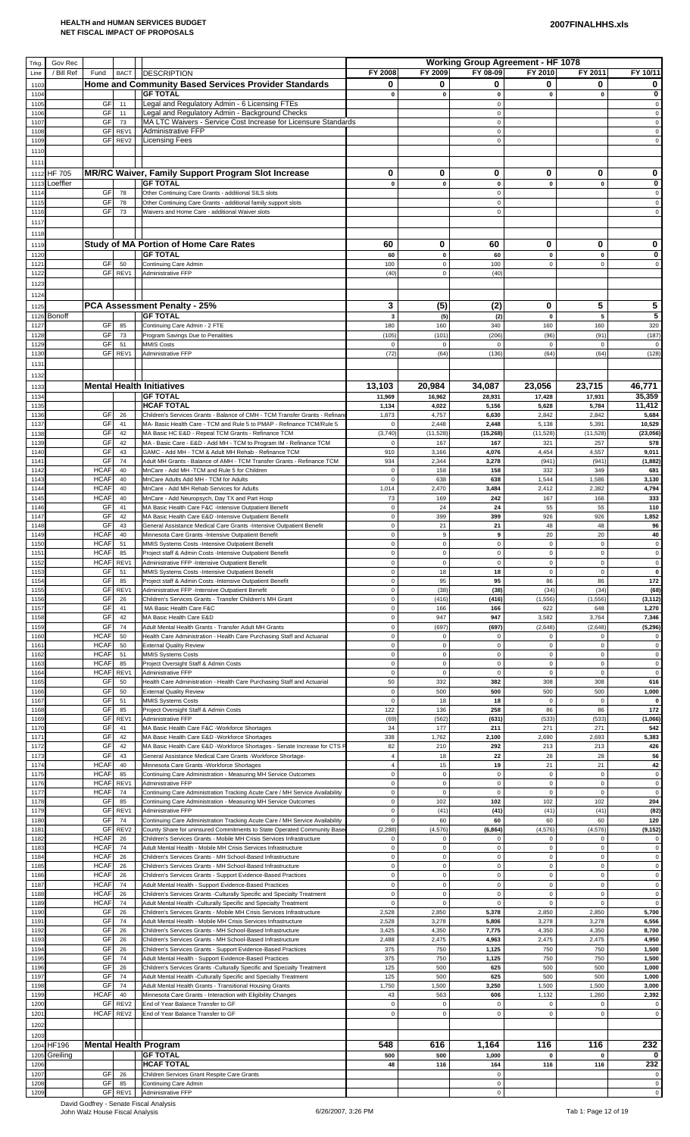| Trkg         | Gov Rec                  |                            |                        |                                                                                                                                                  |                                  |                            | <b>Working Group Agreement - HF 1078</b> |                               |                            |                            |
|--------------|--------------------------|----------------------------|------------------------|--------------------------------------------------------------------------------------------------------------------------------------------------|----------------------------------|----------------------------|------------------------------------------|-------------------------------|----------------------------|----------------------------|
| Line<br>110  | / Bill Ref               | Fund                       | <b>BACT</b>            | <b>DESCRIPTION</b><br><b>Home and Community Based Services Provider Standards</b>                                                                | FY 2008<br>0                     | FY 2009<br>0               | FY 08-09<br>0                            | FY 2010<br>0                  | FY 2011<br>0               | FY 10/11<br>0              |
| $110-$       |                          |                            |                        | <b>GF TOTAL</b>                                                                                                                                  | $\mathbf 0$                      | $\pmb{0}$                  | $\mathbf 0$                              | $\mathbf{0}$                  | $\mathbf 0$                | $\bf{0}$                   |
| 1105<br>1106 |                          | GF<br>GF                   | 11<br>11               | Legal and Regulatory Admin - 6 Licensing FTEs<br>Legal and Regulatory Admin - Background Checks                                                  |                                  |                            | $\mathbf 0$<br>$\pmb{0}$                 |                               |                            | $\pmb{0}$<br>$\pmb{0}$     |
| 110<br>110   |                          | GF<br>GF                   | 73<br>REV1             | MA LTC Waivers - Service Cost Increase for Licensure Standards<br>Administrative FFP                                                             |                                  |                            | $\mathbf 0$<br>$\pmb{0}$                 |                               |                            | $\pmb{0}$<br>$\pmb{0}$     |
| 1109         |                          | GF                         | REV2                   | <b>Licensing Fees</b>                                                                                                                            |                                  |                            | $\Omega$                                 |                               |                            | $\mathbf 0$                |
| 111<br>1111  |                          |                            |                        |                                                                                                                                                  |                                  |                            |                                          |                               |                            |                            |
|              | 1112 HF 705              |                            |                        | MR/RC Waiver, Family Support Program Slot Increase                                                                                               | 0                                | 0                          | 0                                        | 0                             | 0                          | 0                          |
| 1113<br>1114 | Loeffler                 | GF                         | 78                     | <b>GF TOTAL</b><br>Other Continuing Care Grants - additional SILS slots                                                                          | $\pmb{0}$                        | $\pmb{0}$                  | $\pmb{0}$<br>$\mathbf 0$                 | $\mathbf 0$                   | $\mathbf 0$                | 0<br>$\pmb{0}$             |
| 111          |                          | GF                         | 78                     | Other Continuing Care Grants - additional family support slots                                                                                   |                                  |                            | $\pmb{0}$                                |                               |                            | $\pmb{0}$                  |
| 1116<br>1117 |                          | GF                         | 73                     | Waivers and Home Care - additional Waiver slots                                                                                                  |                                  |                            | $\Omega$                                 |                               |                            | $\mathsf 0$                |
| 1118         |                          |                            |                        |                                                                                                                                                  |                                  |                            |                                          |                               |                            |                            |
| 1119<br>1120 |                          |                            |                        | <b>Study of MA Portion of Home Care Rates</b><br><b>GF TOTAL</b>                                                                                 | 60<br>60                         | 0<br>$\pmb{0}$             | 60<br>60                                 | 0<br>$\pmb{\mathsf{o}}$       | 0<br>$\mathbf 0$           | 0<br>0                     |
| 112          |                          | GF                         | 50                     | Continuing Care Admin                                                                                                                            | 100                              | $\mathbf 0$                | 100                                      | $\mathbf 0$                   | $\mathbf 0$                | $\pmb{0}$                  |
| 112<br>112   |                          |                            | GF REV1                | Administrative FFP                                                                                                                               | (40)                             | $\mathbf 0$                | (40)                                     |                               |                            |                            |
| 1124         |                          |                            |                        |                                                                                                                                                  |                                  |                            |                                          |                               |                            |                            |
| 1125<br>1126 | <b>Bonoff</b>            |                            |                        | PCA Assessment Penalty - 25%<br><b>GF TOTAL</b>                                                                                                  | 3<br>$\overline{\mathbf{3}}$     | (5)<br>(5)                 | (2)<br>(2)                               | 0<br>$\pmb{0}$                | 5<br>5                     | 5<br>5                     |
| 1127         |                          | GF                         | 85                     | Continuing Care Admin - 2 FTE                                                                                                                    | 180                              | 160                        | 340                                      | 160                           | 160                        | 320                        |
| 112<br>1129  |                          | GF<br>GF                   | 73<br>51               | Program Savings Due to Penalities<br><b>MMIS Costs</b>                                                                                           | (105)<br>$\mathbf 0$             | (101)<br>$\mathbf 0$       | (206)<br>$\mathbf 0$                     | (96)<br>$\mathbf 0$           | (91)<br>$\mathbf{0}$       | (187)<br>$\mathbf 0$       |
| 1130         |                          |                            | GF REV1                | Administrative FFP                                                                                                                               | (72)                             | (64)                       | (136)                                    | (64)                          | (64)                       | (128)                      |
| 113<br>113   |                          |                            |                        |                                                                                                                                                  |                                  |                            |                                          |                               |                            |                            |
| 113          |                          |                            |                        | <b>Mental Health Initiatives</b>                                                                                                                 | 13,103                           | 20,984                     | 34,087                                   | 23,056                        | 23,715                     | 46,771                     |
| 1134<br>113  |                          |                            |                        | <b>GF TOTAL</b><br><b>HCAF TOTAL</b>                                                                                                             | 11,969<br>1,134                  | 16,962<br>4,022            | 28,931<br>5,156                          | 17,428<br>5,628               | 17,931<br>5,784            | 35,359<br>11,412           |
| 1136         |                          | GF<br>GF                   | 26<br>41               | Children's Services Grants - Balance of CMH - TCM Transfer Grants - Refinar                                                                      | 1,873<br>$\mathbf 0$             | 4,757<br>2,448             | 6,630                                    | 2,842                         | 2,842                      | 5,684<br>10,529            |
| 1137<br>113  |                          | GF                         | 42                     | MA- Basic Health Care - TCM and Rule 5 to PMAP - Refinance TCM/Rule 5<br>MA Basic HC E&D - Repeal TCM Grants - Refinance TCM                     | (3,740)                          | (11,528)                   | 2,448<br>(15, 268)                       | 5,138<br>(11, 528)            | 5,391<br>(11, 528)         | (23, 056)                  |
| 113<br>114   |                          | GF<br>GF                   | 42<br>43               | MA - Basic Care - E&D - Add MH - TCM to Program IM - Refinance TCM<br>GAMC - Add MH - TCM & Adult MH Rehab - Refinance TCM                       | $\mathbf 0$<br>910               | 167<br>3,166               | 167<br>4,076                             | 321<br>4,454                  | 257<br>4,557               | 578<br>9,011               |
| 114          |                          | GF                         | 74                     | Adult MH Grants - Balance of AMH - TCM Transfer Grants - Refinance TCM                                                                           | 934                              | 2,344                      | 3,278                                    | (941)                         | (941)                      | (1, 882)                   |
| 114<br>114   |                          | <b>HCAF</b><br><b>HCAF</b> | 40<br>40               | MnCare - Add MH - TCM and Rule 5 for Children<br>MnCare Adults Add MH - TCM for Adults                                                           | $\mathbf 0$<br>$\pmb{0}$         | 158<br>638                 | 158<br>638                               | 332<br>1,544                  | 349<br>1,586               | 681<br>3,130               |
| 1144<br>1145 |                          | <b>HCAF</b><br><b>HCAF</b> | 40<br>40               | MnCare - Add MH Rehab Services for Adults<br>MnCare - Add Neuropsych, Day TX and Part Hosp                                                       | 1,014<br>73                      | 2,470<br>169               | 3,484<br>242                             | 2,412<br>167                  | 2,382<br>166               | 4,794<br>333               |
| 114          |                          | GF                         | 41                     | MA Basic Health Care F&C -Intensive Outpatient Benefit                                                                                           | $\pmb{0}$                        | 24                         | 24                                       | 55                            | 55                         | 110                        |
| 114<br>1148  |                          | GF<br>GF                   | 42<br>43               | MA Basic Health Care E&D -Intensive Outpatient Benefit<br>General Assistance Medical Care Grants -Intensive Outpatient Benefit                   | $\pmb{0}$<br>$\pmb{0}$           | 399<br>21                  | 399<br>21                                | 926<br>48                     | 926<br>48                  | 1,852<br>96                |
| 1149         |                          | <b>HCAF</b>                | 40                     | Minnesota Care Grants -Intensive Outpatient Benefit                                                                                              | $\pmb{0}$                        | 9                          | 9                                        | 20                            | 20                         | 40                         |
| 115<br>1151  |                          | <b>HCAF</b><br><b>HCAF</b> | 51<br>85               | MMIS Systems Costs -Intensive Outpatient Benefit<br>Project staff & Admin Costs -Intensive Outpatient Benefit                                    | $\pmb{0}$<br>$\pmb{0}$           | $\mathbf 0$<br>$\mathsf 0$ | $\pmb{0}$<br>$\mathsf 0$                 | $\mathbf 0$<br>$\mathsf 0$    | $\mathsf 0$<br>$\mathsf 0$ | $\pmb{0}$<br>$\mathbf 0$   |
| 1152<br>115  |                          | <b>HCAF</b><br>GF          | REV1<br>51             | Administrative FFP -Intensive Outpatient Benefit<br>MMIS Systems Costs -Intensive Outpatient Benefit                                             | $\pmb{0}$<br>$\mathbf 0$         | $\mathbf 0$<br>18          | 0<br>18                                  | $\mathbf 0$<br>$\mathbf 0$    | 0<br>$\pmb{0}$             | $\pmb{0}$<br>$\pmb{0}$     |
| 1154         |                          | GF                         | 85                     | Project staff & Admin Costs -Intensive Outpatient Benefit                                                                                        | $\mathbf 0$                      | 95                         | 95                                       | 86                            | 86                         | 172                        |
| 1155<br>115  |                          | GF<br>GF                   | REV1<br>26             | Administrative FFP -Intensive Outpatient Benefit<br>Children's Services Grants - Transfer Children's MH Grant                                    | $\mathbf 0$<br>$\mathbf 0$       | (38)<br>(416)              | (38)<br>(416)                            | (34)<br>(1,556)               | (34)<br>(1, 556)           | (68)<br>(3, 112)           |
| 115<br>115   |                          | GF<br>GF                   | 41<br>42               | MA Basic Health Care F&C<br>MA Basic Health Care E&D                                                                                             | $\pmb{0}$<br>$\pmb{0}$           | 166<br>947                 | 166<br>947                               | 622<br>3,582                  | 648<br>3,764               | 1,270<br>7,346             |
| 1159         |                          | GF                         | 74                     | Adult Mental Health Grants - Transfer Adult MH Grants                                                                                            | $\mathbf 0$                      | (697)                      | (697)                                    | (2,648)                       | (2,648)                    | (5, 296)                   |
| 116<br>116   |                          | <b>HCAF</b><br><b>HCAF</b> | 50<br>50               | Health Care Administration - Health Care Purchasing Staff and Actuarial<br><b>External Quality Review</b>                                        | $\mathbf 0$<br>$\mathbf 0$       | $\mathbf 0$<br>$\mathbf 0$ | $\pmb{0}$<br>$\mathbf 0$                 | $\mathbf 0$<br>$\mathbf 0$    | $\mathbf 0$<br>$\mathbf 0$ | $\mathbf 0$<br>$\pmb{0}$   |
| 116<br>116   |                          | <b>HCAF</b><br><b>HCAF</b> | 51<br>85               | <b>MMIS Systems Costs</b><br>Project Oversight Staff & Admin Costs                                                                               | $\mathbf 0$<br>$\mathbf 0$       | $\mathbf 0$<br>$\mathbf 0$ | 0<br>$\mathbf 0$                         | $\mathbf 0$<br>$\overline{0}$ | $\mathbf 0$<br>$\Omega$    | $\pmb{0}$<br>$\pmb{0}$     |
| 116          |                          | <b>HCAF</b>                | REV1                   | Administrative FFP                                                                                                                               | $\pmb{0}$                        | $\pmb{0}$                  | $\pmb{0}$                                | $\mathbf 0$                   | $\mathbf 0$                | $\pmb{0}$                  |
| 116<br>116   |                          | GF<br>GF                   | 50<br>50               | Health Care Administration - Health Care Purchasing Staff and Actuarial<br><b>External Quality Review</b>                                        | 50<br>$\mathbf 0$                | 332<br>500                 | 382<br>500                               | 308<br>500                    | 308<br>500                 | 616<br>1,000               |
| 116          |                          | GF<br>GF                   | 51                     | <b>MMIS Systems Costs</b>                                                                                                                        | $\mathbf 0$<br>122               | 18<br>136                  | 18<br>258                                | $\mathbf 0$<br>86             | $\mathbf 0$<br>86          | $\mathbf 0$<br>172         |
| 116<br>1169  |                          | GF                         | 85<br>REV1             | Project Oversight Staff & Admin Costs<br>Administrative FFP                                                                                      | (69)                             | (562)                      | (631)                                    | (533)                         | (533)                      | (1,066)                    |
| 117<br>117   |                          | GF<br>GF                   | 41<br>42               | MA Basic Health Care F&C -Workforce Shortages<br>MA Basic Health Care E&D -Workforce Shortages                                                   | 34<br>338                        | 177<br>1,762               | 211<br>2,100                             | 271<br>2,690                  | 271<br>2,693               | 542<br>5,383               |
| 1172         |                          | GF                         | 42                     | MA Basic Health Care E&D -Workforce Shortages - Senate Increase for CTS I                                                                        | 82                               | 210                        | 292                                      | 213                           | 213                        | 426                        |
| 117<br>117   |                          | GF<br><b>HCAF</b>          | 43<br>40               | General Assistance Medical Care Grants - Workforce Shortage-<br>Minnesota Care Grants - Workforce Shortages                                      | $\overline{4}$<br>$\overline{4}$ | 18<br>15                   | 22<br>19                                 | 28<br>21                      | 28<br>21                   | 56<br>42                   |
| 117<br>1176  |                          | <b>HCAF</b><br><b>HCAF</b> | 85<br>REV1             | Continuing Care Administration - Measuring MH Service Outcomes<br>Administrative FFP                                                             | $\pmb{0}$<br>$\pmb{0}$           | $\mathbf 0$<br>$\mathbf 0$ | $\pmb{0}$<br>$\pmb{0}$                   | $\mathbf 0$<br>$\mathbf 0$    | $\mathsf 0$<br>$\mathsf 0$ | $\pmb{0}$<br>$\pmb{0}$     |
| 117          |                          | <b>HCAF</b>                | 74                     | Continuing Care Administration Tracking Acute Care / MH Service Availability                                                                     | $\mathbf 0$                      | $\mathbf 0$                | $\mathbf 0$                              | $\mathbf 0$                   | $\mathbf 0$                | $\pmb{0}$                  |
| 117<br>1179  |                          | GF<br>GF                   | 85<br>REV1             | Continuing Care Administration - Measuring MH Service Outcomes<br>Administrative FFP                                                             | $\pmb{0}$<br>$\mathbf 0$         | 102<br>(41)                | 102<br>(41)                              | 102<br>(41)                   | 102<br>(41)                | 204<br>(82)                |
| 118          |                          | GF<br>GF                   | 74                     | Continuing Care Administration Tracking Acute Care / MH Service Availability                                                                     | $\mathbf 0$                      | 60                         | 60                                       | 60                            | 60                         | 120                        |
| 118<br>118   |                          | <b>HCAF</b>                | REV <sub>2</sub><br>26 | County Share for uninsured Commitments to State Operated Community Base<br>Children's Services Grants - Mobile MH Crisis Services Infrastructure | (2, 288)<br>$\mathbf 0$          | (4, 576)<br>$\mathsf 0$    | (6, 864)<br>$\mathbf 0$                  | (4, 576)<br>$\mathbf 0$       | (4, 576)<br>$\mathsf 0$    | (9, 152)<br>$\pmb{0}$      |
| 118<br>1184  |                          | <b>HCAF</b><br><b>HCAF</b> | 74<br>26               | Adult Mental Health - Mobile MH Crisis Services Infrastructure<br>Children's Services Grants - MH School-Based Infrastructure                    | $\pmb{0}$<br>$\mathbf 0$         | $\mathbf 0$<br>$\mathbf 0$ | $\mathbf 0$<br>$\mathbf 0$               | $\mathbf 0$<br>$\mathbf 0$    | $\mathsf 0$<br>$\mathbf 0$ | $\pmb{0}$<br>$\mathbf 0$   |
| 118          |                          | <b>HCAF</b>                | 26                     | Children's Services Grants - MH School-Based Infrastructure                                                                                      | $\mathbf 0$                      | $\mathbf 0$                | $\pmb{0}$                                | $\mathbf 0$                   | $\pmb{0}$                  | $\pmb{0}$                  |
| 1186<br>1187 |                          | <b>HCAF</b><br><b>HCAF</b> | 26<br>74               | Children's Services Grants - Support Evidence-Based Practices<br>Adult Mental Health - Support Evidence-Based Practices                          | $\mathbf 0$<br>$\mathbf 0$       | $\mathsf 0$<br>$\mathsf 0$ | $\mathbf 0$<br>$\pmb{0}$                 | $\mathbf 0$<br>$\mathbf 0$    | $\mathbf 0$<br>$\mathsf 0$ | $\pmb{0}$<br>$\pmb{0}$     |
| 118<br>118   |                          | <b>HCAF</b><br><b>HCAF</b> | 26<br>74               | Children's Services Grants - Culturally Specific and Specialty Treatment<br>Adult Mental Health -Culturally Specific and Specialty Treatment     | $\mathbf 0$<br>$\mathbf 0$       | $\mathbf 0$<br>$\mathbf 0$ | $\mathbf 0$<br>$\pmb{0}$                 | $\overline{0}$<br>$\mathbf 0$ | 0<br>$\pmb{0}$             | $\mathbf 0$<br>$\mathbf 0$ |
| 119          |                          | GF                         | 26                     | Children's Services Grants - Mobile MH Crisis Services Infrastructure                                                                            | 2,528                            | 2,850                      | 5,378                                    | 2,850                         | 2,850                      | 5,700                      |
| 119<br>119   |                          | GF<br>GF                   | 74<br>26               | Adult Mental Health - Mobile MH Crisis Services Infrastructure<br>Children's Services Grants - MH School-Based Infrastructure                    | 2,528<br>3,425                   | 3,278<br>4,350             | 5,806<br>7,775                           | 3,278<br>4,350                | 3,278<br>4,350             | 6,556<br>8,700             |
| 119<br>1194  |                          | GF<br>GF                   | 26<br>26               | Children's Services Grants - MH School-Based Infrastructure<br>Children's Services Grants - Support Evidence-Based Practices                     | 2,488<br>375                     | 2,475<br>750               | 4,963<br>1,125                           | 2,475<br>750                  | 2,475<br>750               | 4,950<br>1,500             |
| 1195         |                          | GF                         | 74                     | Adult Mental Health - Support Evidence-Based Practices                                                                                           | 375                              | 750                        | 1,125                                    | 750                           | 750                        | 1,500                      |
| 119<br>119   |                          | GF<br>GF                   | 26<br>74               | Children's Services Grants -Culturally Specific and Specialty Treatment<br>Adult Mental Health -Culturally Specific and Specialty Treatment      | 125<br>125                       | 500<br>500                 | 625<br>625                               | 500<br>500                    | 500<br>500                 | 1,000<br>1,000             |
| 1198         |                          | GF<br><b>HCAF</b>          | 74                     | Adult Mental Health Grants - Transitional Housing Grants                                                                                         | 1,750                            | 1,500                      | 3,250                                    | 1,500                         | 1,500                      | 3,000                      |
| 119<br>120   |                          | GF                         | 40<br>REV2             | Minnesota Care Grants - Interaction with Eligibility Changes<br>End of Year Balance Transfer to GF                                               | 43<br>$\mathbf 0$                | 563<br>$\mathbf 0$         | 606<br>$\mathbf 0$                       | 1,132<br>$\mathbf 0$          | 1,260<br>$\pmb{0}$         | 2,392<br>$\mathbf 0$       |
| 1201<br>1202 |                          | <b>HCAF</b>                | REV2                   | End of Year Balance Transfer to GF                                                                                                               | $\pmb{0}$                        | $\mathbf 0$                | $\Omega$                                 | $\mathbf 0$                   | $\mathbf 0$                | $\overline{0}$             |
| 1203         |                          |                            |                        |                                                                                                                                                  |                                  |                            |                                          |                               |                            |                            |
| 1204<br>1205 | <b>HF196</b><br>Greiling |                            |                        | <b>Mental Health Program</b><br><b>GF TOTAL</b>                                                                                                  | 548<br>500                       | 616<br>500                 | 1,164<br>1,000                           | 116<br>$\mathbf 0$            | 116<br>0                   | 232<br>0                   |
| 1206         |                          |                            |                        | <b>HCAF TOTAL</b>                                                                                                                                | 48                               | 116                        | 164                                      | 116                           | 116                        | 232                        |
| 1207<br>1208 |                          | GF<br>GF                   | 26<br>85               | Children Services Grant Respite Care Grants<br>Continuing Care Admin                                                                             |                                  |                            | $\pmb{0}$<br>$\mathbf 0$                 |                               |                            | $\pmb{0}$<br>$\pmb{0}$     |
| 1209         |                          |                            | GF REV1                | Administrative FFP                                                                                                                               |                                  |                            | $\mathbf 0$                              |                               |                            | $\mathsf{o}\,$             |

David Godfrey - Senate Fiscal Analysis<br>John Walz House Fiscal Analysis 6/26/2007, 3:26 PM Tab 1: Page 12 of 19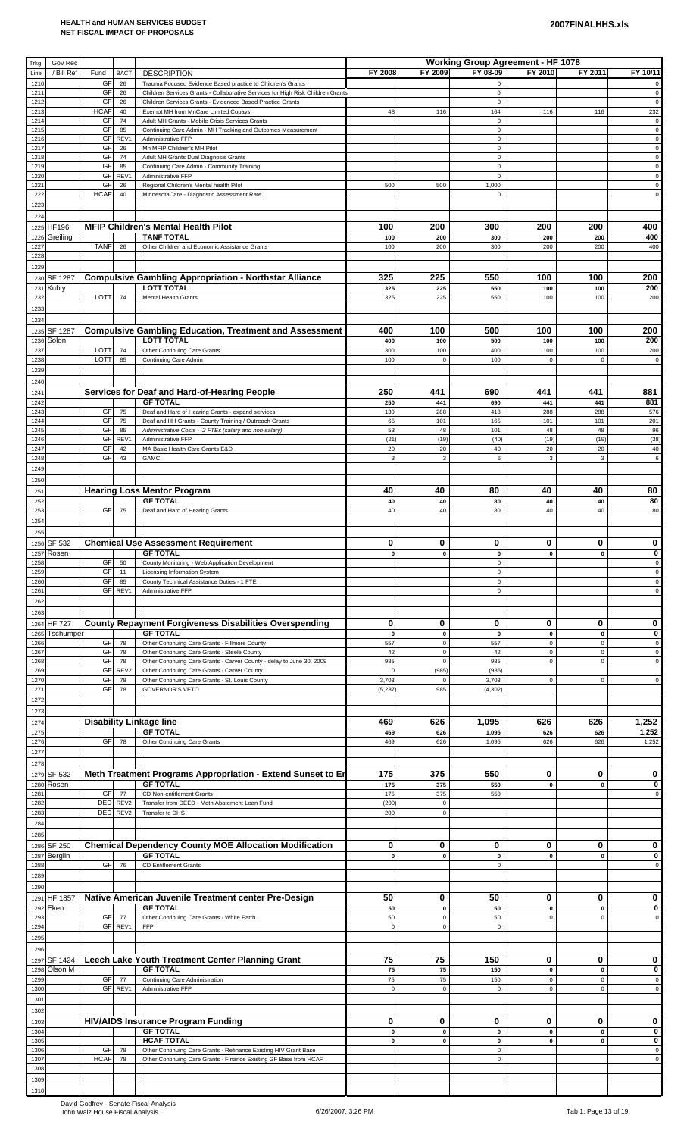| Trkg         | Gov Rec        |                   |                  |                                                                                                                                               |                        |                            | <b>Working Group Agreement - HF 1078</b> |                            |                                   |                            |
|--------------|----------------|-------------------|------------------|-----------------------------------------------------------------------------------------------------------------------------------------------|------------------------|----------------------------|------------------------------------------|----------------------------|-----------------------------------|----------------------------|
| Line         | / Bill Ref     | Fund              | <b>BACT</b>      | <b>DESCRIPTION</b>                                                                                                                            | FY 2008                | FY 2009                    | FY 08-09                                 | FY 2010                    | FY 2011                           | FY 10/11                   |
| 1210         |                | GF                | 26               | Trauma Focused Evidence Based practice to Children's Grants                                                                                   |                        |                            | $\mathbf 0$                              |                            |                                   | $\mathbf 0$                |
| 121'<br>1212 |                | GF<br>GF          | 26<br>26         | Children Services Grants - Collaborative Services for High Risk Children Grants<br>Children Services Grants - Evidenced Based Practice Grants |                        |                            | 0<br>$\pmb{0}$                           |                            |                                   | $\pmb{0}$<br>$\pmb{0}$     |
| 1213         |                | <b>HCAF</b>       | 40               | Exempt MH from MnCare Limited Copays                                                                                                          | 48                     | 116                        | 164                                      | 116                        | 116                               | 232                        |
| 1214<br>1215 |                | GF<br>GF          | 74<br>85         | Adult MH Grants - Mobile Crisis Services Grants<br>Continuing Care Admin - MH Tracking and Outcomes Measurement                               |                        |                            | $\pmb{0}$<br>$\pmb{0}$                   |                            |                                   | $\pmb{0}$<br>$\pmb{0}$     |
| 1216         |                | GF                | REV1             | Administrative FFP                                                                                                                            |                        |                            | $\pmb{0}$                                |                            |                                   | $\mathbf 0$                |
| 1217         |                | GF                | 26               | Mn MFIP Children's MH Pilot                                                                                                                   |                        |                            | $\pmb{0}$                                |                            |                                   | $\pmb{0}$                  |
| 1218<br>1219 |                | GF<br>GF          | 74<br>85         | Adult MH Grants Dual Diagnosis Grants<br>Continuing Care Admin - Community Training                                                           |                        |                            | $\mathbf 0$<br>$\pmb{0}$                 |                            |                                   | $\mathbf 0$<br>$\mathbf 0$ |
| 1220         |                | GF                | REV1             | Administrative FFP                                                                                                                            |                        |                            | $\pmb{0}$                                |                            |                                   | $\mathsf 0$                |
| 1221<br>1222 |                | GF<br><b>HCAF</b> | 26<br>40         | Regional Children's Mental health Pilot<br>MinnesotaCare - Diagnostic Assessment Rate                                                         | 500                    | 500                        | 1,000<br>$\pmb{0}$                       |                            |                                   | $\mathbf 0$<br>$\mathsf 0$ |
| 1223         |                |                   |                  |                                                                                                                                               |                        |                            |                                          |                            |                                   |                            |
| 1224         |                |                   |                  |                                                                                                                                               |                        |                            |                                          |                            |                                   |                            |
| 1225         | <b>HF196</b>   |                   |                  | <b>MFIP Children's Mental Health Pilot</b>                                                                                                    | 100                    | 200                        | 300                                      | 200                        | 200                               | 400                        |
| 1226<br>1227 | Greiling       | <b>TANF</b>       | 26               | <b>TANF TOTAL</b><br>Other Children and Economic Assistance Grants                                                                            | 100<br>100             | 200<br>200                 | 300<br>300                               | 200<br>200                 | 200<br>200                        | 400<br>400                 |
| 1228         |                |                   |                  |                                                                                                                                               |                        |                            |                                          |                            |                                   |                            |
| 1229         |                |                   |                  |                                                                                                                                               |                        |                            |                                          |                            |                                   |                            |
| 1230         | <b>SF 1287</b> |                   |                  | <b>Compulsive Gambling Appropriation - Northstar Alliance</b>                                                                                 | 325                    | 225                        | 550                                      | 100                        | 100                               | 200                        |
| 1231<br>1232 | Kubly          | LOTT              | 74               | <b>LOTT TOTAL</b><br><b>Mental Health Grants</b>                                                                                              | 325<br>325             | 225<br>225                 | 550<br>550                               | 100<br>100                 | 100<br>100                        | 200<br>200                 |
| 1233         |                |                   |                  |                                                                                                                                               |                        |                            |                                          |                            |                                   |                            |
| 1234         |                |                   |                  |                                                                                                                                               |                        |                            |                                          |                            |                                   |                            |
| 1235         | SF 1287        |                   |                  | <b>Compulsive Gambling Education, Treatment and Assessment</b>                                                                                | 400                    | 100                        | 500                                      | 100                        | 100                               | 200                        |
| 1236<br>1237 | Solon          | LOTT              | 74               | <b>LOTT TOTAL</b><br>Other Continuing Care Grants                                                                                             | 400<br>300             | 100<br>100                 | 500<br>400                               | 100<br>100                 | 100<br>100                        | 200<br>200                 |
| 1238         |                | LOTT              | 85               | Continuing Care Admin                                                                                                                         | 100                    | $\mathbf 0$                | 100                                      | $\mathbf 0$                | $\mathbf 0$                       | $\mathbf 0$                |
| 1239         |                |                   |                  |                                                                                                                                               |                        |                            |                                          |                            |                                   |                            |
| 1240         |                |                   |                  |                                                                                                                                               |                        |                            |                                          |                            |                                   |                            |
| 1241         |                |                   |                  | Services for Deaf and Hard-of-Hearing People<br><b>GF TOTAL</b>                                                                               | 250                    | 441                        | 690                                      | 441                        | 441                               | 881<br>881                 |
| 1242<br>1243 |                | <b>GF</b>         | 75               | Deaf and Hard of Hearing Grants - expand services                                                                                             | 250<br>130             | 441<br>288                 | 690<br>418                               | 441<br>288                 | 441<br>288                        | 576                        |
| 1244         |                | GF                | 75               | Deaf and HH Grants - County Training / Outreach Grants                                                                                        | 65                     | 101                        | 165                                      | 101                        | 101                               | 201                        |
| 1245<br>1246 |                | GF<br><b>GF</b>   | 85<br>REV1       | Administrative Costs - 2 FTEs (salary and non-salary)<br>Administrative FFP                                                                   | 53<br>(21)             | 48<br>(19)                 | 101<br>(40)                              | 48<br>(19)                 | 48<br>(19)                        | 96<br>(38)                 |
| 1247         |                | GF                | 42               | MA Basic Health Care Grants E&D                                                                                                               | 20                     | 20                         | 40                                       | 20                         | 20                                | 40                         |
| 1248         |                | GF                | 43               | GAMC                                                                                                                                          | $\mathbf{3}$           | 3                          | 6                                        | 3                          | $\mathbf{3}$                      | 6                          |
| 1249         |                |                   |                  |                                                                                                                                               |                        |                            |                                          |                            |                                   |                            |
| 1250<br>1251 |                |                   |                  | <b>Hearing Loss Mentor Program</b>                                                                                                            | 40                     | 40                         | 80                                       | 40                         | 40                                | 80                         |
| 1252         |                |                   |                  | <b>GF TOTAL</b>                                                                                                                               | 40                     | 40                         | 80                                       | 40                         | 40                                | 80                         |
| 1253         |                | <b>GF</b>         | 75               | Deaf and Hard of Hearing Grants                                                                                                               | 40                     | 40                         | 80                                       | 40                         | 40                                | 80                         |
| 1254         |                |                   |                  |                                                                                                                                               |                        |                            |                                          |                            |                                   |                            |
| 1255         | 1256 SF 532    |                   |                  | <b>Chemical Use Assessment Requirement</b>                                                                                                    | 0                      | 0                          | 0                                        | 0                          | 0                                 | 0                          |
|              | 1257 Rosen     |                   |                  | $\parallel$ GF TOTAL                                                                                                                          | $\mathbf{0}$           | $\pmb{0}$                  | $\pmb{0}$                                | $\pmb{0}$                  | $\mathbf{0}$                      | 0                          |
| 1258         |                | GF                | 50               | County Monitoring - Web Application Development                                                                                               |                        |                            | 0                                        |                            |                                   | $\pmb{0}$                  |
| 1259<br>1260 |                | GF<br>GF          | 11<br>85         | Licensing Information System<br>County Technical Assistance Duties - 1 FTE                                                                    |                        |                            | $\mathbf 0$<br>$\pmb{0}$                 |                            |                                   | $\mathsf 0$<br>$\mathsf 0$ |
| 1261         |                |                   | GF REV1          | Administrative FFP                                                                                                                            |                        |                            | $\mathbf 0$                              |                            |                                   | $\pmb{0}$                  |
| 1262         |                |                   |                  |                                                                                                                                               |                        |                            |                                          |                            |                                   |                            |
| 1263         | <b>HF 727</b>  |                   |                  | County Repayment Forgiveness Disabilities Overspending                                                                                        | 0                      | 0                          | 0                                        | 0                          | 0                                 | 0                          |
| 1264<br>1265 | Tschumper      |                   |                  | <b>GF TOTAL</b>                                                                                                                               | $\mathbf 0$            | $\mathbf 0$                | $\pmb{0}$                                | $\pmb{0}$                  | $\mathbf 0$                       | 0                          |
| 1266         |                | <b>GF</b>         | 78               | Other Continuing Care Grants - Fillmore County                                                                                                | 557                    | $\pmb{0}$                  | 557                                      | $\mathsf 0$                | $\mathsf 0$                       | $\mathsf 0$                |
| 1267<br>1268 |                | GF<br>GF          | 78<br>78         | Other Continuing Care Grants - Steele County<br>Other Continuing Care Grants - Carver County - delay to June 30, 2009                         | 42<br>985              | $\mathbf 0$<br>$\mathbf 0$ | 42<br>985                                | $\mathsf 0$<br>$\mathbf 0$ | $\mathsf 0$<br>$\mathbf 0$        | $\mathbf 0$<br>$\pmb{0}$   |
| 1269         |                | GF                | REV <sub>2</sub> | Other Continuing Care Grants - Carver County                                                                                                  | $\mathbf 0$            | (985)                      | (985)                                    |                            |                                   |                            |
| 1270<br>1271 |                | GF<br>GF          | 78<br>78         | Other Continuing Care Grants - St. Louis County<br><b>GOVERNOR'S VETO</b>                                                                     | 3,703<br>(5, 287)      | $\pmb{0}$<br>985           | 3,703<br>(4, 302)                        | $\mathbf 0$                | $\mathbf 0$                       | $\mathsf 0$                |
| 1272         |                |                   |                  |                                                                                                                                               |                        |                            |                                          |                            |                                   |                            |
| 1273         |                |                   |                  |                                                                                                                                               |                        |                            |                                          |                            |                                   |                            |
| 1274         |                |                   |                  | <b>Disability Linkage line</b>                                                                                                                | 469                    | 626                        | 1,095                                    | 626                        | 626                               | 1,252                      |
| 1275<br>1276 |                | GF                | 78               | <b>GF TOTAL</b><br>Other Continuing Care Grants                                                                                               | 469<br>469             | 626<br>626                 | 1,095<br>1,095                           | 626<br>626                 | 626<br>626                        | 1,252<br>1,252             |
| 1277         |                |                   |                  |                                                                                                                                               |                        |                            |                                          |                            |                                   |                            |
| 1278         |                |                   |                  |                                                                                                                                               |                        |                            |                                          |                            |                                   |                            |
| 1279         | SF 532         |                   |                  | Meth Treatment Programs Appropriation - Extend Sunset to En                                                                                   | 175                    | 375                        | 550                                      | 0                          | 0                                 | 0                          |
| 1280<br>1281 | Rosen          | GF                | 77               | <b>GF TOTAL</b><br>CD Non-entitlement Grants                                                                                                  | 175<br>175             | 375<br>375                 | 550<br>550                               | $\pmb{0}$                  | $\pmb{0}$                         | 0<br>$\mathsf 0$           |
| 1282         |                | DED               | REV2             | Transfer from DEED - Meth Abatement Loan Fund                                                                                                 | (200)                  | $\mathbf 0$                |                                          |                            |                                   |                            |
| 1283         |                | <b>DED</b>        | REV2             | Transfer to DHS                                                                                                                               | 200                    | $\mathbf 0$                |                                          |                            |                                   |                            |
| 1284         |                |                   |                  |                                                                                                                                               |                        |                            |                                          |                            |                                   |                            |
| 1285<br>1286 | <b>SF 250</b>  |                   |                  | <b>Chemical Dependency County MOE Allocation Modification</b>                                                                                 | 0                      | 0                          | 0                                        | 0                          | 0                                 | 0                          |
| 1287         | Berglin        |                   |                  | <b>GF TOTAL</b>                                                                                                                               | $\pmb{0}$              | $\mathbf 0$                | $\pmb{0}$                                | $\pmb{0}$                  | $\mathbf{0}$                      | 0                          |
| 1288         |                | GF                | 76               | CD Entitlement Grants                                                                                                                         |                        |                            | $\mathbf 0$                              |                            |                                   | $\mathbf 0$                |
| 1289         |                |                   |                  |                                                                                                                                               |                        |                            |                                          |                            |                                   |                            |
| 1290<br>1291 | HF 1857        |                   |                  | Native American Juvenile Treatment center Pre-Design                                                                                          | 50                     | 0                          | 50                                       | 0                          | 0                                 | 0                          |
| 1292         | Eken           |                   |                  | <b>GF TOTAL</b>                                                                                                                               | 50                     | $\pmb{0}$                  | 50                                       | $\pmb{0}$                  | $\pmb{0}$                         | 0                          |
| 1293         |                | GF                | 77<br>GF REV1    | Other Continuing Care Grants - White Earth                                                                                                    | 50                     | $\pmb{0}$                  | 50                                       | $\mathbf 0$                | $\mathbf 0$                       | $\mathsf 0$                |
| 1294<br>1295 |                |                   |                  | FFP                                                                                                                                           | $\pmb{0}$              | $\mathbf 0$                | $\pmb{0}$                                |                            |                                   |                            |
| 1296         |                |                   |                  |                                                                                                                                               |                        |                            |                                          |                            |                                   |                            |
| 1297         | SF 1424        |                   |                  | Leech Lake Youth Treatment Center Planning Grant                                                                                              | 75                     | 75                         | 150                                      | 0                          | 0                                 | 0                          |
| 1298         | Olson M        |                   |                  | <b>GF TOTAL</b>                                                                                                                               | 75                     | 75                         | 150                                      | $\pmb{0}$                  | $\pmb{0}$                         | 0                          |
| 1299<br>1300 |                | GF                | 77<br>GF REV1    | Continuing Care Administration<br>Administrative FFP                                                                                          | 75<br>$\pmb{0}$        | 75<br>$\mathbf 0$          | 150<br>$\mathbf 0$                       | $\mathbf 0$<br>$\mathsf 0$ | $\mathbf 0$<br>$\mathbf 0$        | $\mathbf 0$<br>$\mathsf 0$ |
| 1301         |                |                   |                  |                                                                                                                                               |                        |                            |                                          |                            |                                   |                            |
| 1302         |                |                   |                  |                                                                                                                                               |                        |                            |                                          |                            |                                   |                            |
| 1303         |                |                   |                  | <b>HIV/AIDS Insurance Program Funding</b>                                                                                                     | 0                      | 0                          | 0                                        | 0                          | 0                                 | 0                          |
| 1304<br>1305 |                |                   |                  | <b>GF TOTAL</b><br><b>HCAF TOTAL</b>                                                                                                          | $\pmb{0}$<br>$\pmb{0}$ | $\pmb{0}$<br>$\pmb{0}$     | $\pmb{0}$<br>$\pmb{0}$                   | $\pmb{0}$<br>$\pmb{0}$     | $\pmb{\mathsf{o}}$<br>$\mathbf 0$ | 0<br>0                     |
| 1306         |                | GF                | 78               | Other Continuing Care Grants - Refinance Existing HIV Grant Base                                                                              |                        |                            | $\pmb{0}$                                |                            |                                   | $\pmb{0}$                  |
| 1307<br>1308 |                | <b>HCAF</b>       | 78               | Other Continuing Care Grants - Finance Existing GF Base from HCAF                                                                             |                        |                            | $\mathbf 0$                              |                            |                                   | $\mathsf{O}\xspace$        |
| 1309         |                |                   |                  |                                                                                                                                               |                        |                            |                                          |                            |                                   |                            |
| 1310         |                |                   |                  |                                                                                                                                               |                        |                            |                                          |                            |                                   |                            |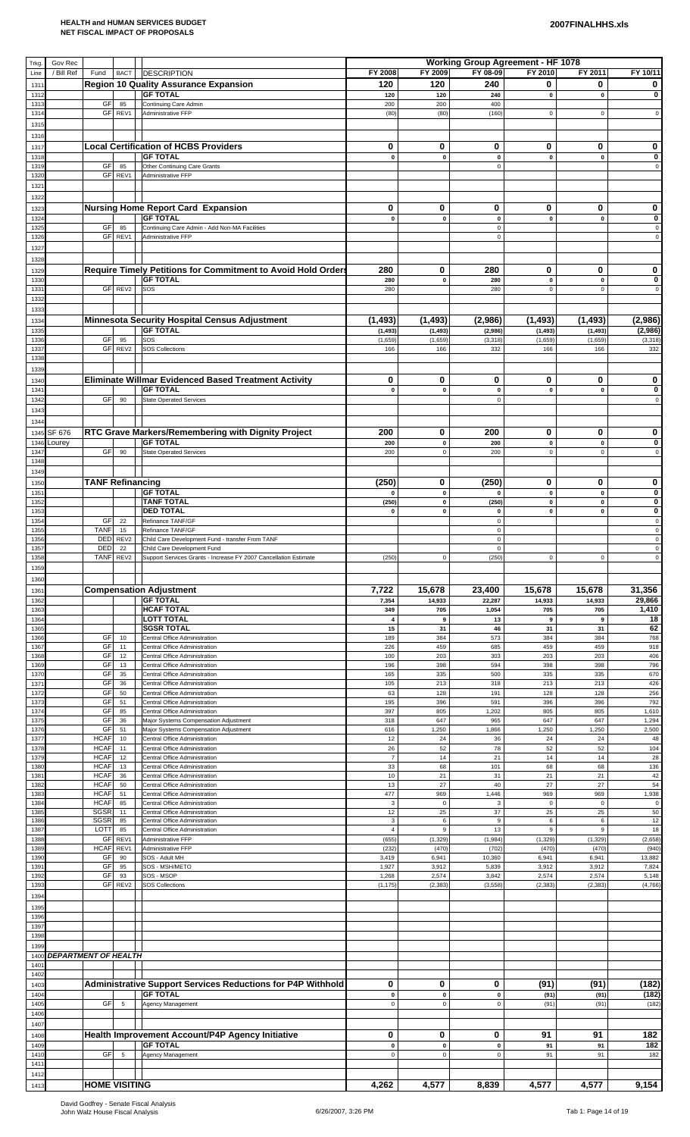| Trkg         | Gov Rec                     |                            |                        |                                                                                                 |                      |                                 | <b>Working Group Agreement - HF 1078</b> |                        |                             |                            |
|--------------|-----------------------------|----------------------------|------------------------|-------------------------------------------------------------------------------------------------|----------------------|---------------------------------|------------------------------------------|------------------------|-----------------------------|----------------------------|
| Line         | / Bill Ref                  | Fund                       | <b>BACT</b>            | DESCRIPTION                                                                                     | FY 2008              | FY 2009                         | FY 08-09                                 | FY 2010                | FY 2011                     | FY 10/11                   |
| 1311<br>1312 |                             |                            |                        | <b>Region 10 Quality Assurance Expansion</b><br><b>GF TOTAL</b>                                 | 120<br>120           | 120<br>120                      | 240<br>240                               | 0<br>$\mathbf 0$       | 0<br>$\pmb{0}$              | 0<br>0                     |
| 1313         |                             | GF                         | 85                     | Continuing Care Admin                                                                           | 200                  | 200                             | 400                                      |                        |                             |                            |
| 1314         |                             | GF                         | REV1                   | Administrative FFP                                                                              | (80)                 | (80)                            | (160)                                    | $\mathbf 0$            | $\mathsf 0$                 | $\mathsf 0$                |
| 1315<br>1316 |                             |                            |                        |                                                                                                 |                      |                                 |                                          |                        |                             |                            |
| 1317         |                             |                            |                        | <b>Local Certification of HCBS Providers</b>                                                    | 0                    | 0                               | 0                                        | 0                      | 0                           | 0                          |
| 1318         |                             |                            |                        | <b>GF TOTAL</b>                                                                                 | 0                    | $\pmb{0}$                       | $\pmb{0}$                                | $\pmb{0}$              | $\pmb{0}$                   | 0                          |
| 1319<br>1320 |                             | GF                         | 85<br>GF REV1          | Other Continuing Care Grants<br>Administrative FFP                                              |                      |                                 | $\mathsf 0$                              |                        |                             | $\pmb{0}$                  |
| 1321         |                             |                            |                        |                                                                                                 |                      |                                 |                                          |                        |                             |                            |
| 1322         |                             |                            |                        |                                                                                                 |                      |                                 |                                          |                        |                             |                            |
| 1323         |                             |                            |                        | <b>Nursing Home Report Card Expansion</b>                                                       | 0                    | 0                               | 0                                        | 0                      | 0                           | 0                          |
| 1324<br>1325 |                             | GF                         | 85                     | <b>GF TOTAL</b><br>Continuing Care Admin - Add Non-MA Facilities                                | $\pmb{0}$            | $\mathbf 0$                     | $\pmb{0}$<br>$\mathsf 0$                 | $\pmb{0}$              | $\pmb{0}$                   | $\mathbf 0$<br>$\mathsf 0$ |
| 1326         |                             |                            | GF REV1                | Administrative FFP                                                                              |                      |                                 | $\mathsf 0$                              |                        |                             | $\mathsf 0$                |
| 1327         |                             |                            |                        |                                                                                                 |                      |                                 |                                          |                        |                             |                            |
| 1328<br>1329 |                             |                            |                        | Require Timely Petitions for Commitment to Avoid Hold Orders                                    | 280                  | 0                               | 280                                      | 0                      | 0                           | 0                          |
| 1330         |                             |                            |                        | <b>GF TOTAL</b>                                                                                 | 280                  | $\pmb{0}$                       | 280                                      | $\mathbf 0$            | $\pmb{0}$                   | 0                          |
| 133'<br>1332 |                             |                            | GF REV2                | SOS                                                                                             | 280                  |                                 | 280                                      | $\pmb{0}$              | $\mathsf 0$                 | $\mathsf 0$                |
| 1333         |                             |                            |                        |                                                                                                 |                      |                                 |                                          |                        |                             |                            |
| 1334         |                             |                            |                        | <b>Minnesota Security Hospital Census Adjustment</b>                                            | (1, 493)             | (1, 493)                        | (2,986)                                  | (1, 493)               | (1, 493)                    | (2,986)                    |
| 1335<br>1336 |                             | GF                         | 95                     | <b>GF TOTAL</b><br>SOS                                                                          | (1, 493)<br>(1,659)  | (1, 493)<br>(1,659)             | (2,986)<br>(3, 318)                      | (1, 493)<br>(1,659)    | (1, 493)<br>(1,659)         | (2,986)<br>(3, 318)        |
| 1337         |                             |                            | GF REV2                | <b>SOS Collections</b>                                                                          | 166                  | 166                             | 332                                      | 166                    | 166                         | 332                        |
| 1338         |                             |                            |                        |                                                                                                 |                      |                                 |                                          |                        |                             |                            |
| 1339<br>1340 |                             |                            |                        | Eliminate Willmar Evidenced Based Treatment Activity                                            | 0                    | 0                               | 0                                        | 0                      | 0                           | 0                          |
| 1341         |                             |                            |                        | <b>GF TOTAL</b>                                                                                 | 0                    | $\pmb{0}$                       | 0                                        | $\pmb{0}$              | $\pmb{0}$                   | 0                          |
| 1342         |                             | GF                         | 90                     | <b>State Operated Services</b>                                                                  |                      |                                 | $\mathsf 0$                              |                        |                             | $\mathsf 0$                |
| 1343<br>1344 |                             |                            |                        |                                                                                                 |                      |                                 |                                          |                        |                             |                            |
| 1345         | SF 676                      |                            |                        | RTC Grave Markers/Remembering with Dignity Project                                              | 200                  | 0                               | 200                                      | 0                      | 0                           | 0                          |
| 1346         | Lourey                      |                            |                        | <b>GF TOTAL</b>                                                                                 | 200                  | $\mathbf 0$                     | 200                                      | $\mathbf 0$            | $\pmb{0}$                   | 0                          |
| 1347<br>1348 |                             | GF                         | 90                     | <b>State Operated Services</b>                                                                  | 200                  | $\pmb{0}$                       | 200                                      | $\pmb{0}$              | $\mathsf 0$                 | $\mathsf 0$                |
| 1349         |                             |                            |                        |                                                                                                 |                      |                                 |                                          |                        |                             |                            |
| 1350         |                             | <b>TANF Refinancing</b>    |                        |                                                                                                 | (250)                | 0                               | (250)                                    | 0                      | 0                           | 0                          |
| 135'<br>1352 |                             |                            |                        | <b>GF TOTAL</b><br><b>TANF TOTAL</b>                                                            | $\mathbf 0$<br>(250) | $\pmb{0}$<br>$\pmb{0}$          | 0<br>(250)                               | $\pmb{0}$<br>$\pmb{0}$ | $\pmb{0}$<br>$\pmb{0}$      | $\bf{0}$<br>$\pmb{0}$      |
| 1353         |                             |                            |                        | <b>DED TOTAL</b>                                                                                | $\mathbf 0$          | $\pmb{0}$                       | $\pmb{0}$                                | $\pmb{0}$              | $\pmb{0}$                   | $\pmb{0}$                  |
| 1354<br>1355 |                             | GF<br><b>TANF</b>          | 22<br>15               | Refinance TANF/GF<br>Refinance TANF/GF                                                          |                      |                                 | $\mathsf 0$<br>0                         |                        |                             | $\mathsf 0$<br>$\mathbf 0$ |
| 1356         |                             | DED                        | REV <sub>2</sub>       | Child Care Development Fund - transfer From TANF                                                |                      |                                 | $\mathsf 0$                              |                        |                             | $\pmb{0}$                  |
| 1357<br>1358 |                             | DED<br><b>TANF</b>         | 22<br>REV2             | Child Care Development Fund<br>Support Services Grants - Increase FY 2007 Cancellation Estimate | (250)                | $\pmb{0}$                       | $\mathsf 0$<br>(250)                     | $\pmb{0}$              | $\mathbf 0$                 | $\mathsf 0$<br>$\mathsf 0$ |
| 1359         |                             |                            |                        |                                                                                                 |                      |                                 |                                          |                        |                             |                            |
|              |                             |                            |                        |                                                                                                 |                      |                                 |                                          |                        |                             |                            |
| 1360         |                             |                            |                        |                                                                                                 |                      |                                 |                                          |                        |                             |                            |
| 1361         |                             |                            |                        | <b>Compensation Adjustment</b>                                                                  | 7,722                | 15,678                          | 23,400                                   | 15,678                 | 15,678                      | 31,356                     |
| 136          |                             |                            |                        | <b>GF TOTAL</b><br><b>HCAF TOTAL</b>                                                            | 7,354                | 14,933                          | 22,287                                   | 14,933                 | 14,933                      | 29,866                     |
| 1363<br>1364 |                             |                            |                        | <b>LOTT TOTAL</b>                                                                               | 349<br>$\pmb{4}$     | 705<br>9                        | 1,054<br>13                              | 705<br>9               | 705<br>9                    | 1,410<br>18                |
| 1365         |                             | GF                         | 10                     | <b>SGSR TOTAL</b><br>Central Office Administration                                              | 15<br>189            | 31<br>384                       | 46<br>573                                | 31<br>384              | 31<br>384                   | 62                         |
| 1366<br>1367 |                             | GF                         | 11                     | Central Office Administration                                                                   | 226                  | 459                             | 685                                      | 459                    | 459                         | 768<br>918                 |
| 1368         |                             | GF                         | 12                     | Central Office Administration                                                                   | 100                  | 203                             | 303                                      | 203                    | 203                         | 406                        |
| 1369<br>1370 |                             | GF<br>GF                   | 13<br>35               | Central Office Administration<br>Central Office Administration                                  | 196<br>165           | 398<br>335                      | 594<br>500                               | 398<br>335             | 398<br>335                  | 796<br>670                 |
| 1371         |                             | GF                         | 36                     | Central Office Administration                                                                   | 105                  | 213                             | 318                                      | 213                    | 213                         | 426                        |
| 1372<br>1373 |                             | GF<br>GF                   | 50<br>51               | Central Office Administration<br>Central Office Administration                                  | 63<br>195            | 128<br>396                      | 191<br>591                               | 128<br>396             | 128<br>396                  | 256<br>792                 |
| 1374<br>1375 |                             | GF<br>GF                   | 85<br>36               | Central Office Administration<br>Major Systems Compensation Adjustment                          | 397<br>318           | 805<br>647                      | 1,202<br>965                             | 805<br>647             | 805<br>647                  | 1,610<br>1,294             |
| 1376         |                             | GF                         | 51                     | Major Systems Compensation Adjustment                                                           | 616                  | 1,250                           | 1,866                                    | 1,250                  | 1,250                       | 2,500                      |
| 1377<br>1378 |                             | <b>HCAF</b><br><b>HCAF</b> | 10<br>11               | Central Office Administration<br>Central Office Administration                                  | 12<br>26             | 24<br>52                        | 36<br>78                                 | 24<br>52               | 24<br>52                    | 48<br>104                  |
| 1379         |                             | <b>HCAF</b>                | 12                     | Central Office Administration                                                                   | $\overline{7}$       | 14                              | 21                                       | 14                     | 14                          | 28                         |
| 1380<br>1381 |                             | <b>HCAF</b><br><b>HCAF</b> | 13<br>36               | Central Office Administration<br>Central Office Administration                                  | 33<br>10             | 68<br>21                        | 101<br>31                                | 68<br>21               | 68<br>21                    | 136<br>42                  |
| 1382         |                             | <b>HCAF</b>                | 50                     | Central Office Administration                                                                   | 13                   | 27                              | 40                                       | 27                     | 27                          | 54                         |
| 138<br>1384  |                             | <b>HCAF</b><br><b>HCAF</b> | 51<br>85               | Central Office Administration<br>Central Office Administration                                  | 477<br>$\mathbf 3$   | 969<br>$\mathbf 0$              | 1,446<br>$\ensuremath{\mathsf{3}}$       | 969<br>$\mathbf 0$     | 969<br>$\mathbf 0$          | 1,938<br>$\mathsf 0$       |
| 1385         |                             | SGSR                       | 11                     | Central Office Administration                                                                   | 12                   | 25                              | 37                                       | 25                     | 25                          | 50                         |
| 1386<br>1387 |                             | <b>SGSR</b><br>LOTT        | 85<br>85               | Central Office Administration<br>Central Office Administration                                  | 3<br>$\sqrt{4}$      | $\boldsymbol{6}$<br>$\mathsf g$ | $\boldsymbol{9}$<br>13                   | 6<br>$\mathsf g$       | $\,6\,$<br>$\boldsymbol{9}$ | 12<br>18                   |
| 1388         |                             | GF                         | REV1                   | Administrative FFP                                                                              | (655)                | (1, 329)                        | (1,984)                                  | (1, 329)               | (1, 329)                    | (2,658)                    |
| 1389<br>1390 |                             | <b>HCAF</b><br>GF          | REV1<br>90             | Administrative FFP<br>SOS - Adult MH                                                            | (232)<br>3,419       | (470)<br>6,941                  | (702)<br>10,360                          | (470)<br>6,941         | (470)<br>6,941              | (940<br>13,882             |
| 1391         |                             | GF                         | 95                     | SOS - MSH/METO                                                                                  | 1,927                | 3,912                           | 5,839                                    | 3,912                  | 3,912                       | 7,824                      |
| 1392<br>1393 |                             | GF<br>GF                   | 93<br>REV <sub>2</sub> | SOS - MSOP<br><b>SOS Collections</b>                                                            | 1,268<br>(1, 175)    | 2,574<br>(2, 383)               | 3,842<br>(3, 558)                        | 2,574<br>(2, 383)      | 2,574<br>(2, 383)           | 5,148<br>(4,766)           |
| 1394         |                             |                            |                        |                                                                                                 |                      |                                 |                                          |                        |                             |                            |
| 1395         |                             |                            |                        |                                                                                                 |                      |                                 |                                          |                        |                             |                            |
| 1396<br>1397 |                             |                            |                        |                                                                                                 |                      |                                 |                                          |                        |                             |                            |
| 1398         |                             |                            |                        |                                                                                                 |                      |                                 |                                          |                        |                             |                            |
| 1399         |                             |                            |                        |                                                                                                 |                      |                                 |                                          |                        |                             |                            |
| 1400<br>1401 | <b>DEPARTMENT OF HEALTH</b> |                            |                        |                                                                                                 |                      |                                 |                                          |                        |                             |                            |
| 1402         |                             |                            |                        |                                                                                                 |                      |                                 |                                          |                        |                             |                            |
| 1403<br>1404 |                             |                            |                        | Administrative Support Services Reductions for P4P Withhold<br><b>GF TOTAL</b>                  | 0<br>$\pmb{0}$       | 0<br>$\pmb{0}$                  | 0<br>$\pmb{0}$                           | (91)<br>(91)           | (91)<br>(91)                | (182)<br>(182)             |
| 1405         |                             | GF                         | $\overline{5}$         | Agency Management                                                                               | $\mathsf 0$          | $\pmb{0}$                       | $\mathsf 0$                              | (91)                   | (91)                        | (182)                      |
| 1406<br>1407 |                             |                            |                        |                                                                                                 |                      |                                 |                                          |                        |                             |                            |
| 1408         |                             |                            |                        | Health Improvement Account/P4P Agency Initiative                                                | 0                    | 0                               | 0                                        | 91                     | 91                          | 182                        |
| 1409         |                             |                            |                        | <b>GF TOTAL</b>                                                                                 | $\pmb{0}$            | $\mathbf 0$                     | 0                                        | 91                     | 91                          | 182                        |
| 1410<br>1411 |                             | GF                         | 5                      | Agency Management                                                                               | $\mathsf 0$          | $\pmb{0}$                       | $\mathsf 0$                              | 91                     | 91                          | 182                        |
| 1412<br>1413 |                             | <b>HOME VISITING</b>       |                        |                                                                                                 | 4,262                | 4,577                           | 8,839                                    | 4,577                  | 4,577                       | 9,154                      |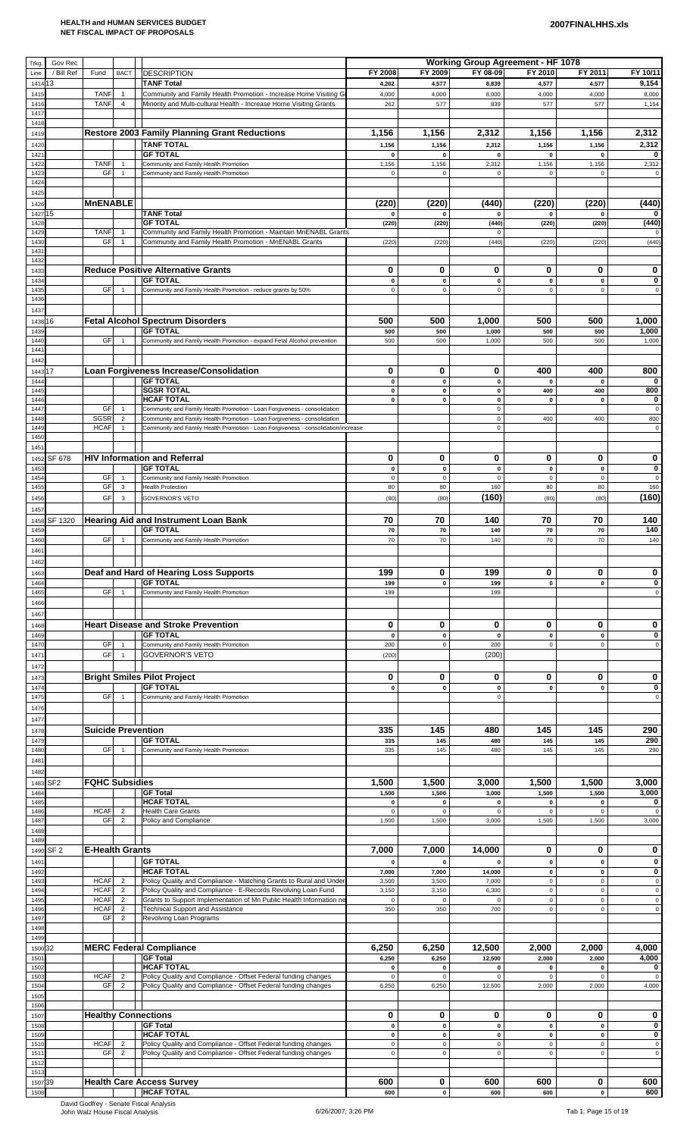| Trkg          | Gov Rec         |                           |                                  |                                                                                   |                    |                           | <b>Working Group Agreement - HF 1078</b> |                          |                              |                     |
|---------------|-----------------|---------------------------|----------------------------------|-----------------------------------------------------------------------------------|--------------------|---------------------------|------------------------------------------|--------------------------|------------------------------|---------------------|
| Line          | / Bill Ref      | Fund                      | <b>BACT</b>                      | DESCRIPTION                                                                       | FY 2008            | FY 2009                   | FY 08-09                                 | FY 2010                  | FY 2011                      | FY 10/11            |
| 1414          | 13              |                           |                                  | <b>TANF Total</b>                                                                 | 4,262              | 4,577                     | 8,839                                    | 4,577                    | 4,577                        | 9,154               |
| 1415          |                 | <b>TANF</b>               | $\overline{1}$                   | Community and Family Health Promotion - Increase Home Visiting G                  | 4,000              | 4,000                     | 8,000                                    | 4,000                    | 4,000                        | 8,000               |
| 1416          |                 | <b>TANF</b>               | $\overline{4}$                   | Minority and Multi-cultural Health - Increase Home Visiting Grants                | 262                | 577                       | 839                                      | 577                      | 577                          | 1,154               |
| 141           |                 |                           |                                  |                                                                                   |                    |                           |                                          |                          |                              |                     |
| 1418          |                 |                           |                                  |                                                                                   |                    |                           |                                          |                          |                              |                     |
| 1419          |                 |                           |                                  | <b>Restore 2003 Family Planning Grant Reductions</b>                              | 1,156              | 1,156                     | 2,312                                    | 1,156                    | 1,156                        | 2,312               |
| 1420          |                 |                           |                                  | <b>TANF TOTAL</b>                                                                 | 1,156              | 1,156                     | 2,312                                    | 1,156                    | 1,156                        | 2,312               |
| 142           |                 |                           |                                  | <b>GF TOTAL</b>                                                                   | 0                  | 0                         | 0                                        | $\pmb{0}$                | $\mathbf 0$                  | 0                   |
| 142           |                 | <b>TANF</b>               | $\overline{1}$                   | Community and Family Health Promotion                                             | 1,156              | 1,156                     | 2,312                                    | 1,156                    | 1,156                        | 2,312               |
| 142           |                 | GF                        | $\overline{1}$                   | Community and Family Health Promotion                                             | $\mathsf 0$        | $\pmb{0}$                 | 0                                        | $\mathsf 0$              | $\mathbf 0$                  | $\mathbf 0$         |
| 1424          |                 |                           |                                  |                                                                                   |                    |                           |                                          |                          |                              |                     |
| 1425          |                 |                           |                                  |                                                                                   |                    |                           |                                          |                          |                              |                     |
| 1426          |                 | <b>MnENABLE</b>           |                                  |                                                                                   | (220)              | (220)                     | (440)                                    | (220)                    | (220)                        | (440)               |
| 1427 15       |                 |                           |                                  | <b>TANF Total</b>                                                                 | 0                  | $\pmb{0}$                 | 0                                        | 0                        | 0                            | 0                   |
| 1428          |                 |                           |                                  | <b>GF TOTAL</b>                                                                   | (220)              | (220)                     | (440)                                    | (220)                    | (220)                        | (440)               |
| 1429          |                 | <b>TANF</b>               | $\overline{1}$                   | Community and Family Health Promotion - Maintain MnENABL Grants                   |                    |                           | 0                                        |                          |                              | 0                   |
| 143           |                 | GF                        | $\overline{1}$                   | Community and Family Health Promotion - MnENABL Grants                            | (220)              | (220)                     | (440)                                    | (220)                    | (220)                        | (440)               |
| 143           |                 |                           |                                  |                                                                                   |                    |                           |                                          |                          |                              |                     |
| 1432          |                 |                           |                                  |                                                                                   |                    |                           |                                          |                          |                              |                     |
| 1433          |                 |                           |                                  | <b>Reduce Positive Alternative Grants</b>                                         | 0                  | 0                         | 0                                        | 0                        | 0                            | 0                   |
| 1434          |                 |                           |                                  | <b>GF TOTAL</b>                                                                   | $\pmb{0}$          | $\pmb{0}$                 | $\pmb{0}$                                | $\pmb{0}$                | $\pmb{0}$                    | 0                   |
| 143           |                 | GF                        | $\overline{1}$                   | Community and Family Health Promotion - reduce grants by 50%                      | $\mathsf 0$        | $\pmb{0}$                 | 0                                        | $\mathbf 0$              | $\Omega$                     | $\mathsf 0$         |
| 143           |                 |                           |                                  |                                                                                   |                    |                           |                                          |                          |                              |                     |
| 1437          |                 |                           |                                  |                                                                                   |                    |                           |                                          |                          |                              |                     |
| 1438 16       |                 |                           |                                  | <b>Fetal Alcohol Spectrum Disorders</b>                                           | 500                | 500                       | 1,000                                    | 500                      | 500                          | 1,000               |
| 1439          |                 |                           |                                  | <b>GF TOTAL</b>                                                                   | 500                | 500                       | 1,000                                    | 500                      | 500                          | 1,000               |
| 144           |                 | GF                        | $\overline{1}$                   | Community and Family Health Promotion - expand Fetal Alcohol prevention           | 500                | 500                       | 1,000                                    | 500                      | 500                          | 1,000               |
| 144           |                 |                           |                                  |                                                                                   |                    |                           |                                          |                          |                              |                     |
| 1442          |                 |                           |                                  |                                                                                   |                    |                           |                                          |                          |                              |                     |
| 1443 17       |                 |                           |                                  | Loan Forgiveness Increase/Consolidation                                           | 0                  | 0                         | 0                                        | 400                      | 400                          | 800                 |
| 1444          |                 |                           |                                  | <b>GF TOTAL</b>                                                                   | 0                  | $\pmb{0}$                 | 0                                        | $\mathbf 0$              | $\mathbf{0}$                 | 0                   |
| 144           |                 |                           |                                  | <b>SGSR TOTAL</b>                                                                 | 0                  | $\pmb{0}$                 | 0                                        | 400                      | 400                          | 800                 |
| 1446          |                 |                           |                                  | <b>HCAF TOTAL</b>                                                                 | 0                  | $\pmb{0}$                 | 0                                        | $\mathbf 0$              | $\mathbf 0$                  | 0                   |
| 1447          |                 | GF                        | $\overline{1}$                   | Community and Family Health Promotion - Loan Forgiveness - consolidation          |                    |                           | 0                                        |                          |                              | $\mathbf 0$         |
| 144           |                 | <b>SGSR</b>               | $\overline{2}$                   | Community and Family Health Promotion - Loan Forgiveness - consolidation          |                    |                           | 0                                        | 400                      | 400                          | 800                 |
| 1449          |                 | <b>HCAF</b>               | $\overline{1}$                   | Community and Family Health Promotion - Loan Forgiveness - consolidation/increase |                    |                           | $\mathbf 0$                              |                          |                              | $\mathbf 0$         |
| 1450          |                 |                           |                                  |                                                                                   |                    |                           |                                          |                          |                              |                     |
| 1451          |                 |                           |                                  |                                                                                   |                    |                           |                                          |                          |                              |                     |
| 1452          | SF 678          |                           |                                  | <b>HIV Information and Referral</b>                                               | 0                  | 0                         | 0                                        | 0                        | 0                            | 0                   |
| 145           |                 |                           |                                  | <b>GF TOTAL</b>                                                                   | 0                  | $\pmb{0}$                 | 0                                        | $\pmb{0}$                | $\mathbf 0$                  | 0                   |
| 1454          |                 | GF                        | $\overline{1}$                   | Community and Family Health Promotion                                             | $\mathsf 0$        | $\pmb{0}$                 | 0                                        | $\mathsf 0$              | $\mathsf 0$                  | $\mathbf 0$         |
| 1455          |                 | GF                        | $\mathbf{3}$                     | <b>Health Protection</b>                                                          | 80                 | 80                        | 160                                      | 80                       | 80                           | 160                 |
| 1456          |                 | GF                        | $\mathbf{3}$                     | <b>GOVERNOR'S VETO</b>                                                            | (80)               | (80)                      | (160)                                    | (80)                     | (80)                         | (160)               |
| 1457          |                 |                           |                                  |                                                                                   |                    |                           |                                          |                          |                              |                     |
| 1458          | SF 1320         |                           |                                  | <b>Hearing Aid and Instrument Loan Bank</b>                                       | 70                 | 70                        | 140                                      | 70                       | 70                           | 140                 |
| 1459          |                 |                           |                                  | <b>GF TOTAL</b>                                                                   | 70                 | 70                        | 140                                      | 70                       | 70                           | 140                 |
| 146           |                 | GF                        | $\overline{1}$                   | Community and Family Health Promotion                                             | 70                 | 70                        | 140                                      | 70                       | 70                           | 140                 |
| 146           |                 |                           |                                  |                                                                                   |                    |                           |                                          |                          |                              |                     |
| 1462          |                 |                           |                                  |                                                                                   |                    |                           |                                          |                          |                              |                     |
| 1463          |                 |                           |                                  | Deaf and Hard of Hearing Loss Supports                                            | 199                | 0                         | 199                                      | 0                        | 0                            | 0                   |
| 1464          |                 |                           |                                  | <b>GF TOTAL</b>                                                                   | 199                | $\pmb{0}$                 | 199                                      | $\mathbf 0$              | $\mathbf 0$                  | 0                   |
| 1465          |                 | GF                        | $\overline{1}$                   | Community and Family Health Promotion                                             | 199                |                           | 199                                      |                          |                              | $\mathsf{O}\xspace$ |
| 1466          |                 |                           |                                  |                                                                                   |                    |                           |                                          |                          |                              |                     |
|               |                 |                           |                                  |                                                                                   |                    |                           |                                          |                          |                              |                     |
| 146           |                 |                           |                                  |                                                                                   |                    |                           |                                          |                          |                              |                     |
| 1468          |                 |                           |                                  | <b>Heart Disease and Stroke Prevention</b>                                        | 0                  | 0                         | 0                                        | 0                        | 0                            | 0                   |
| 1469          |                 |                           |                                  | <b>GF TOTAL</b>                                                                   | $\pmb{\mathsf{o}}$ | $\pmb{0}$                 | 0                                        | $\pmb{0}$                | $\pmb{\mathsf{o}}$           | 0                   |
| 147           |                 | <b>GF</b>                 | $\overline{1}$                   | Community and Family Health Promotion                                             | 200                | $\pmb{0}$                 | 200                                      | $\mathsf 0$              | $\mathsf 0$                  | $\mathsf 0$         |
| 147           |                 | GF                        | $\overline{1}$                   | <b>GOVERNOR'S VETO</b>                                                            | (200)              |                           | (200)                                    |                          |                              |                     |
| 1472          |                 |                           |                                  |                                                                                   |                    |                           |                                          |                          |                              |                     |
| 147           |                 |                           |                                  | <b>Bright Smiles Pilot Project</b>                                                | 0                  | 0                         | 0                                        | 0                        | 0                            | 0                   |
| 1474          |                 |                           |                                  | <b>GF TOTAL</b>                                                                   | 0                  | $\pmb{0}$                 | 0                                        | $\pmb{0}$                | $\pmb{0}$                    | $\pmb{0}$           |
| 1475          |                 | GF                        | $\overline{1}$                   | Community and Family Health Promotion                                             |                    |                           | 0                                        |                          |                              | $\mathsf 0$         |
| 147           |                 |                           |                                  |                                                                                   |                    |                           |                                          |                          |                              |                     |
| 147           |                 |                           |                                  |                                                                                   |                    |                           |                                          |                          |                              |                     |
| 1478          |                 | <b>Suicide Prevention</b> |                                  |                                                                                   | 335                | 145                       | 480                                      | 145                      | 145                          | 290                 |
| 147           |                 |                           |                                  | <b>GF TOTAL</b>                                                                   | 335                | 145                       | 480                                      | 145                      | 145                          | 290                 |
| 148           |                 | GF                        | $\overline{1}$                   | Community and Family Health Promotion                                             | 335                | 145                       | 480                                      | 145                      | 145                          | 290                 |
| 1481          |                 |                           |                                  |                                                                                   |                    |                           |                                          |                          |                              |                     |
| 1482          |                 |                           |                                  |                                                                                   |                    |                           |                                          |                          |                              |                     |
| 1483          | SF <sub>2</sub> | <b>FQHC Subsidies</b>     |                                  |                                                                                   | 1,500              | 1,500                     | 3,000                                    | 1,500                    | 1,500                        | 3,000               |
| 1484          |                 |                           |                                  | <b>GF Total</b>                                                                   | 1,500              | 1,500                     | 3,000                                    | 1,500                    | 1,500                        | 3,000               |
| 1485          |                 |                           |                                  | <b>HCAF TOTAL</b>                                                                 | 0                  | $\pmb{0}$                 | 0                                        | $\pmb{0}$                | $\pmb{0}$                    | 0                   |
| 1486          |                 | <b>HCAF</b>               | $\overline{2}$                   | <b>Health Care Grants</b>                                                         | $\mathbf 0$        | $\pmb{0}$                 | 0                                        | $\mathbf 0$              | $\mathbf 0$                  | $\mathsf 0$         |
| 148           |                 | <b>GF</b>                 | $\overline{2}$                   | Policy and Compliance                                                             | 1,500              | 1,500                     | 3,000                                    | 1,500                    | 1,500                        | 3,000               |
| 1488          |                 |                           |                                  |                                                                                   |                    |                           |                                          |                          |                              |                     |
| 1489          |                 |                           |                                  |                                                                                   |                    |                           |                                          |                          |                              |                     |
| 1490          | SF <sub>2</sub> | <b>E-Health Grants</b>    |                                  |                                                                                   | 7,000              | 7,000                     | 14,000                                   | 0                        | 0                            | 0                   |
| 149           |                 |                           |                                  | <b>GF TOTAL</b>                                                                   | $\mathbf 0$        | $\mathbf 0$               | $\bf{0}$                                 | $\mathbf 0$              | $\mathbf{0}$                 | $\mathbf 0$         |
| 149           |                 |                           |                                  | <b>HCAF TOTAL</b>                                                                 | 7,000              | 7,000                     | 14,000                                   | $\pmb{0}$                | $\mathbf 0$                  | 0                   |
| 149           |                 | <b>HCAF</b>               | $\overline{2}$                   | Policy Quality and Compliance - Matching Grants to Rural and Under                | 3,500              | 3,500                     | 7,000                                    | $\mathsf 0$              | $\mathbf 0$                  | $\mathbf 0$         |
| 149           |                 | <b>HCAF</b>               | $\overline{2}$                   | Policy Quality and Compliance - E-Records Revolving Loan Fund                     | 3,150              | 3,150                     | 6,300                                    | $\mathsf 0$              | $\mathsf 0$                  | $\mathbf 0$         |
| 1495          |                 | <b>HCAF</b>               | $\overline{2}$                   | Grants to Support Implementation of Mn Public Health Information ne               | $\mathsf 0$        | $\pmb{0}$                 | $\Omega$                                 | $\mathsf 0$              | $\mathbf 0$                  | $\mathsf 0$         |
| 149           |                 | <b>HCAF</b>               | $\overline{2}$                   | <b>Technical Support and Assistance</b>                                           | 350                | 350                       | 700                                      | $\mathsf 0$              | $\mathbf 0$                  | $\mathbf 0$         |
| 1497          |                 | <b>GF</b>                 | $\overline{2}$                   | Revolving Loan Programs                                                           |                    |                           |                                          |                          |                              |                     |
| 1498          |                 |                           |                                  |                                                                                   |                    |                           |                                          |                          |                              |                     |
| 1499          |                 |                           |                                  |                                                                                   |                    |                           |                                          |                          |                              |                     |
| 1500 32       |                 |                           |                                  | <b>MERC Federal Compliance</b>                                                    | 6,250              | 6,250                     | 12,500                                   | 2,000                    | 2,000                        | 4,000               |
| $150^{\circ}$ |                 |                           |                                  | <b>GF Total</b>                                                                   | 6,250              | 6,250                     | 12,500                                   | 2,000                    | 2,000                        | 4,000               |
| 1502          |                 |                           |                                  | <b>HCAF TOTAL</b>                                                                 | $\pmb{0}$          | $\pmb{0}$                 | 0                                        | $\mathbf 0$              | $\mathbf{0}$                 | 0                   |
| 150           |                 | <b>HCAF</b><br><b>GF</b>  | $\overline{2}$<br>$\overline{2}$ | Policy Quality and Compliance - Offset Federal funding changes                    | $\mathsf 0$        | $\pmb{0}$                 | $\mathsf 0$                              | $\pmb{0}$                | $\mathbf 0$                  | $\mathsf 0$         |
| 1504          |                 |                           |                                  | Policy Quality and Compliance - Offset Federal funding changes                    | 6,250              | 6,250                     | 12,500                                   | 2,000                    | 2,000                        | 4,000               |
| 1505<br>1506  |                 |                           |                                  |                                                                                   |                    |                           |                                          |                          |                              |                     |
|               |                 |                           |                                  | <b>Healthy Connections</b>                                                        | 0                  | 0                         | 0                                        | 0                        | 0                            |                     |
| 1507          |                 |                           |                                  |                                                                                   |                    |                           |                                          |                          |                              | 0                   |
| 1508<br>1509  |                 |                           |                                  | <b>GF Total</b><br><b>HCAF TOTAL</b>                                              | 0<br>$\mathbf 0$   | $\pmb{0}$<br>$\mathbf{0}$ | 0<br>$\mathbf{0}$                        | $\pmb{0}$<br>$\mathbf 0$ | $\mathbf{0}$<br>$\mathbf{0}$ | 0<br>0              |
| 151           |                 | <b>HCAF</b>               | $\overline{2}$                   | Policy Quality and Compliance - Offset Federal funding changes                    | $\mathsf 0$        | $\pmb{0}$                 | $\mathsf 0$                              | $\pmb{0}$                | $\mathbf 0$                  | $\mathsf 0$         |
| 151           |                 | <b>GF</b>                 | $\overline{2}$                   | Policy Quality and Compliance - Offset Federal funding changes                    | $\mathsf 0$        | $\pmb{0}$                 | $\mathbf 0$                              | $\mathsf 0$              | $\mathsf 0$                  | $\mathsf 0$         |
| 1512          |                 |                           |                                  |                                                                                   |                    |                           |                                          |                          |                              |                     |
| 1513          |                 |                           |                                  |                                                                                   |                    |                           |                                          |                          |                              |                     |
| 150739        |                 |                           |                                  | <b>Health Care Access Survey</b>                                                  | 600                | 0                         | 600                                      | 600                      | 0                            | 600                 |
| 1508          |                 |                           |                                  | <b>HCAF TOTAL</b>                                                                 | 600                | $\pmb{0}$                 | 600                                      | 600                      | $\mathbf 0$                  | 600                 |

David Godfrey - Senate Fiscal Analysis<br>John Walz House Fiscal Analysis 6/26/2007, 3:26 PM Tab 1: Page 15 of 19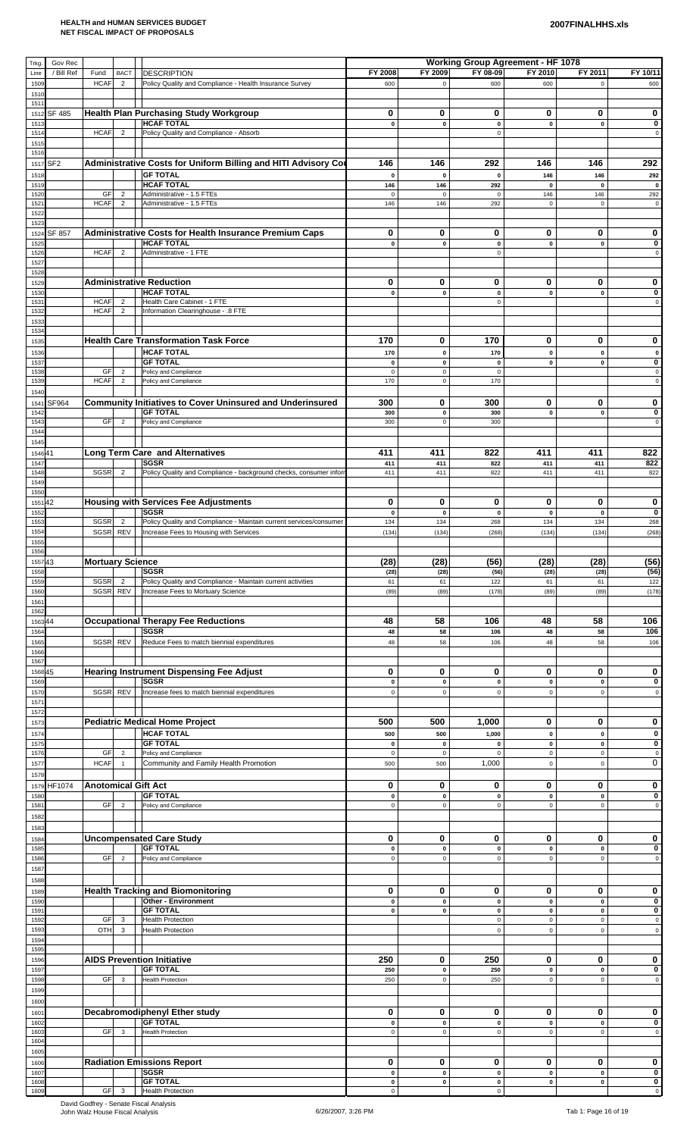| Trkg.          | Gov Rec         |                            |                                  |                                                                                                              |                            |                          | <b>Working Group Agreement - HF 1078</b> |                          |                            |                              |
|----------------|-----------------|----------------------------|----------------------------------|--------------------------------------------------------------------------------------------------------------|----------------------------|--------------------------|------------------------------------------|--------------------------|----------------------------|------------------------------|
| Line<br>1509   | / Bill Ref      | Fund<br><b>HCAF</b>        | <b>BACT</b><br>$\overline{2}$    | <b>DESCRIPTION</b><br>Policy Quality and Compliance - Health Insurance Survey                                | FY 2008<br>600             | FY 2009<br>$\mathsf 0$   | FY 08-09<br>600                          | FY 2010<br>600           | FY 2011<br>$\mathsf 0$     | FY 10/11<br>600              |
| 1510           |                 |                            |                                  |                                                                                                              |                            |                          |                                          |                          |                            |                              |
| 1511<br>1512   | SF 485          |                            |                                  | <b>Health Plan Purchasing Study Workgroup</b>                                                                | 0                          | 0                        | 0                                        | 0                        | 0                          | 0                            |
| 1513           |                 |                            |                                  | <b>HCAF TOTAL</b>                                                                                            | 0                          | $\pmb{0}$                | 0                                        | $\pmb{0}$                | $\pmb{0}$                  | 0                            |
| 1514<br>1515   |                 | <b>HCAF</b>                | $\overline{2}$                   | Policy Quality and Compliance - Absorb                                                                       |                            |                          | $\mathbf 0$                              |                          |                            | $\mathsf 0$                  |
| 1516           |                 |                            |                                  |                                                                                                              |                            |                          |                                          |                          |                            |                              |
| 1517           | SF <sub>2</sub> |                            |                                  | Administrative Costs for Uniform Billing and HITI Advisory Co<br><b>GF TOTAL</b>                             | 146                        | 146                      | 292                                      | 146                      | 146                        | 292                          |
| 1518<br>1519   |                 |                            |                                  | <b>HCAF TOTAL</b>                                                                                            | $\pmb{0}$<br>146           | $\pmb{0}$<br>146         | $\pmb{0}$<br>292                         | 146<br>$\pmb{0}$         | 146<br>$\mathbf{0}$        | 292<br>$\pmb{0}$             |
| 1520           |                 | GF<br><b>HCAF</b>          | $\overline{2}$<br>$\overline{2}$ | Administrative - 1.5 FTEs<br>Administrative - 1.5 FTEs                                                       | $\mathbf 0$                | $\mathbf 0$<br>146       | $\mathsf 0$<br>292                       | 146                      | 146                        | 292                          |
| 1521<br>1522   |                 |                            |                                  |                                                                                                              | 146                        |                          |                                          | $\mathbf 0$              | $\mathbf 0$                | $\mathsf{O}\xspace$          |
| 1523           |                 |                            |                                  |                                                                                                              |                            |                          |                                          |                          |                            |                              |
| 1524<br>1525   | SF 857          |                            |                                  | <b>Administrative Costs for Health Insurance Premium Caps</b><br><b>HCAF TOTAL</b>                           | 0<br>$\pmb{0}$             | 0<br>$\pmb{0}$           | 0<br>$\pmb{0}$                           | 0<br>$\pmb{0}$           | 0<br>$\mathbf 0$           | 0<br>0                       |
| 1526           |                 | <b>HCAF</b>                | $\overline{2}$                   | Administrative - 1 FTE                                                                                       |                            |                          | $\mathsf 0$                              |                          |                            | $\mathsf 0$                  |
| 1527<br>1528   |                 |                            |                                  |                                                                                                              |                            |                          |                                          |                          |                            |                              |
| 1529           |                 |                            |                                  | <b>Administrative Reduction</b>                                                                              | 0                          | 0                        | 0                                        | 0                        | 0                          | 0                            |
| 1530<br>153'   |                 | <b>HCAF</b>                | $\overline{2}$                   | <b>HCAF TOTAL</b><br>Health Care Cabinet - 1 FTE                                                             | $\mathbf 0$                | $\pmb{0}$                | 0<br>$\mathbf 0$                         | $\pmb{0}$                | $\pmb{0}$                  | 0<br>$\mathsf 0$             |
| 1532           |                 | <b>HCAF</b>                | $\overline{2}$                   | Information Clearinghouse - .8 FTE                                                                           |                            |                          |                                          |                          |                            |                              |
| 1533<br>1534   |                 |                            |                                  |                                                                                                              |                            |                          |                                          |                          |                            |                              |
| 1535           |                 |                            |                                  | <b>Health Care Transformation Task Force</b>                                                                 | 170                        | 0                        | 170                                      | 0                        | 0                          | 0                            |
| 1536           |                 |                            |                                  | <b>HCAF TOTAL</b><br><b>GF TOTAL</b>                                                                         | 170<br>$\mathbf{0}$        | $\pmb{0}$<br>$\pmb{0}$   | 170<br>$\pmb{0}$                         | $\pmb{0}$<br>$\pmb{0}$   | $\mathbf 0$<br>$\pmb{0}$   | $\pmb{0}$<br>$\pmb{0}$       |
| 1537<br>1538   |                 | GF                         | $\overline{2}$                   | Policy and Compliance                                                                                        | $\pmb{0}$                  | $\pmb{0}$                | $\mathsf 0$                              |                          |                            | $\pmb{0}$                    |
| 1539           |                 | <b>HCAF</b>                | $\overline{2}$                   | Policy and Compliance                                                                                        | 170                        | $\pmb{0}$                | 170                                      |                          |                            | $\mathsf{O}\xspace$          |
| 1540<br>1541   | SF964           |                            |                                  | <b>Community Initiatives to Cover Uninsured and Underinsured</b>                                             | 300                        | 0                        | 300                                      | 0                        | 0                          | 0                            |
| 1542           |                 |                            |                                  | <b>GF TOTAL</b>                                                                                              | 300                        | $\pmb{0}$                | 300                                      | $\pmb{0}$                | $\mathbf 0$                | 0                            |
| 1543<br>1544   |                 | GF                         | $\overline{2}$                   | Policy and Compliance                                                                                        | 300                        | $\mathbf 0$              | 300                                      |                          |                            | $\mathsf 0$                  |
| 1545           |                 |                            |                                  |                                                                                                              |                            |                          |                                          |                          |                            |                              |
| 154641         |                 |                            |                                  | <b>Long Term Care and Alternatives</b><br><b>SGSR</b>                                                        | 411<br>411                 | 411<br>411               | 822<br>822                               | 411<br>411               | 411<br>411                 | 822<br>822                   |
| 1547<br>1548   |                 | SGSR                       | $\overline{2}$                   | Policy Quality and Compliance - background checks, consumer infor                                            | 411                        | 411                      | 822                                      | 411                      | 411                        | 822                          |
| 1549           |                 |                            |                                  |                                                                                                              |                            |                          |                                          |                          |                            |                              |
| 1550<br>155142 |                 |                            |                                  | <b>Housing with Services Fee Adjustments</b>                                                                 | 0                          | 0                        | 0                                        | 0                        | 0                          | 0                            |
| 1552           |                 |                            |                                  | <b>SGSR</b>                                                                                                  | $\pmb{0}$                  | $\pmb{0}$                | $\pmb{0}$                                | $\pmb{\mathsf{o}}$       | $\pmb{0}$                  | 0                            |
| 1553<br>1554   |                 | <b>SGSR</b><br><b>SGSR</b> | $\overline{2}$<br><b>REV</b>     | Policy Quality and Compliance - Maintain current services/consumer<br>Increase Fees to Housing with Services | 134<br>(134)               | 134<br>(134)             | 268<br>(268)                             | 134<br>(134)             | 134<br>(134)               | 268<br>(268)                 |
| 1555           |                 |                            |                                  |                                                                                                              |                            |                          |                                          |                          |                            |                              |
| 1556<br>155743 |                 | <b>Mortuary Science</b>    |                                  |                                                                                                              | (28)                       | (28)                     | (56)                                     | (28)                     | (28)                       | (56)                         |
| 1558           |                 |                            |                                  | <b>SGSR</b>                                                                                                  | (28)                       | (28)                     | (56)                                     | (28)                     | (28)                       | (56)                         |
| 1559<br>1560   |                 | SGSR<br><b>SGSR</b>        | $\overline{2}$<br><b>REV</b>     | Policy Quality and Compliance - Maintain current activities<br>Increase Fees to Mortuary Science             | 61<br>(89)                 | 61<br>(89)               | 122<br>(178)                             | 61<br>(89)               | 61<br>(89)                 | 122<br>(178)                 |
| 1561           |                 |                            |                                  |                                                                                                              |                            |                          |                                          |                          |                            |                              |
| 1562           |                 |                            |                                  | <b>Occupational Therapy Fee Reductions</b>                                                                   | 48                         | 58                       | 106                                      | 48                       | 58                         | 106                          |
| 156344<br>1564 |                 |                            |                                  | <b>SGSR</b>                                                                                                  | 48                         | 58                       | 106                                      | 48                       | 58                         | 106                          |
| 1565           |                 | <b>SGSR</b>                | <b>REV</b>                       | Reduce Fees to match biennial expenditures                                                                   | 48                         | 58                       | 106                                      | 48                       | 58                         | 106                          |
| 1566<br>1567   |                 |                            |                                  |                                                                                                              |                            |                          |                                          |                          |                            |                              |
| 156845         |                 |                            |                                  | <b>Hearing Instrument Dispensing Fee Adjust</b>                                                              | 0                          | 0                        | 0                                        | 0                        | 0                          | 0                            |
| 1569<br>1570   |                 | SGSR                       | <b>REV</b>                       | <b>SGSR</b><br>Increase fees to match biennial expenditures                                                  | $\pmb{0}$<br>$\pmb{0}$     | $\pmb{0}$<br>$\pmb{0}$   | $\pmb{0}$<br>$\mathbf 0$                 | $\pmb{0}$<br>$\pmb{0}$   | $\pmb{0}$<br>$\mathbf 0$   | 0<br>$\mathbf 0$             |
| 157'           |                 |                            |                                  |                                                                                                              |                            |                          |                                          |                          |                            |                              |
| 1572           |                 |                            |                                  | <b>Pediatric Medical Home Project</b>                                                                        | 500                        | 500                      | 1,000                                    | 0                        | 0                          | 0                            |
| 1573<br>$157-$ |                 |                            |                                  | <b>HCAF TOTAL</b>                                                                                            | 500                        | 500                      | 1,000                                    | $\pmb{0}$                | $\mathbf 0$                | 0                            |
| 1575           |                 |                            |                                  | <b>GF TOTAL</b>                                                                                              | $\pmb{0}$                  | $\pmb{0}$                | $\pmb{0}$                                | $\pmb{0}$                | $\pmb{0}$                  | $\pmb{0}$                    |
| 1576<br>1577   |                 | GF<br><b>HCAF</b>          | $\overline{2}$<br>$\mathbf{1}$   | Policy and Compliance<br>Community and Family Health Promotion                                               | $\pmb{0}$<br>500           | $\pmb{0}$<br>500         | $\mathbf 0$<br>1,000                     | $\pmb{0}$<br>$\mathbf 0$ | $\mathbf 0$<br>$\mathbf 0$ | $\pmb{0}$<br>0               |
| 1578           |                 |                            |                                  |                                                                                                              |                            |                          |                                          |                          |                            |                              |
| 1579           | HF1074          |                            |                                  | <b>Anotomical Gift Act</b>                                                                                   | 0                          | 0                        | 0                                        | 0                        | 0                          | 0                            |
| 1580<br>158'   |                 | GF                         | $\sqrt{2}$                       | <b>GF TOTAL</b><br>Policy and Compliance                                                                     | $\pmb{0}$<br>0             | $\pmb{0}$<br>$\pmb{0}$   | $\pmb{0}$<br>$\mathsf 0$                 | $\pmb{0}$<br>$\mathbf 0$ | $\pmb{0}$<br>$\mathbf 0$   | 0<br>$\mathsf 0$             |
| 1582           |                 |                            |                                  |                                                                                                              |                            |                          |                                          |                          |                            |                              |
| 1583           |                 |                            |                                  | <b>Uncompensated Care Study</b>                                                                              | 0                          | 0                        | 0                                        | 0                        | 0                          | 0                            |
| 1584<br>1585   |                 |                            |                                  | <b>GF TOTAL</b>                                                                                              | $\pmb{0}$                  | $\pmb{0}$                | $\pmb{0}$                                | $\pmb{0}$                | $\mathbf 0$                | $\pmb{0}$                    |
| 1586           |                 | GF                         | $\overline{c}$                   | Policy and Compliance                                                                                        | $\mathsf{o}\,$             | $\pmb{0}$                | $\mathsf 0$                              | $\mathsf 0$              | $\mathsf 0$                | $\mathsf 0$                  |
| 1587<br>1588   |                 |                            |                                  |                                                                                                              |                            |                          |                                          |                          |                            |                              |
| 1589           |                 |                            |                                  | <b>Health Tracking and Biomonitoring</b>                                                                     | $\mathbf 0$                | 0                        | 0                                        | 0                        | 0                          | 0                            |
| 1590           |                 |                            |                                  | <b>Other - Environment</b><br><b>GF TOTAL</b>                                                                | $\pmb{0}$<br>0             | $\pmb{0}$<br>$\mathbf 0$ | $\pmb{0}$<br>0                           | $\pmb{0}$<br>$\pmb{0}$   | $\pmb{0}$<br>$\mathbf 0$   | $\mathbf 0$<br>0             |
| 159'<br>1592   |                 | GF                         | 3                                | <b>Health Protection</b>                                                                                     |                            |                          | $\mathsf 0$                              | $\pmb{0}$                | $\pmb{0}$                  | $\mathbf 0$                  |
| 1593           |                 | OTH                        | 3                                | <b>Health Protection</b>                                                                                     |                            |                          | $\mathsf 0$                              | $\pmb{0}$                | $\mathbf 0$                | $\mathsf 0$                  |
| 1594<br>1595   |                 |                            |                                  |                                                                                                              |                            |                          |                                          |                          |                            |                              |
| 1596           |                 |                            |                                  | <b>AIDS Prevention Initiative</b>                                                                            | 250                        | 0                        | 250                                      | 0                        | 0                          | 0                            |
| 1597<br>1598   |                 | GF                         | 3                                | <b>GF TOTAL</b><br><b>Health Protection</b>                                                                  | 250<br>250                 | $\pmb{0}$<br>$\mathbf 0$ | 250<br>250                               | $\pmb{0}$<br>$\mathsf 0$ | $\pmb{0}$<br>$\mathsf 0$   | $\pmb{0}$<br>$\mathsf 0$     |
| 1599           |                 |                            |                                  |                                                                                                              |                            |                          |                                          |                          |                            |                              |
| 1600           |                 |                            |                                  |                                                                                                              |                            |                          |                                          |                          |                            |                              |
| 1601<br>1602   |                 |                            |                                  | Decabromodiphenyl Ether study<br><b>GF TOTAL</b>                                                             | 0<br>$\pmb{0}$             | 0<br>$\pmb{0}$           | 0<br>$\pmb{0}$                           | 0<br>$\pmb{0}$           | 0<br>$\pmb{0}$             | 0<br>0                       |
| 1603           |                 | GF                         | $\mathbf{3}$                     | <b>Health Protection</b>                                                                                     | $\mathbf 0$                | $\pmb{0}$                | $\mathsf 0$                              | $\mathbf 0$              | $\mathsf 0$                | $\pmb{0}$                    |
| 1604<br>1605   |                 |                            |                                  |                                                                                                              |                            |                          |                                          |                          |                            |                              |
| 1606           |                 |                            |                                  | <b>Radiation Emissions Report</b>                                                                            | 0                          | 0                        | $\bf{0}$                                 | $\bf{0}$                 | 0                          | 0                            |
| 1607           |                 |                            |                                  | <b>SGSR</b><br><b>GF TOTAL</b>                                                                               | $\mathbf 0$<br>$\mathbf 0$ | $\pmb{0}$                | $\pmb{0}$<br>$\pmb{0}$                   | $\pmb{0}$                | $\pmb{0}$                  | 0<br>$\overline{\mathbf{0}}$ |
| 1608<br>1609   |                 | GF                         | $\overline{\mathbf{3}}$          | <b>Health Protection</b>                                                                                     | $\mathsf{o}\,$             | $\pmb{0}$                | $\mathsf 0$                              | $\mathbf 0$              | $\pmb{0}$                  | $\circ$                      |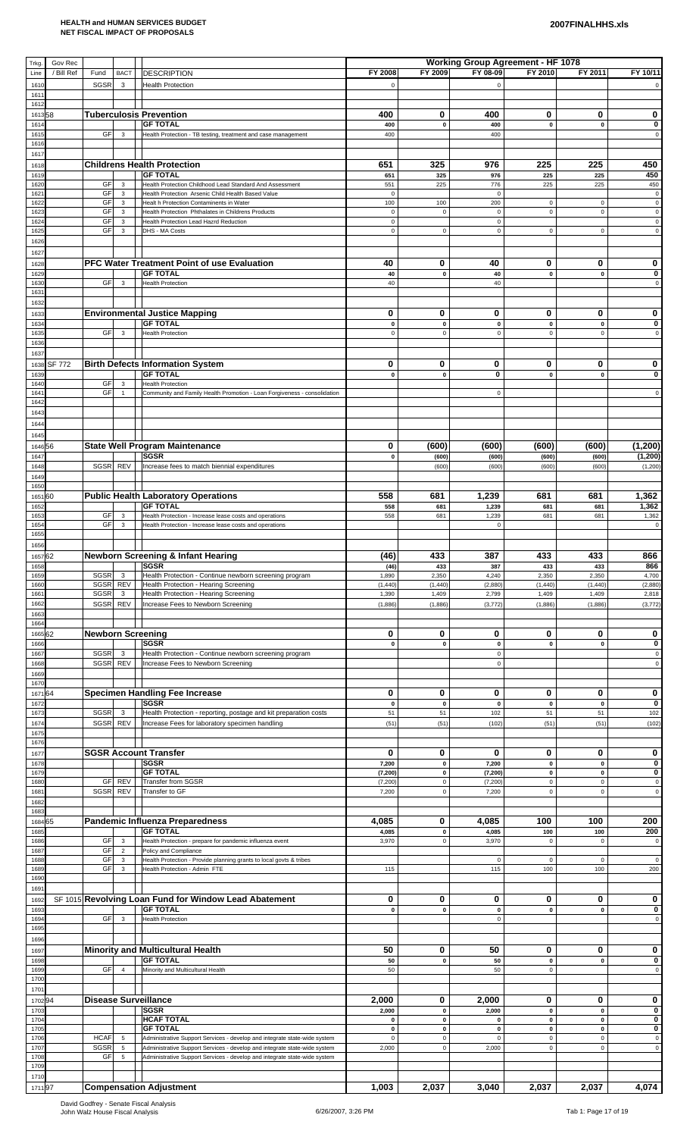# **2007FINALHHS.xls**

| Trkg            | Gov Rec       |                     |                                |                                                                                                                                                        |                             |                          | <b>Working Group Agreement - HF 1078</b> |                            |                          |                            |
|-----------------|---------------|---------------------|--------------------------------|--------------------------------------------------------------------------------------------------------------------------------------------------------|-----------------------------|--------------------------|------------------------------------------|----------------------------|--------------------------|----------------------------|
| Line<br>1610    | / Bill Ref    | Fund<br>SGSR        | <b>BACT</b><br>3               | <b>DESCRIPTION</b><br><b>Health Protection</b>                                                                                                         | FY 2008<br>$\mathsf 0$      | FY 2009                  | FY 08-09<br>$\mathbf 0$                  | FY 2010                    | FY 2011                  | FY 10/11                   |
| 1611<br>1612    |               |                     |                                |                                                                                                                                                        |                             |                          |                                          |                            |                          |                            |
| 161358          |               |                     |                                | <b>Tuberculosis Prevention</b>                                                                                                                         | 400                         | 0                        | 400                                      | 0                          | 0                        | 0                          |
| 161             |               |                     |                                | <b>GF TOTAL</b>                                                                                                                                        | 400                         | $\pmb{0}$                | 400                                      | $\pmb{0}$                  | $\mathbf 0$              | $\bf{0}$                   |
| 1615<br>1616    |               | <b>GF</b>           | 3                              | Health Protection - TB testing, treatment and case management                                                                                          | 400                         |                          | 400                                      |                            |                          | $\mathbf 0$                |
| 1617            |               |                     |                                |                                                                                                                                                        |                             |                          |                                          |                            |                          |                            |
| 1618<br>1619    |               |                     |                                | <b>Childrens Health Protection</b><br><b>GF TOTAL</b>                                                                                                  | 651<br>651                  | 325<br>325               | 976<br>976                               | 225<br>225                 | 225<br>225               | 450<br>450                 |
| 1620            |               | GF<br>GF            | 3                              | Health Protection Childhood Lead Standard And Assessment                                                                                               | 551                         | 225                      | 776<br>$\mathbf 0$                       | 225                        | 225                      | 450<br>$\mathbf 0$         |
| 162'<br>162     |               | GF                  | 3<br>3                         | Health Protection Arsenic Child Health Based Value<br>Healt h Protection Contaminents in Water                                                         | $\mathsf 0$<br>100          | 100                      | 200                                      | $\mathsf 0$                | $\mathbf 0$              | $\mathbf 0$                |
| 1623<br>1624    |               | GF<br>GF            | 3<br>3                         | Health Protection Phthalates in Childrens Products<br>Health Protection Lead Hazrd Reduction                                                           | $\mathbf 0$<br>$\mathsf 0$  | $\mathbf 0$              | $\mathbf 0$<br>$\mathsf 0$               | $\mathsf 0$                | $\pmb{0}$                | $\mathsf 0$<br>$\mathbf 0$ |
| 1625            |               | GF                  | $\mathbf{3}$                   | DHS - MA Costs                                                                                                                                         | $\mathsf 0$                 | $\mathbf 0$              | $\mathbf 0$                              | $\mathsf 0$                | $\mathbf 0$              | $\mathsf 0$                |
| 1626            |               |                     |                                |                                                                                                                                                        |                             |                          |                                          |                            |                          |                            |
| 1627<br>1628    |               |                     |                                | PFC Water Treatment Point of use Evaluation                                                                                                            | 40                          | 0                        | 40                                       | 0                          | 0                        | 0                          |
| 1629            |               |                     |                                | <b>GF TOTAL</b>                                                                                                                                        | 40                          | $\pmb{0}$                | 40                                       | $\pmb{0}$                  | $\pmb{0}$                | $\bf{0}$                   |
| 1630<br>1631    |               | GF                  | 3                              | <b>Health Protection</b>                                                                                                                               | 40                          |                          | 40                                       |                            |                          | $\mathbf 0$                |
| 1632            |               |                     |                                |                                                                                                                                                        |                             |                          |                                          |                            |                          |                            |
| 1633<br>163     |               |                     |                                | <b>Environmental Justice Mapping</b><br><b>GF TOTAL</b>                                                                                                | $\bf{0}$<br>0               | $\mathbf 0$<br>$\pmb{0}$ | 0<br>$\mathbf 0$                         | 0<br>$\pmb{0}$             | 0<br>$\pmb{0}$           | 0<br>$\bf{0}$              |
| 1635            |               | GF                  | 3                              | <b>Health Protection</b>                                                                                                                               | $\mathsf 0$                 | $\mathsf 0$              | $\mathsf 0$                              | $\mathsf 0$                | $\mathsf 0$              | $\mathsf 0$                |
| 1636<br>1637    |               |                     |                                |                                                                                                                                                        |                             |                          |                                          |                            |                          |                            |
| 1638            | <b>SF 772</b> |                     |                                | <b>Birth Defects Information System</b>                                                                                                                | 0                           | 0                        | 0                                        | 0                          | 0                        | 0                          |
| 1639<br>1640    |               | GF                  | $\mathbf{3}$                   | <b>GF TOTAL</b><br><b>Health Protection</b>                                                                                                            | 0                           | $\pmb{0}$                | $\bf{0}$                                 | $\pmb{0}$                  | $\pmb{0}$                | 0                          |
| 164'            |               | GF                  | $\overline{1}$                 | Community and Family Health Promotion - Loan Forgiveness - consolidation                                                                               |                             |                          | $\mathbf 0$                              |                            |                          | $\mathbf 0$                |
| 1642<br>1643    |               |                     |                                |                                                                                                                                                        |                             |                          |                                          |                            |                          |                            |
| 1644            |               |                     |                                |                                                                                                                                                        |                             |                          |                                          |                            |                          |                            |
| 1645            |               |                     |                                |                                                                                                                                                        |                             |                          |                                          |                            |                          |                            |
| 164656<br>1647  |               |                     |                                | <b>State Well Program Maintenance</b><br><b>SGSR</b>                                                                                                   | 0<br>0                      | (600)<br>(600)           | (600)<br>(600)                           | (600)<br>(600)             | (600)<br>(600)           | (1,200)<br>(1, 200)        |
| 1648            |               | <b>SGSR</b>         | <b>REV</b>                     | Increase fees to match biennial expenditures                                                                                                           |                             | (600)                    | (600)                                    | (600)                      | (600)                    | (1,200)                    |
| 1649<br>1650    |               |                     |                                |                                                                                                                                                        |                             |                          |                                          |                            |                          |                            |
| 165160          |               |                     |                                | <b>Public Health Laboratory Operations</b>                                                                                                             | 558                         | 681                      | 1,239                                    | 681                        | 681                      | 1,362                      |
| 1652<br>1653    |               | <b>GF</b>           | $\mathbf{3}$                   | <b>GF TOTAL</b><br>Health Protection - Increase lease costs and operations                                                                             | 558<br>558                  | 681<br>681               | 1,239<br>1,239                           | 681<br>681                 | 681<br>681               | 1,362<br>1,362             |
| 1654            |               | GF                  | 3                              | Health Protection - Increase lease costs and operations                                                                                                |                             |                          | $\mathbf 0$                              |                            |                          | $\mathbf 0$                |
| 1655<br>1656    |               |                     |                                |                                                                                                                                                        |                             |                          |                                          |                            |                          |                            |
| 1657 62         |               |                     |                                | <b>Newborn Screening &amp; Infant Hearing</b>                                                                                                          | (46)                        | 433                      | 387                                      | 433                        | 433                      | 866                        |
| 1658<br>1659    |               | SGSR                | 3                              | <b>SGSR</b><br>Health Protection - Continue newborn screening program                                                                                  | (46)<br>1,890               | 433<br>2,350             | 387<br>4,240                             | 433<br>2,350               | 433<br>2,350             | 866<br>4,700               |
| 1660            |               | SGSR                | <b>REV</b>                     | Health Protection - Hearing Screening<br>Health Protection - Hearing Screening                                                                         | (1, 440)                    | (1, 440)                 | (2,880)                                  | (1, 440)                   | (1,440)                  | (2,880)                    |
| 1661<br>1662    |               | <b>SGSR</b><br>SGSR | $\mathbf{3}$<br><b>REV</b>     | Increase Fees to Newborn Screening                                                                                                                     | 1,390<br>(1,886)            | 1,409<br>(1,886)         | 2,799<br>(3, 772)                        | 1,409<br>(1,886)           | 1,409<br>(1,886)         | 2,818<br>(3, 772)          |
| 1663            |               |                     |                                |                                                                                                                                                        |                             |                          |                                          |                            |                          |                            |
| 1664<br>166562  |               |                     |                                | <b>Newborn Screening</b>                                                                                                                               | 0                           | 0                        | 0                                        | 0                          | 0                        | 0                          |
| 1666<br>1667    |               | <b>SGSR</b>         | 3                              | <b>SGSR</b>                                                                                                                                            | 0                           | $\pmb{0}$                | $\pmb{0}$<br>$\pmb{0}$                   | $\pmb{0}$                  | $\pmb{0}$                | 0<br>$\mathbf 0$           |
| 1668            |               | <b>SGSR</b>         | REV                            | Health Protection - Continue newborn screening program<br>Increase Fees to Newborn Screening                                                           |                             |                          | $\pmb{0}$                                |                            |                          | 0                          |
| 1669<br>1670    |               |                     |                                |                                                                                                                                                        |                             |                          |                                          |                            |                          |                            |
| 167164          |               |                     |                                | <b>Specimen Handling Fee Increase</b>                                                                                                                  | 0                           | 0                        | 0                                        | 0                          | 0                        | 0                          |
| 167<br>1673     |               | SGSR                | 3                              | <b>SGSR</b><br>Health Protection - reporting, postage and kit preparation costs                                                                        | 0<br>51                     | $\pmb{0}$<br>51          | $\pmb{0}$<br>102                         | $\pmb{0}$<br>51            | $\pmb{0}$<br>51          | $\mathbf 0$<br>102         |
| 1674            |               | <b>SGSR</b>         | <b>REV</b>                     | Increase Fees for laboratory specimen handling                                                                                                         | (51)                        | (51)                     | (102)                                    | (51)                       | (51)                     | (102)                      |
| 1675<br>1676    |               |                     |                                |                                                                                                                                                        |                             |                          |                                          |                            |                          |                            |
| 1677            |               |                     |                                | <b>SGSR Account Transfer</b>                                                                                                                           | 0                           | 0                        | 0                                        | 0                          | 0                        | 0                          |
| 1678<br>1679    |               |                     |                                | <b>SGSR</b><br><b>GF TOTAL</b>                                                                                                                         | 7,200<br>(7, 200)           | $\pmb{0}$<br>$\pmb{0}$   | 7,200<br>(7, 200)                        | $\mathbf 0$<br>$\mathbf 0$ | $\pmb{0}$<br>$\mathbf 0$ | 0<br>0                     |
| 1680            |               | GF                  | <b>REV</b>                     | Transfer from SGSR                                                                                                                                     | (7, 200)                    | $\mathbf 0$              | (7, 200)                                 | $\mathsf 0$                | $\mathbf 0$              | $\mathsf 0$                |
| 168'<br>1682    |               | SGSR                | REV                            | Transfer to GF                                                                                                                                         | 7,200                       | $\mathsf 0$              | 7,200                                    | $\mathsf 0$                | $\mathbf 0$              | $\mathsf 0$                |
| 1683            |               |                     |                                |                                                                                                                                                        |                             |                          |                                          |                            |                          |                            |
| 1684 65<br>1685 |               |                     |                                | <b>Pandemic Influenza Preparedness</b><br><b>GF TOTAL</b>                                                                                              | 4,085<br>4,085              | 0<br>$\pmb{0}$           | 4,085<br>4,085                           | 100<br>100                 | 100<br>100               | 200<br>200                 |
| 1686            |               | GF                  | $\mathbf{3}$                   | Health Protection - prepare for pandemic influenza event                                                                                               | 3,970                       | $\mathsf 0$              | 3,970                                    | $\mathsf 0$                | $\mathbf 0$              | $\mathbf 0$                |
| 1687<br>1688    |               | GF<br>GF            | $\overline{2}$<br>$\mathbf{3}$ | Policy and Compliance<br>Health Protection - Provide planning grants to local govts & tribes                                                           |                             |                          | $\mathbf 0$                              | 0                          | $\mathbf 0$              |                            |
| 1689<br>1690    |               | GF                  | $\mathbf{3}$                   | Health Protection - Admin FTE                                                                                                                          | 115                         |                          | 115                                      | 100                        | 100                      | 200                        |
| 1691            |               |                     |                                |                                                                                                                                                        |                             |                          |                                          |                            |                          |                            |
| 1692            |               |                     |                                | SF 1015 Revolving Loan Fund for Window Lead Abatement                                                                                                  | 0                           | 0                        | 0                                        | 0                          | 0                        | 0                          |
| 1693<br>1694    |               | GF                  | 3                              | <b>GF TOTAL</b><br><b>Health Protection</b>                                                                                                            | 0                           | $\pmb{0}$                | $\pmb{0}$<br>$\mathbf 0$                 | $\pmb{0}$                  | $\pmb{0}$                | $\bf{0}$<br>$\mathbf 0$    |
| 1695            |               |                     |                                |                                                                                                                                                        |                             |                          |                                          |                            |                          |                            |
| 1696<br>1697    |               |                     |                                | <b>Minority and Multicultural Health</b>                                                                                                               | 50                          | 0                        | 50                                       | 0                          | 0                        | 0                          |
| 1698            |               |                     |                                | <b>GF TOTAL</b>                                                                                                                                        | 50                          | $\pmb{0}$                | 50                                       | $\pmb{0}$                  | $\pmb{0}$                | $\bf{0}$                   |
| 1699<br>1700    |               | GF                  | $\overline{4}$                 | Minority and Multicultural Health                                                                                                                      | 50                          |                          | 50                                       | $\mathsf 0$                |                          | $\mathsf 0$                |
| 1701            |               |                     |                                |                                                                                                                                                        |                             |                          |                                          |                            |                          |                            |
| 170294<br>1703  |               |                     |                                | Disease Surveillance<br><b>SGSR</b>                                                                                                                    | 2,000<br>2,000              | 0<br>$\pmb{0}$           | 2,000<br>2,000                           | 0<br>$\mathbf 0$           | 0<br>$\pmb{0}$           | 0<br>0                     |
| 1704            |               |                     |                                | <b>HCAF TOTAL</b>                                                                                                                                      | 0                           | $\pmb{0}$                | $\pmb{0}$                                | $\mathbf 0$                | $\pmb{0}$                | 0                          |
| 1705<br>1706    |               | <b>HCAF</b>         | $\sqrt{5}$                     | <b>GF TOTAL</b><br>Administrative Support Services - develop and integrate state-wide system                                                           | $\mathbf{0}$<br>$\mathbf 0$ | 0<br>$\mathsf 0$         | 0<br>$\pmb{0}$                           | 0<br>$\mathsf 0$           | $\mathbf 0$<br>$\pmb{0}$ | 0<br>$\mathsf 0$           |
| 1707<br>1708    |               | SGSR<br>GF          | 5<br>5                         | Administrative Support Services - develop and integrate state-wide system<br>Administrative Support Services - develop and integrate state-wide system | 2,000                       | $\mathsf 0$              | 2,000                                    | $\mathsf 0$                | $\mathsf 0$              | $\mathsf 0$                |
| 1709            |               |                     |                                |                                                                                                                                                        |                             |                          |                                          |                            |                          |                            |
| 1710<br>171197  |               |                     |                                | <b>Compensation Adjustment</b>                                                                                                                         | 1,003                       | 2,037                    | 3,040                                    | 2,037                      | 2,037                    | 4,074                      |
|                 |               |                     |                                |                                                                                                                                                        |                             |                          |                                          |                            |                          |                            |

David Godfrey - Senate Fiscal Analysis<br>John Walz House Fiscal Analysis 6/26/2007, 3:26 PM Tab 1: Page 17 of 19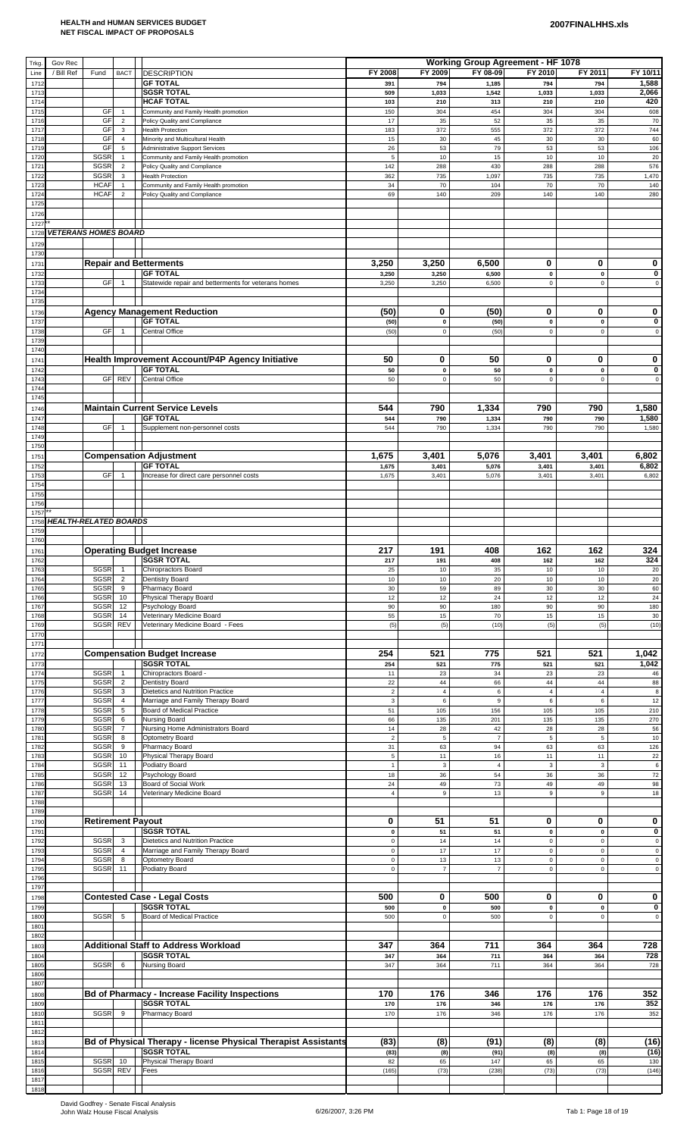| Trkg         | Gov Rec                      |                          |                                  |                                                                                            |                             |                          | <b>Working Group Agreement - HF 1078</b> |                            |                             |                            |
|--------------|------------------------------|--------------------------|----------------------------------|--------------------------------------------------------------------------------------------|-----------------------------|--------------------------|------------------------------------------|----------------------------|-----------------------------|----------------------------|
| Line         | / Bill Ref                   | Fund                     | <b>BACT</b>                      | <b>DESCRIPTION</b>                                                                         | FY 2008                     | FY 2009                  | FY 08-09                                 | FY 2010                    | FY 2011                     | FY 10/11                   |
| 1712<br>1713 |                              |                          |                                  | <b>GF TOTAL</b><br><b>SGSR TOTAL</b>                                                       | 391<br>509                  | 794<br>1,033             | 1,185<br>1,542                           | 794<br>1,033               | 794<br>1,033                | 1,588<br>2,066             |
| 171.<br>1715 |                              | GF                       | $\overline{1}$                   | <b>HCAF TOTAL</b><br>Community and Family Health promotion                                 | 103<br>150                  | 210<br>304               | 313<br>454                               | 210<br>304                 | 210<br>304                  | 420<br>608                 |
| 1716         |                              | GF                       | $\overline{2}$                   | Policy Quality and Compliance                                                              | 17                          | 35                       | 52                                       | 35                         | 35                          | 70                         |
| 1717<br>1718 |                              | GF<br>GF                 | 3<br>$\overline{4}$              | <b>Health Protection</b><br>Minority and Multicultural Health                              | 183<br>15                   | 372<br>30                | 555<br>45                                | 372<br>30                  | 372<br>30                   | 744<br>60                  |
| 1719         |                              | GF                       | 5                                | <b>Administrative Support Services</b>                                                     | 26                          | 53                       | 79                                       | 53                         | 53                          | 106                        |
| 1720<br>172  |                              | <b>SGSR</b><br>SGSR      | $\overline{1}$<br>$\overline{2}$ | Community and Family Health promotion<br>Policy Quality and Compliance                     | $\mathbf 5$<br>142          | 10<br>288                | 15<br>430                                | 10<br>288                  | 10<br>288                   | 20<br>576                  |
| 1722<br>1723 |                              | SGSR<br><b>HCAF</b>      | $\mathbf{3}$<br>$\overline{1}$   | <b>Health Protection</b><br>Community and Family Health promotion                          | 362<br>34                   | 735<br>70                | 1,097<br>104                             | 735<br>70                  | 735<br>70                   | 1,470<br>140               |
| 1724         |                              | <b>HCAF</b>              | $\overline{2}$                   | Policy Quality and Compliance                                                              | 69                          | 140                      | 209                                      | 140                        | 140                         | 280                        |
| 1725<br>1726 |                              |                          |                                  |                                                                                            |                             |                          |                                          |                            |                             |                            |
| 172          |                              |                          |                                  |                                                                                            |                             |                          |                                          |                            |                             |                            |
| 1728<br>1729 | <b>VETERANS HOMES BOARD</b>  |                          |                                  |                                                                                            |                             |                          |                                          |                            |                             |                            |
| 1730         |                              |                          |                                  |                                                                                            |                             |                          |                                          |                            |                             |                            |
| 1731<br>1732 |                              |                          |                                  | <b>Repair and Betterments</b><br><b>GF TOTAL</b>                                           | 3,250<br>3,250              | 3,250<br>3,250           | 6,500<br>6,500                           | 0<br>$\mathbf 0$           | 0<br>$\pmb{0}$              | 0<br>$\pmb{0}$             |
| 1733<br>1734 |                              | GF                       | $\overline{1}$                   | Statewide repair and betterments for veterans homes                                        | 3,250                       | 3,250                    | 6,500                                    | $\mathbf 0$                | $\mathbf 0$                 | $\mathsf{O}\xspace$        |
| 1735         |                              |                          |                                  |                                                                                            |                             |                          |                                          |                            |                             |                            |
| 1736<br>1737 |                              |                          |                                  | <b>Agency Management Reduction</b><br><b>GF TOTAL</b>                                      | (50)<br>(50)                | 0<br>$\pmb{0}$           | (50)<br>(50)                             | 0<br>$\mathbf 0$           | 0<br>$\pmb{0}$              | 0<br>$\pmb{0}$             |
| 1738         |                              | GF                       | $\overline{1}$                   | Central Office                                                                             | (50)                        | $\pmb{0}$                | (50)                                     | $\pmb{0}$                  | $\mathsf 0$                 | $\mathsf 0$                |
| 1739<br>1740 |                              |                          |                                  |                                                                                            |                             |                          |                                          |                            |                             |                            |
| 174'         |                              |                          |                                  | Health Improvement Account/P4P Agency Initiative                                           | 50                          | 0                        | 50                                       | 0                          | 0                           | 0                          |
| 1742<br>1743 |                              |                          | GF REV                           | <b>GF TOTAL</b><br>Central Office                                                          | 50<br>50                    | $\pmb{0}$<br>$\pmb{0}$   | 50<br>50                                 | $\pmb{0}$<br>$\mathbf 0$   | $\mathbf{0}$<br>$\mathbf 0$ | 0<br>$\mathsf 0$           |
| 1744         |                              |                          |                                  |                                                                                            |                             |                          |                                          |                            |                             |                            |
| 1745<br>1746 |                              |                          |                                  | <b>Maintain Current Service Levels</b>                                                     | 544                         | 790                      | 1,334                                    | 790                        | 790                         | 1,580                      |
| 1747         |                              |                          |                                  | <b>GF TOTAL</b>                                                                            | 544                         | 790                      | 1,334                                    | 790                        | 790                         | 1,580                      |
| 1748<br>1749 |                              | GF                       | $\overline{1}$                   | Supplement non-personnel costs                                                             | 544                         | 790                      | 1,334                                    | 790                        | 790                         | 1,580                      |
| 1750         |                              |                          |                                  |                                                                                            | 1,675                       |                          |                                          |                            |                             |                            |
| 175'<br>1752 |                              |                          |                                  | <b>Compensation Adjustment</b><br><b>GF TOTAL</b>                                          | 1,675                       | 3,401<br>3,401           | 5,076<br>5,076                           | 3,401<br>3,401             | 3,401<br>3,401              | 6,802<br>6,802             |
| 1753<br>1754 |                              | GF                       | $\mathbf{1}$                     | Increase for direct care personnel costs                                                   | 1,675                       | 3,401                    | 5,076                                    | 3,401                      | 3,401                       | 6,802                      |
| 1755         |                              |                          |                                  |                                                                                            |                             |                          |                                          |                            |                             |                            |
| 1756<br>1757 |                              |                          |                                  |                                                                                            |                             |                          |                                          |                            |                             |                            |
| 1758         | <b>HEALTH-RELATED BOARDS</b> |                          |                                  |                                                                                            |                             |                          |                                          |                            |                             |                            |
| 1759<br>1760 |                              |                          |                                  |                                                                                            |                             |                          |                                          |                            |                             |                            |
| 1761         |                              |                          |                                  | <b>Operating Budget Increase</b><br><b>SGSR TOTAL</b>                                      | 217                         | 191                      | 408                                      | 162                        | 162                         | 324                        |
| 1762<br>1763 |                              | SGSR                     | $\overline{1}$                   | Chiropractors Board                                                                        | 217<br>25                   | 191<br>10                | 408<br>35                                | 162<br>10                  | 162<br>10                   | 324<br>20                  |
| 1764<br>1765 |                              | SGSR<br>SGSR             | $\overline{2}$<br>9              | Dentistry Board<br>Pharmacy Board                                                          | 10<br>$30\,$                | 10<br>59                 | 20<br>89                                 | 10<br>30                   | 10<br>30                    | 20<br>60                   |
| 1766         |                              | SGSR                     | 10                               | Physical Therapy Board                                                                     | 12                          | 12                       | 24                                       | 12                         | 12                          | 24                         |
| 1767<br>1768 |                              | SGSR<br>SGSR             | 12<br>14                         | Psychology Board<br>Veterinary Medicine Board                                              | 90<br>55                    | 90<br>15                 | 180<br>70                                | 90<br>15                   | 90<br>15                    | 180<br>30                  |
| 1769<br>1770 |                              | SGSR                     | REV                              | Veterinary Medicine Board - Fees                                                           | (5)                         | (5)                      | (10)                                     | (5)                        | (5)                         | (10)                       |
| 177'         |                              |                          |                                  |                                                                                            |                             |                          |                                          |                            |                             |                            |
| 1772<br>1773 |                              |                          |                                  | <b>Compensation Budget Increase</b><br><b>SGSR TOTAL</b>                                   | 254<br>254                  | 521<br>521               | 775<br>775                               | 521<br>521                 | 521<br>521                  | 1,042<br>1,042             |
| 1774         |                              | SGSR                     | $\overline{1}$                   | Chiropractors Board -                                                                      | 11                          | 23                       | 34                                       | 23                         | 23                          | 46                         |
| 1775<br>1776 |                              | SGSR<br>SGSR             | $\overline{2}$<br>3              | Dentistry Board<br>Dietetics and Nutrition Practice                                        | 22<br>$\sqrt{2}$            | 44<br>$\sqrt{4}$         | 66<br>6                                  | 44<br>$\overline{4}$       | 44<br>$\overline{4}$        | 88<br>$\bf 8$              |
| 1777         |                              | SGSR                     | $\overline{4}$                   | Marriage and Family Therapy Board                                                          | $\mathbf 3$                 | $\boldsymbol{6}$         | $\mathsf g$                              | $\,6$                      | $\,6\,$                     | 12                         |
| 1778<br>1779 |                              | SGSR<br>SGSR             | 5<br>6                           | Board of Medical Practice<br>Nursing Board                                                 | 51<br>66                    | 105<br>135               | 156<br>201                               | 105<br>135                 | 105<br>135                  | 210<br>270                 |
| 1780<br>1781 |                              | SGSR<br>SGSR             | $\overline{7}$<br>8              | Nursing Home Administrators Board<br>Optometry Board                                       | 14<br>$\overline{2}$        | 28<br>$\sqrt{5}$         | 42<br>$\overline{7}$                     | 28<br>$\sqrt{5}$           | 28<br>$\sqrt{5}$            | 56<br>10                   |
| 1782         |                              | SGSR                     | 9                                | Pharmacy Board                                                                             | 31                          | 63                       | 94                                       | 63                         | 63                          | 126                        |
| 1783<br>1784 |                              | SGSR<br>SGSR             | 10<br>11                         | Physical Therapy Board<br>Podiatry Board                                                   | $\mathbf 5$<br>$\mathbf{1}$ | 11<br>$\mathsf 3$        | 16<br>$\overline{4}$                     | 11<br>$\mathsf 3$          | 11<br>$\mathbf 3$           | $22\,$<br>$\boldsymbol{6}$ |
| 1785<br>1786 |                              | SGSR<br>SGSR             | 12<br>13                         | Psychology Board<br>Board of Social Work                                                   | 18<br>24                    | 36<br>49                 | 54<br>73                                 | 36<br>49                   | 36<br>49                    | $\bf 72$<br>98             |
| 1787         |                              | SGSR                     | 14                               | Veterinary Medicine Board                                                                  | $\overline{4}$              | $\mathsf g$              | 13                                       | 9                          | $\overline{9}$              | 18                         |
| 1788<br>1789 |                              |                          |                                  |                                                                                            |                             |                          |                                          |                            |                             |                            |
| 1790         |                              | <b>Retirement Payout</b> |                                  |                                                                                            | 0                           | 51                       | 51                                       | 0                          | 0                           | 0                          |
| 1791<br>1792 |                              | SGSR                     | 3                                | <b>SGSR TOTAL</b><br>Dietetics and Nutrition Practice                                      | 0<br>$\pmb{0}$              | 51<br>14                 | 51<br>14                                 | $\pmb{0}$<br>$\pmb{0}$     | $\pmb{0}$<br>$\mathsf 0$    | 0<br>$\mathsf 0$           |
| 1793<br>1794 |                              | SGSR<br>SGSR             | $\overline{4}$<br>8              | Marriage and Family Therapy Board<br>Optometry Board                                       | $\mathbf 0$<br>$\pmb{0}$    | 17<br>13                 | 17<br>13                                 | $\mathbf 0$<br>$\pmb{0}$   | $\mathbf 0$<br>$\mathbf 0$  | $\pmb{0}$<br>$\pmb{0}$     |
| 1795         |                              | SGSR                     | 11                               | Podiatry Board                                                                             | $\pmb{0}$                   | $\overline{7}$           | $\overline{7}$                           | $\pmb{0}$                  | $\mathbf 0$                 | $\mathsf 0$                |
| 1796<br>1797 |                              |                          |                                  |                                                                                            |                             |                          |                                          |                            |                             |                            |
| 1798         |                              |                          |                                  | <b>Contested Case - Legal Costs</b>                                                        | 500                         | 0                        | 500                                      | 0                          | 0                           | 0                          |
| 1799<br>1800 |                              | <b>SGSR</b>              | 5                                | <b>SGSR TOTAL</b><br><b>Board of Medical Practice</b>                                      | 500<br>500                  | $\mathbf 0$<br>$\pmb{0}$ | 500<br>500                               | $\mathbf 0$<br>$\mathbf 0$ | $\pmb{0}$<br>$\mathsf 0$    | 0<br>$\mathsf 0$           |
| 1801         |                              |                          |                                  |                                                                                            |                             |                          |                                          |                            |                             |                            |
| 1802<br>1803 |                              |                          |                                  | <b>Additional Staff to Address Workload</b>                                                | 347                         | 364                      | 711                                      | 364                        | 364                         | 728                        |
| 1804<br>1805 |                              | SGSR                     | 6                                | <b>SGSR TOTAL</b><br>Nursing Board                                                         | 347<br>347                  | 364<br>364               | 711<br>711                               | 364<br>364                 | 364<br>364                  | 728<br>728                 |
| 1806         |                              |                          |                                  |                                                                                            |                             |                          |                                          |                            |                             |                            |
| 1807<br>1808 |                              |                          |                                  | <b>Bd of Pharmacy - Increase Facility Inspections</b>                                      | 170                         | 176                      | 346                                      | 176                        | 176                         | 352                        |
| 1809         |                              |                          |                                  | <b>SGSR TOTAL</b>                                                                          | 170                         | 176                      | 346                                      | 176                        | 176                         | 352                        |
| 1810<br>181  |                              | <b>SGSR</b>              | 9                                | Pharmacy Board                                                                             | 170                         | 176                      | 346                                      | 176                        | 176                         | 352                        |
| 1812         |                              |                          |                                  |                                                                                            |                             |                          |                                          |                            |                             |                            |
| 181<br>1814  |                              |                          |                                  | <b>Bd of Physical Therapy - license Physical Therapist Assistants</b><br><b>SGSR TOTAL</b> | (83)<br>(83)                | (8)<br>(8)               | (91)<br>(91)                             | (8)<br>(8)                 | (8)<br>(8)                  | (16)<br>(16)               |
| 1815         |                              |                          |                                  | SGSR 10 Physical Therapy Board                                                             | 82                          | 65                       | 147                                      | 65                         | 65                          | 130                        |
| 1816<br>1817 |                              |                          | SGSR REV                         | Fees                                                                                       | (165)                       | (73)                     | (238)                                    | (73)                       | (73)                        | (146)                      |
| 1818         |                              |                          |                                  |                                                                                            |                             |                          |                                          |                            |                             |                            |